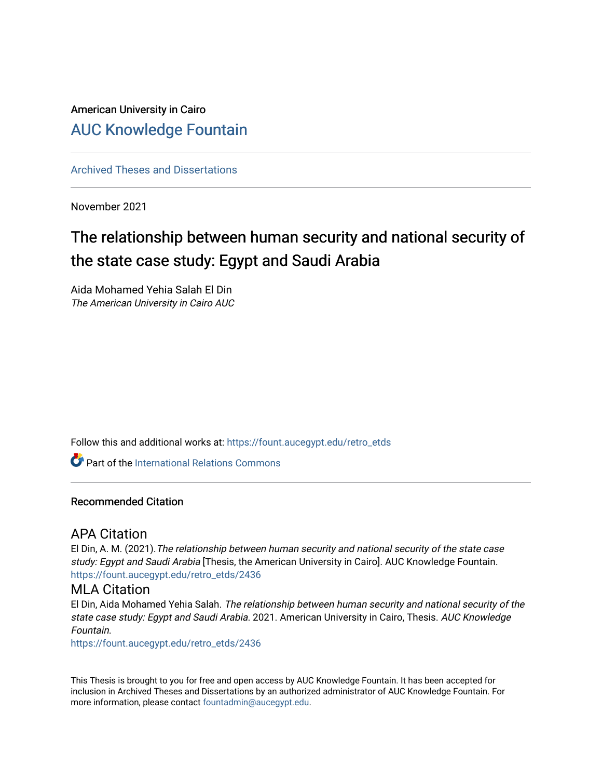## American University in Cairo [AUC Knowledge Fountain](https://fount.aucegypt.edu/)

[Archived Theses and Dissertations](https://fount.aucegypt.edu/retro_etds) 

November 2021

# The relationship between human security and national security of the state case study: Egypt and Saudi Arabia

Aida Mohamed Yehia Salah El Din The American University in Cairo AUC

Follow this and additional works at: [https://fount.aucegypt.edu/retro\\_etds](https://fount.aucegypt.edu/retro_etds?utm_source=fount.aucegypt.edu%2Fretro_etds%2F2436&utm_medium=PDF&utm_campaign=PDFCoverPages) 

Part of the [International Relations Commons](http://network.bepress.com/hgg/discipline/389?utm_source=fount.aucegypt.edu%2Fretro_etds%2F2436&utm_medium=PDF&utm_campaign=PDFCoverPages) 

### Recommended Citation

### APA Citation

El Din, A. M. (2021).The relationship between human security and national security of the state case study: Egypt and Saudi Arabia [Thesis, the American University in Cairo]. AUC Knowledge Fountain. [https://fount.aucegypt.edu/retro\\_etds/2436](https://fount.aucegypt.edu/retro_etds/2436?utm_source=fount.aucegypt.edu%2Fretro_etds%2F2436&utm_medium=PDF&utm_campaign=PDFCoverPages) 

### MLA Citation

El Din, Aida Mohamed Yehia Salah. The relationship between human security and national security of the state case study: Egypt and Saudi Arabia. 2021. American University in Cairo, Thesis. AUC Knowledge Fountain.

[https://fount.aucegypt.edu/retro\\_etds/2436](https://fount.aucegypt.edu/retro_etds/2436?utm_source=fount.aucegypt.edu%2Fretro_etds%2F2436&utm_medium=PDF&utm_campaign=PDFCoverPages) 

This Thesis is brought to you for free and open access by AUC Knowledge Fountain. It has been accepted for inclusion in Archived Theses and Dissertations by an authorized administrator of AUC Knowledge Fountain. For more information, please contact [fountadmin@aucegypt.edu.](mailto:fountadmin@aucegypt.edu)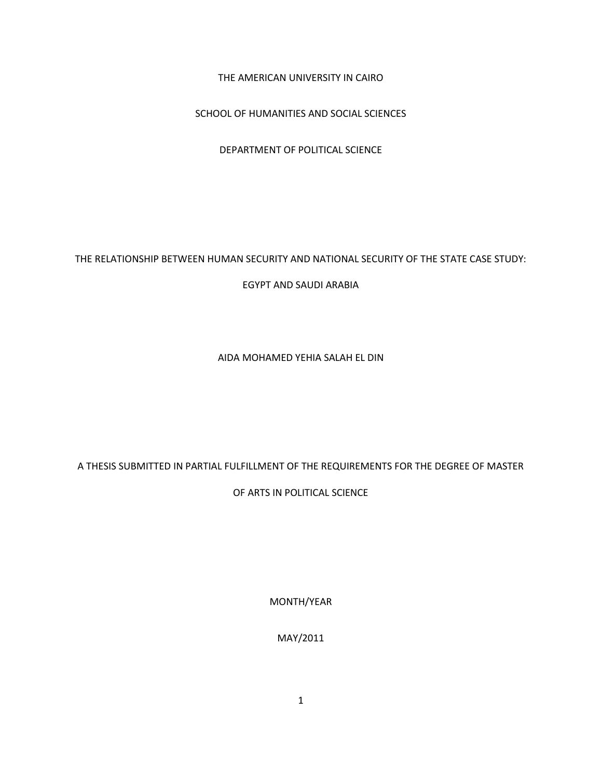THE AMERICAN UNIVERSITY IN CAIRO

SCHOOL OF HUMANITIES AND SOCIAL SCIENCES

DEPARTMENT OF POLITICAL SCIENCE

THE RELATIONSHIP BETWEEN HUMAN SECURITY AND NATIONAL SECURITY OF THE STATE CASE STUDY:

EGYPT AND SAUDI ARABIA

AIDA MOHAMED YEHIA SALAH EL DIN

A THESIS SUBMITTED IN PARTIAL FULFILLMENT OF THE REQUIREMENTS FOR THE DEGREE OF MASTER

OF ARTS IN POLITICAL SCIENCE

MONTH/YEAR

MAY/2011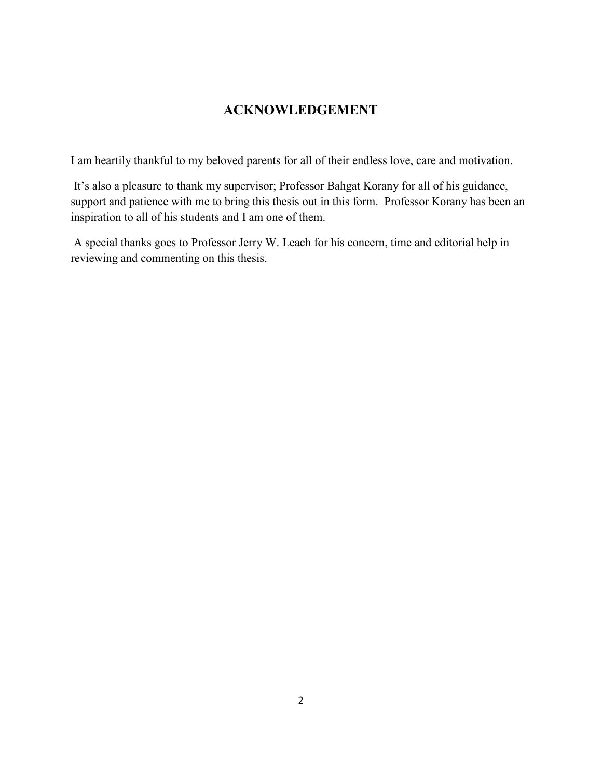### **ACKNOWLEDGEMENT**

I am heartily thankful to my beloved parents for all of their endless love, care and motivation.

It's also a pleasure to thank my supervisor; Professor Bahgat Korany for all of his guidance, support and patience with me to bring this thesis out in this form. Professor Korany has been an inspiration to all of his students and I am one of them.

A special thanks goes to Professor Jerry W. Leach for his concern, time and editorial help in reviewing and commenting on this thesis.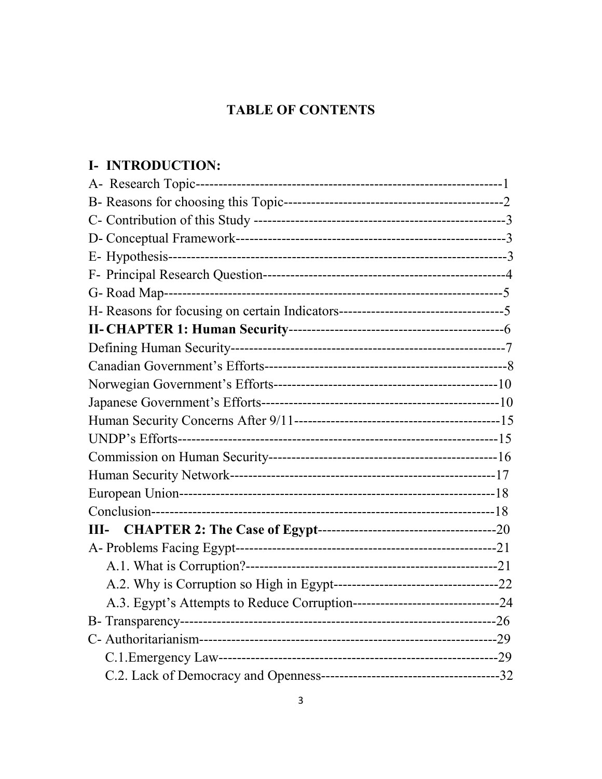# **TABLE OF CONTENTS**

# I- INTRODUCTION: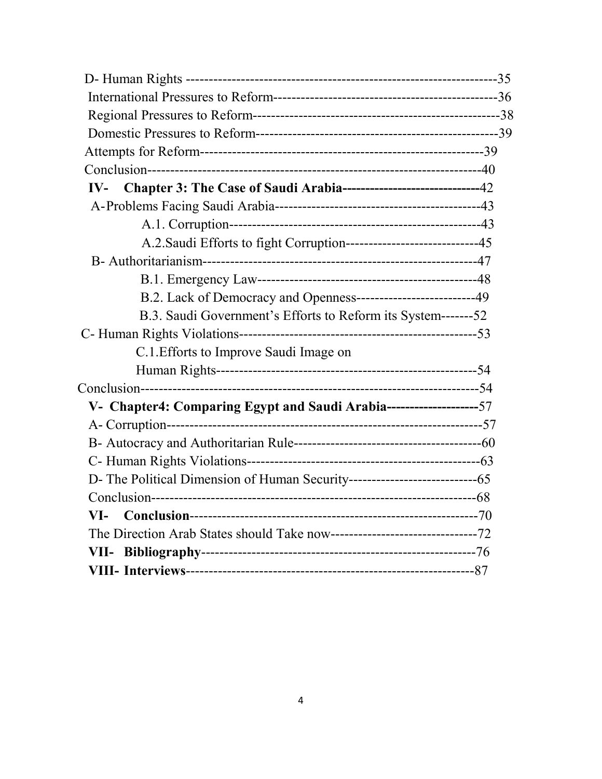| IV- Chapter 3: The Case of Saudi Arabia-----------------------------42 |  |
|------------------------------------------------------------------------|--|
|                                                                        |  |
|                                                                        |  |
| A.2. Saudi Efforts to fight Corruption----------------------------45   |  |
|                                                                        |  |
|                                                                        |  |
| B.2. Lack of Democracy and Openness-------------------------49         |  |
| B.3. Saudi Government's Efforts to Reform its System-------52          |  |
|                                                                        |  |
| C.1. Efforts to Improve Saudi Image on                                 |  |
|                                                                        |  |
|                                                                        |  |
| V- Chapter4: Comparing Egypt and Saudi Arabia---------------------57   |  |
|                                                                        |  |
|                                                                        |  |
|                                                                        |  |
|                                                                        |  |
|                                                                        |  |
| VI-                                                                    |  |
|                                                                        |  |
|                                                                        |  |
|                                                                        |  |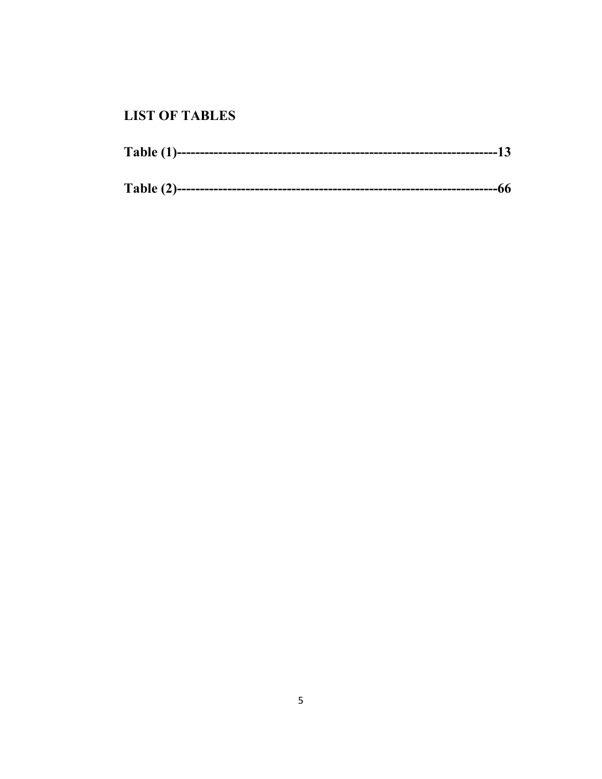## **LIST OF TABLES**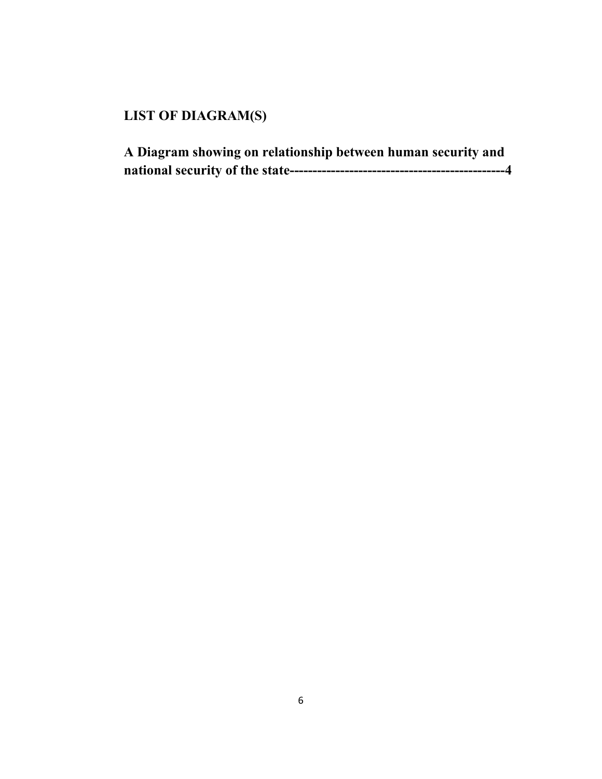# **LIST OF DIAGRAM(S)**

| A Diagram showing on relationship between human security and |  |
|--------------------------------------------------------------|--|
|                                                              |  |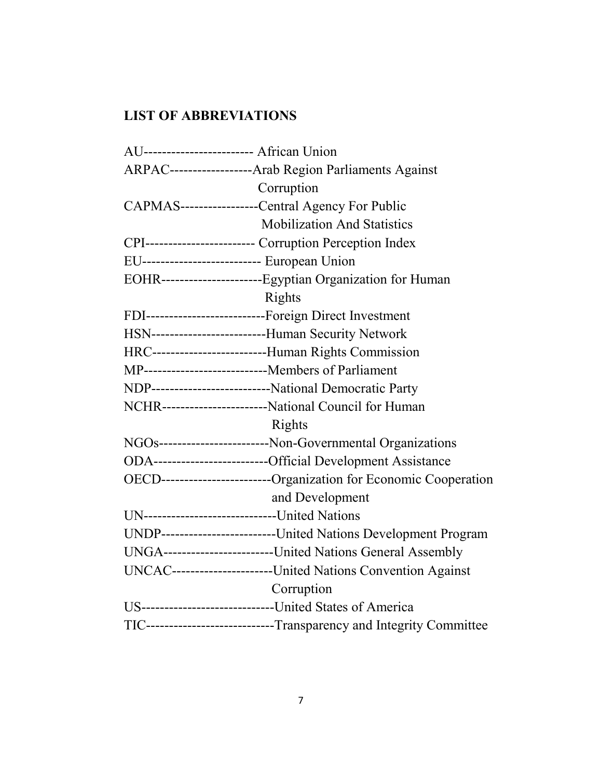# **LIST OF ABBREVIATIONS**

| AU------------------------ African Union                            |  |  |  |
|---------------------------------------------------------------------|--|--|--|
| ARPAC------------------Arab Region Parliaments Against              |  |  |  |
| Corruption                                                          |  |  |  |
| CAPMAS-------------------Central Agency For Public                  |  |  |  |
| <b>Mobilization And Statistics</b>                                  |  |  |  |
| CPI------------------------ Corruption Perception Index             |  |  |  |
| EU-------------------------- European Union                         |  |  |  |
| EOHR-----------------------Egyptian Organization for Human          |  |  |  |
| Rights                                                              |  |  |  |
| FDI---------------------------Foreign Direct Investment             |  |  |  |
| HSN--------------------------Human Security Network                 |  |  |  |
| HRC-------------------------Human Rights Commission                 |  |  |  |
| MP-----------------------------Members of Parliament                |  |  |  |
| NDP----------------------------National Democratic Party            |  |  |  |
| NCHR------------------------National Council for Human              |  |  |  |
| Rights                                                              |  |  |  |
| NGOs-------------------------Non-Governmental Organizations         |  |  |  |
| ODA---------------------------Official Development Assistance       |  |  |  |
| OECD-------------------------Organization for Economic Cooperation  |  |  |  |
| and Development                                                     |  |  |  |
| UN------------------------------United Nations                      |  |  |  |
| UNDP--------------------------United Nations Development Program    |  |  |  |
| UNGA-------------------------United Nations General Assembly        |  |  |  |
| UNCAC-----------------------United Nations Convention Against       |  |  |  |
| Corruption                                                          |  |  |  |
| US-------------------------------United States of America           |  |  |  |
| TIC----------------------------Transparency and Integrity Committee |  |  |  |
|                                                                     |  |  |  |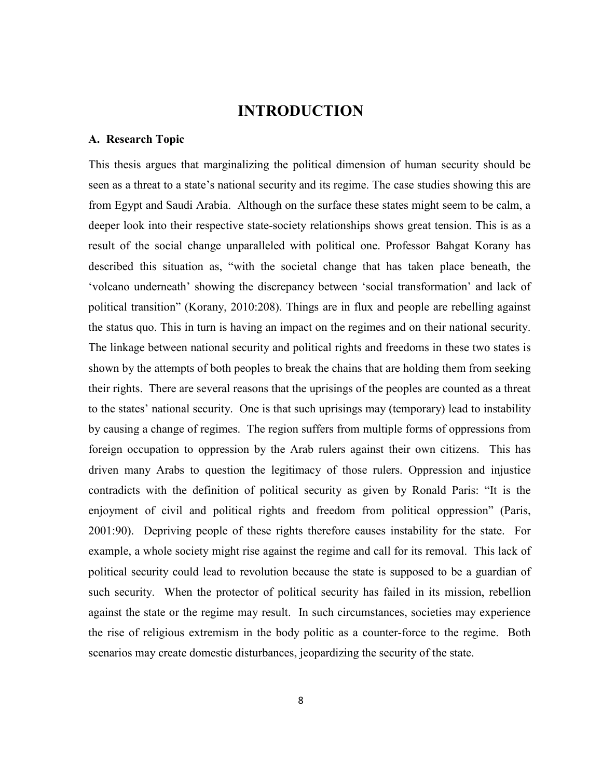## **INTRODUCTION**

### **A. Research Topic**

This thesis argues that marginalizing the political dimension of human security should be seen as a threat to a state's national security and its regime. The case studies showing this are from Egypt and Saudi Arabia. Although on the surface these states might seem to be calm, a deeper look into their respective state-society relationships shows great tension. This is as a result of the social change unparalleled with political one. Professor Bahgat Korany has described this situation as, "with the societal change that has taken place beneath, the 'volcano underneath' showing the discrepancy between 'social transformation' and lack of political transition" (Korany, 2010:208). Things are in flux and people are rebelling against the status quo. This in turn is having an impact on the regimes and on their national security. The linkage between national security and political rights and freedoms in these two states is shown by the attempts of both peoples to break the chains that are holding them from seeking their rights. There are several reasons that the uprisings of the peoples are counted as a threat to the states' national security. One is that such uprisings may (temporary) lead to instability by causing a change of regimes. The region suffers from multiple forms of oppressions from foreign occupation to oppression by the Arab rulers against their own citizens. This has driven many Arabs to question the legitimacy of those rulers. Oppression and injustice contradicts with the definition of political security as given by Ronald Paris: "It is the enjoyment of civil and political rights and freedom from political oppression" (Paris, 2001:90). Depriving people of these rights therefore causes instability for the state. For example, a whole society might rise against the regime and call for its removal. This lack of political security could lead to revolution because the state is supposed to be a guardian of such security. When the protector of political security has failed in its mission, rebellion against the state or the regime may result. In such circumstances, societies may experience the rise of religious extremism in the body politic as a counter-force to the regime. Both scenarios may create domestic disturbances, jeopardizing the security of the state.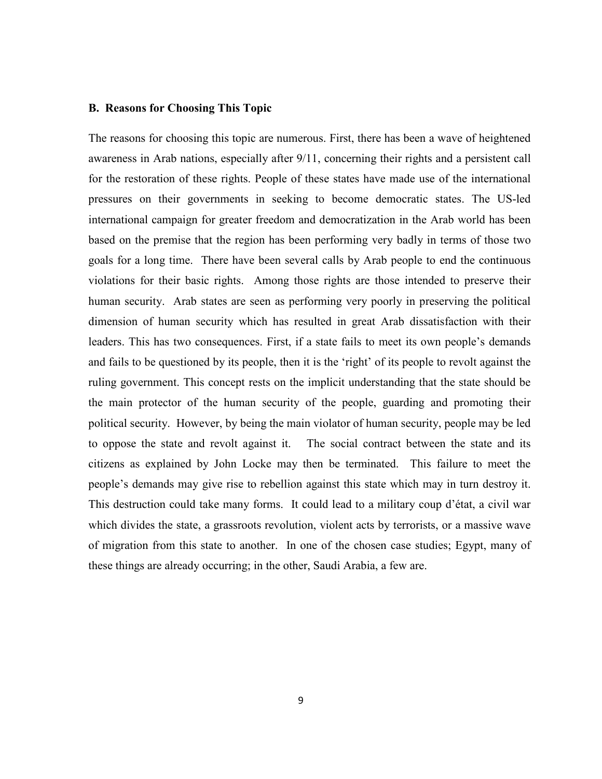### **B.****Reasons for Choosing This Topic**

The reasons for choosing this topic are numerous. First, there has been a wave of heightened awareness in Arab nations, especially after 9/11, concerning their rights and a persistent call for the restoration of these rights. People of these states have made use of the international pressures on their governments in seeking to become democratic states. The US-led international campaign for greater freedom and democratization in the Arab world has been based on the premise that the region has been performing very badly in terms of those two goals for a long time. There have been several calls by Arab people to end the continuous violations for their basic rights. Among those rights are those intended to preserve their human security. Arab states are seen as performing very poorly in preserving the political dimension of human security which has resulted in great Arab dissatisfaction with their leaders. This has two consequences. First, if a state fails to meet its own people's demands and fails to be questioned by its people, then it is the 'right' of its people to revolt against the ruling government. This concept rests on the implicit understanding that the state should be the main protector of the human security of the people, guarding and promoting their political security. However, by being the main violator of human security, people may be led to oppose the state and revolt against it. The social contract between the state and its citizens as explained by John Locke may then be terminated. This failure to meet the people's demands may give rise to rebellion against this state which may in turn destroy it. This destruction could take many forms. It could lead to a military coup d'état, a civil war which divides the state, a grassroots revolution, violent acts by terrorists, or a massive wave of migration from this state to another. In one of the chosen case studies; Egypt, many of these things are already occurring; in the other, Saudi Arabia, a few are.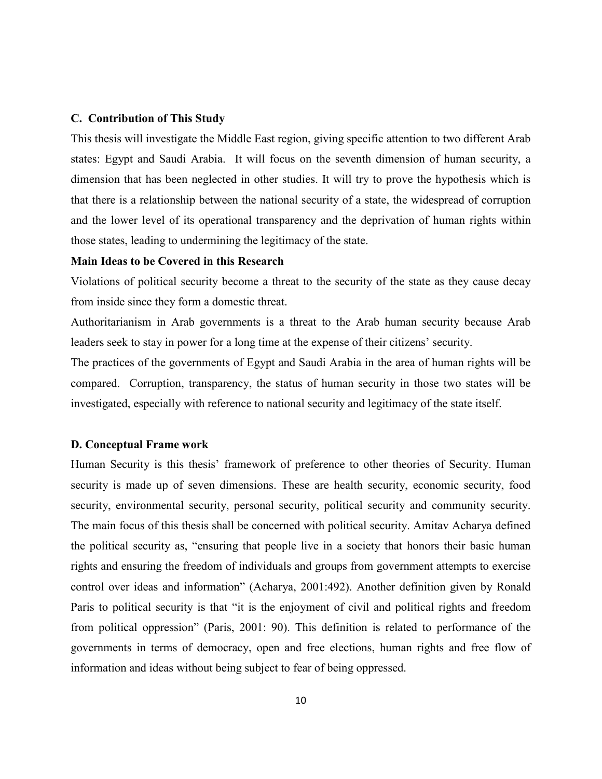### **C. Contribution of This Study**

This thesis will investigate the Middle East region, giving specific attention to two different Arab states: Egypt and Saudi Arabia. It will focus on the seventh dimension of human security, a dimension that has been neglected in other studies. It will try to prove the hypothesis which is that there is a relationship between the national security of a state, the widespread of corruption and the lower level of its operational transparency and the deprivation of human rights within those states, leading to undermining the legitimacy of the state.

### **Main Ideas to be Covered in this Research**

Violations of political security become a threat to the security of the state as they cause decay from inside since they form a domestic threat.

Authoritarianism in Arab governments is a threat to the Arab human security because Arab leaders seek to stay in power for a long time at the expense of their citizens' security.

The practices of the governments of Egypt and Saudi Arabia in the area of human rights will be compared. Corruption, transparency, the status of human security in those two states will be investigated, especially with reference to national security and legitimacy of the state itself.

### **D. Conceptual Frame work**

Human Security is this thesis' framework of preference to other theories of Security. Human security is made up of seven dimensions. These are health security, economic security, food security, environmental security, personal security, political security and community security. The main focus of this thesis shall be concerned with political security. Amitav Acharya defined the political security as, "ensuring that people live in a society that honors their basic human rights and ensuring the freedom of individuals and groups from government attempts to exercise control over ideas and information" (Acharya, 2001:492). Another definition given by Ronald Paris to political security is that "it is the enjoyment of civil and political rights and freedom from political oppression" (Paris, 2001: 90). This definition is related to performance of the governments in terms of democracy, open and free elections, human rights and free flow of information and ideas without being subject to fear of being oppressed.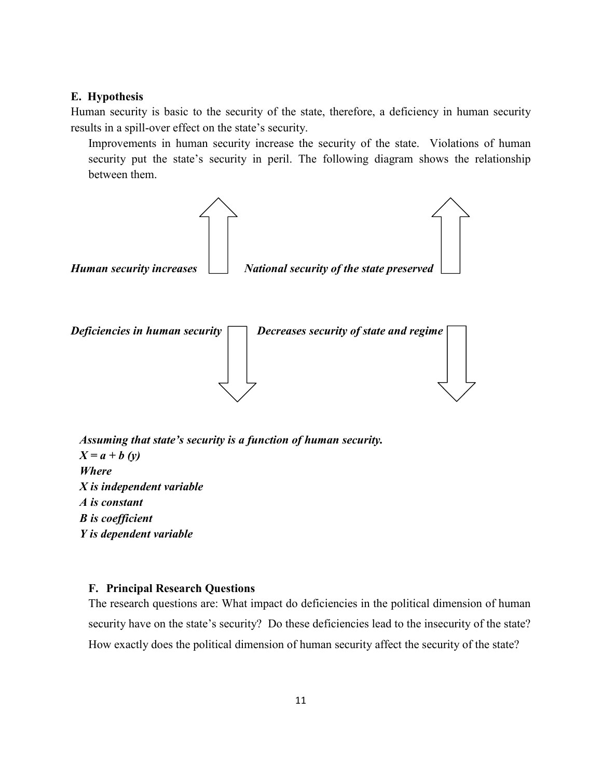### **E. Hypothesis**

Human security is basic to the security of the state, therefore, a deficiency in human security results in a spill-over effect on the state's security.

Improvements in human security increase the security of the state. Violations of human security put the state's security in peril. The following diagram shows the relationship between them.



*Assuming that state's security is a function of human security.*   $X = a + b (v)$ *Where X is independent variable A is constant B is coefficient Y is dependent variable* 

### **F. Principal Research Questions**

The research questions are: What impact do deficiencies in the political dimension of human security have on the state's security? Do these deficiencies lead to the insecurity of the state? How exactly does the political dimension of human security affect the security of the state?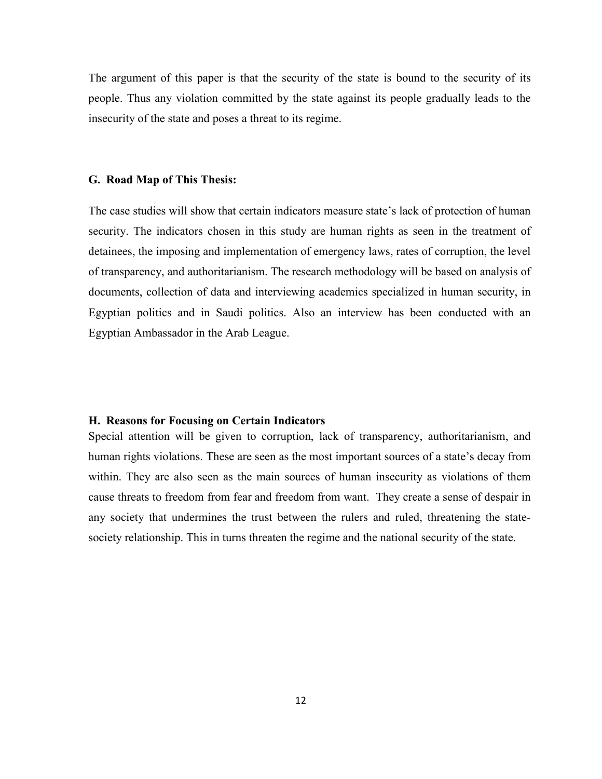The argument of this paper is that the security of the state is bound to the security of its people. Thus any violation committed by the state against its people gradually leads to the insecurity of the state and poses a threat to its regime.

### **G. Road Map of This Thesis:**

The case studies will show that certain indicators measure state's lack of protection of human security. The indicators chosen in this study are human rights as seen in the treatment of detainees, the imposing and implementation of emergency laws, rates of corruption, the level of transparency, and authoritarianism. The research methodology will be based on analysis of documents, collection of data and interviewing academics specialized in human security, in Egyptian politics and in Saudi politics. Also an interview has been conducted with an Egyptian Ambassador in the Arab League.

### **H. Reasons for Focusing on Certain Indicators**

Special attention will be given to corruption, lack of transparency, authoritarianism, and human rights violations. These are seen as the most important sources of a state's decay from within. They are also seen as the main sources of human insecurity as violations of them cause threats to freedom from fear and freedom from want. They create a sense of despair in any society that undermines the trust between the rulers and ruled, threatening the statesociety relationship. This in turns threaten the regime and the national security of the state.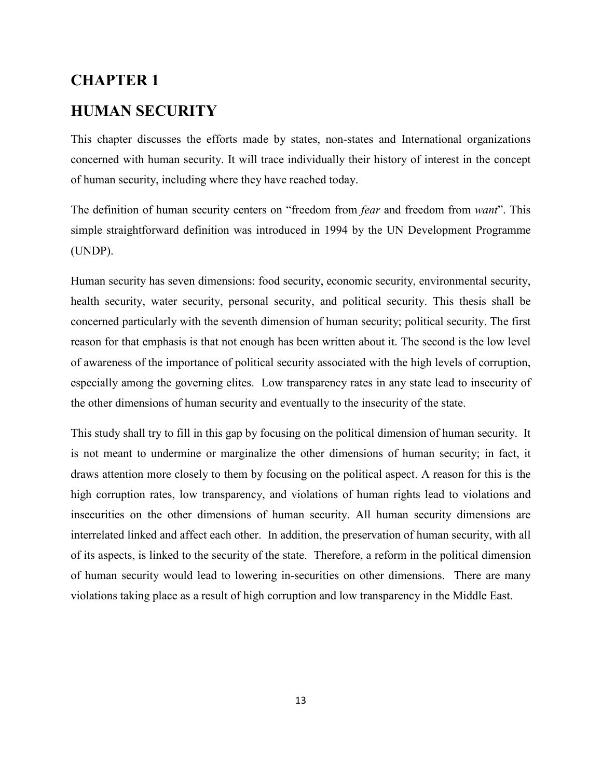# **CHAPTER 1 HUMAN SECURITY**

This chapter discusses the efforts made by states, non-states and International organizations concerned with human security. It will trace individually their history of interest in the concept of human security, including where they have reached today.

The definition of human security centers on "freedom from *fear* and freedom from *want*". This simple straightforward definition was introduced in 1994 by the UN Development Programme (UNDP).

Human security has seven dimensions: food security, economic security, environmental security, health security, water security, personal security, and political security. This thesis shall be concerned particularly with the seventh dimension of human security; political security. The first reason for that emphasis is that not enough has been written about it. The second is the low level of awareness of the importance of political security associated with the high levels of corruption, especially among the governing elites. Low transparency rates in any state lead to insecurity of the other dimensions of human security and eventually to the insecurity of the state.

This study shall try to fill in this gap by focusing on the political dimension of human security. It is not meant to undermine or marginalize the other dimensions of human security; in fact, it draws attention more closely to them by focusing on the political aspect. A reason for this is the high corruption rates, low transparency, and violations of human rights lead to violations and insecurities on the other dimensions of human security. All human security dimensions are interrelated linked and affect each other. In addition, the preservation of human security, with all of its aspects, is linked to the security of the state. Therefore, a reform in the political dimension of human security would lead to lowering in-securities on other dimensions. There are many violations taking place as a result of high corruption and low transparency in the Middle East.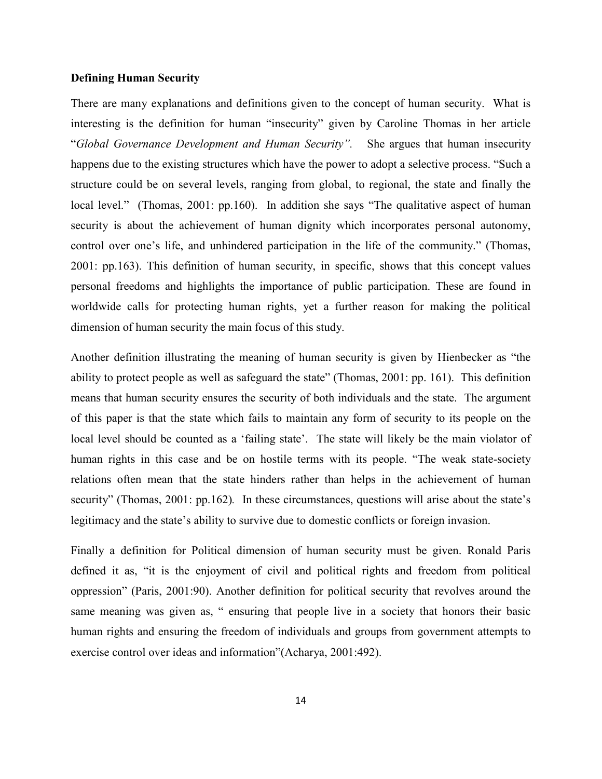### **Defining Human Security**

There are many explanations and definitions given to the concept of human security. What is interesting is the definition for human "insecurity" given by Caroline Thomas in her article "*Global Governance Development and Human Security".* She argues that human insecurity happens due to the existing structures which have the power to adopt a selective process. "Such a structure could be on several levels, ranging from global, to regional, the state and finally the local level." (Thomas, 2001: pp.160). In addition she says "The qualitative aspect of human security is about the achievement of human dignity which incorporates personal autonomy, control over one's life, and unhindered participation in the life of the community." (Thomas, 2001: pp.163). This definition of human security, in specific, shows that this concept values personal freedoms and highlights the importance of public participation. These are found in worldwide calls for protecting human rights, yet a further reason for making the political dimension of human security the main focus of this study.

Another definition illustrating the meaning of human security is given by Hienbecker as "the ability to protect people as well as safeguard the state" (Thomas, 2001: pp. 161). This definition means that human security ensures the security of both individuals and the state. The argument of this paper is that the state which fails to maintain any form of security to its people on the local level should be counted as a 'failing state'. The state will likely be the main violator of human rights in this case and be on hostile terms with its people. "The weak state-society relations often mean that the state hinders rather than helps in the achievement of human security" (Thomas, 2001: pp.162)*.* In these circumstances, questions will arise about the state's legitimacy and the state's ability to survive due to domestic conflicts or foreign invasion.

Finally a definition for Political dimension of human security must be given. Ronald Paris defined it as, "it is the enjoyment of civil and political rights and freedom from political oppression" (Paris, 2001:90). Another definition for political security that revolves around the same meaning was given as, " ensuring that people live in a society that honors their basic human rights and ensuring the freedom of individuals and groups from government attempts to exercise control over ideas and information"(Acharya, 2001:492).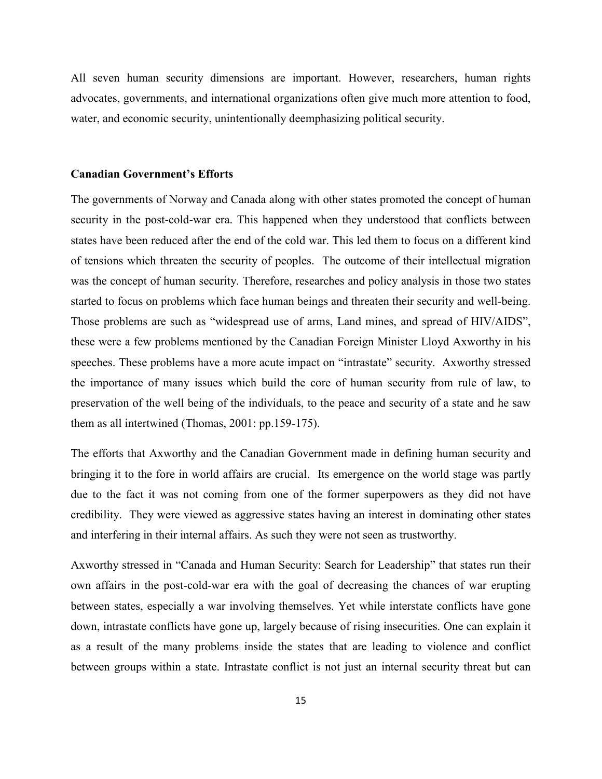All seven human security dimensions are important. However, researchers, human rights advocates, governments, and international organizations often give much more attention to food, water, and economic security, unintentionally deemphasizing political security.

#### **Canadian Government's Efforts**

The governments of Norway and Canada along with other states promoted the concept of human security in the post-cold-war era. This happened when they understood that conflicts between states have been reduced after the end of the cold war. This led them to focus on a different kind of tensions which threaten the security of peoples. The outcome of their intellectual migration was the concept of human security. Therefore, researches and policy analysis in those two states started to focus on problems which face human beings and threaten their security and well-being. Those problems are such as "widespread use of arms, Land mines, and spread of HIV/AIDS", these were a few problems mentioned by the Canadian Foreign Minister Lloyd Axworthy in his speeches. These problems have a more acute impact on "intrastate" security. Axworthy stressed the importance of many issues which build the core of human security from rule of law, to preservation of the well being of the individuals, to the peace and security of a state and he saw them as all intertwined (Thomas, 2001: pp.159-175).

The efforts that Axworthy and the Canadian Government made in defining human security and bringing it to the fore in world affairs are crucial. Its emergence on the world stage was partly due to the fact it was not coming from one of the former superpowers as they did not have credibility. They were viewed as aggressive states having an interest in dominating other states and interfering in their internal affairs. As such they were not seen as trustworthy.

Axworthy stressed in "Canada and Human Security: Search for Leadership" that states run their own affairs in the post-cold-war era with the goal of decreasing the chances of war erupting between states, especially a war involving themselves. Yet while interstate conflicts have gone down, intrastate conflicts have gone up, largely because of rising insecurities. One can explain it as a result of the many problems inside the states that are leading to violence and conflict between groups within a state. Intrastate conflict is not just an internal security threat but can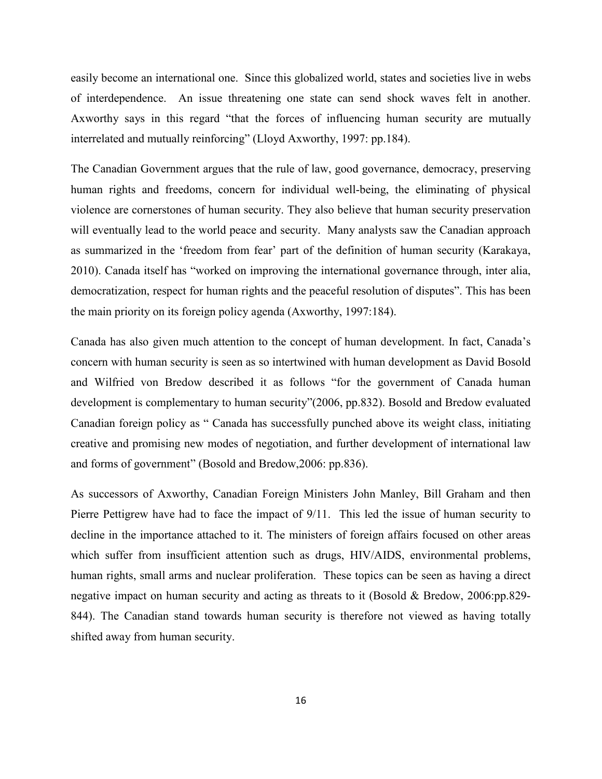easily become an international one. Since this globalized world, states and societies live in webs of interdependence. An issue threatening one state can send shock waves felt in another. Axworthy says in this regard "that the forces of influencing human security are mutually interrelated and mutually reinforcing" (Lloyd Axworthy, 1997: pp.184).

The Canadian Government argues that the rule of law, good governance, democracy, preserving human rights and freedoms, concern for individual well-being, the eliminating of physical violence are cornerstones of human security. They also believe that human security preservation will eventually lead to the world peace and security. Many analysts saw the Canadian approach as summarized in the 'freedom from fear' part of the definition of human security (Karakaya, 2010). Canada itself has "worked on improving the international governance through, inter alia, democratization, respect for human rights and the peaceful resolution of disputes". This has been the main priority on its foreign policy agenda (Axworthy, 1997:184).

Canada has also given much attention to the concept of human development. In fact, Canada's concern with human security is seen as so intertwined with human development as David Bosold and Wilfried von Bredow described it as follows "for the government of Canada human development is complementary to human security"(2006, pp.832). Bosold and Bredow evaluated Canadian foreign policy as " Canada has successfully punched above its weight class, initiating creative and promising new modes of negotiation, and further development of international law and forms of government" (Bosold and Bredow,2006: pp.836).

As successors of Axworthy, Canadian Foreign Ministers John Manley, Bill Graham and then Pierre Pettigrew have had to face the impact of 9/11. This led the issue of human security to decline in the importance attached to it. The ministers of foreign affairs focused on other areas which suffer from insufficient attention such as drugs, HIV/AIDS, environmental problems, human rights, small arms and nuclear proliferation. These topics can be seen as having a direct negative impact on human security and acting as threats to it (Bosold & Bredow, 2006:pp.829- 844). The Canadian stand towards human security is therefore not viewed as having totally shifted away from human security.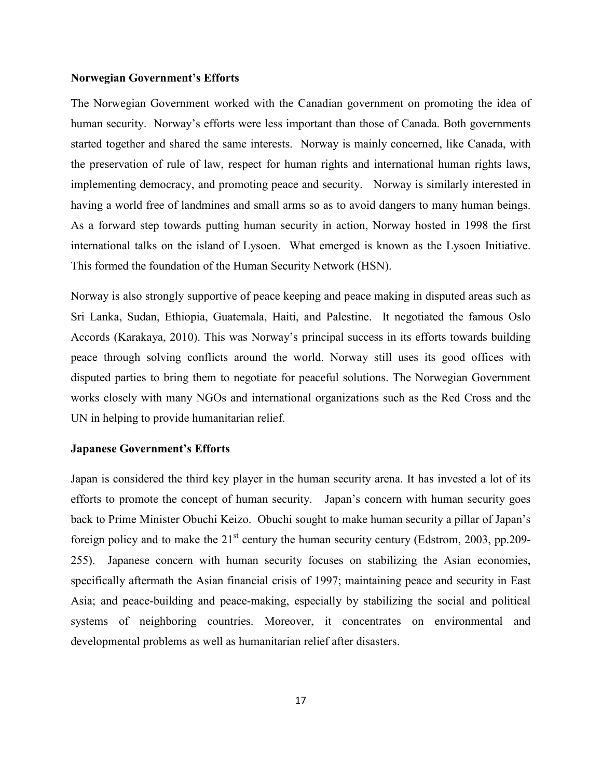### **Norwegian Government's Efforts**

The Norwegian Government worked with the Canadian government on promoting the idea of human security. Norway's efforts were less important than those of Canada. Both governments started together and shared the same interests. Norway is mainly concerned, like Canada, with the preservation of rule of law, respect for human rights and international human rights laws, implementing democracy, and promoting peace and security. Norway is similarly interested in having a world free of landmines and small arms so as to avoid dangers to many human beings. As a forward step towards putting human security in action, Norway hosted in 1998 the first international talks on the island of Lysoen. What emerged is known as the Lysoen Initiative. This formed the foundation of the Human Security Network (HSN).

Norway is also strongly supportive of peace keeping and peace making in disputed areas such as Sri Lanka, Sudan, Ethiopia, Guatemala, Haiti, and Palestine. It negotiated the famous Oslo Accords (Karakaya, 2010). This was Norway's principal success in its efforts towards building peace through solving conflicts around the world. Norway still uses its good offices with disputed parties to bring them to negotiate for peaceful solutions. The Norwegian Government works closely with many NGOs and international organizations such as the Red Cross and the UN in helping to provide humanitarian relief.

### **Japanese Government's Efforts**

Japan is considered the third key player in the human security arena. It has invested a lot of its efforts to promote the concept of human security. Japan's concern with human security goes back to Prime Minister Obuchi Keizo. Obuchi sought to make human security a pillar of Japan's foreign policy and to make the  $21<sup>st</sup>$  century the human security century (Edstrom, 2003, pp.209-255). Japanese concern with human security focuses on stabilizing the Asian economies, specifically aftermath the Asian financial crisis of 1997; maintaining peace and security in East Asia; and peace-building and peace-making, especially by stabilizing the social and political systems of neighboring countries. Moreover, it concentrates on environmental and developmental problems as well as humanitarian relief after disasters.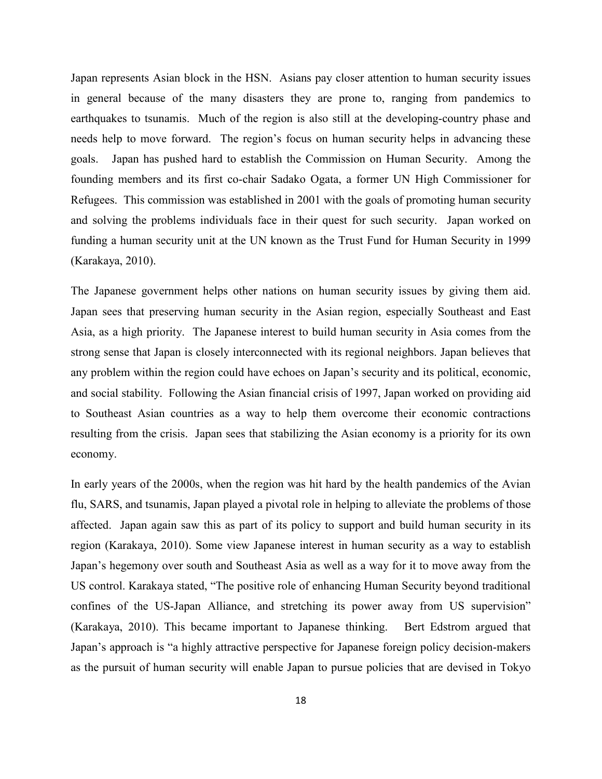Japan represents Asian block in the HSN. Asians pay closer attention to human security issues in general because of the many disasters they are prone to, ranging from pandemics to earthquakes to tsunamis. Much of the region is also still at the developing-country phase and needs help to move forward. The region's focus on human security helps in advancing these goals. Japan has pushed hard to establish the Commission on Human Security. Among the founding members and its first co-chair Sadako Ogata, a former UN High Commissioner for Refugees. This commission was established in 2001 with the goals of promoting human security and solving the problems individuals face in their quest for such security. Japan worked on funding a human security unit at the UN known as the Trust Fund for Human Security in 1999 (Karakaya, 2010).

The Japanese government helps other nations on human security issues by giving them aid. Japan sees that preserving human security in the Asian region, especially Southeast and East Asia, as a high priority. The Japanese interest to build human security in Asia comes from the strong sense that Japan is closely interconnected with its regional neighbors. Japan believes that any problem within the region could have echoes on Japan's security and its political, economic, and social stability. Following the Asian financial crisis of 1997, Japan worked on providing aid to Southeast Asian countries as a way to help them overcome their economic contractions resulting from the crisis. Japan sees that stabilizing the Asian economy is a priority for its own economy.

In early years of the 2000s, when the region was hit hard by the health pandemics of the Avian flu, SARS, and tsunamis, Japan played a pivotal role in helping to alleviate the problems of those affected. Japan again saw this as part of its policy to support and build human security in its region (Karakaya, 2010). Some view Japanese interest in human security as a way to establish Japan's hegemony over south and Southeast Asia as well as a way for it to move away from the US control. Karakaya stated, "The positive role of enhancing Human Security beyond traditional confines of the US-Japan Alliance, and stretching its power away from US supervision" (Karakaya, 2010). This became important to Japanese thinking. Bert Edstrom argued that Japan's approach is "a highly attractive perspective for Japanese foreign policy decision-makers as the pursuit of human security will enable Japan to pursue policies that are devised in Tokyo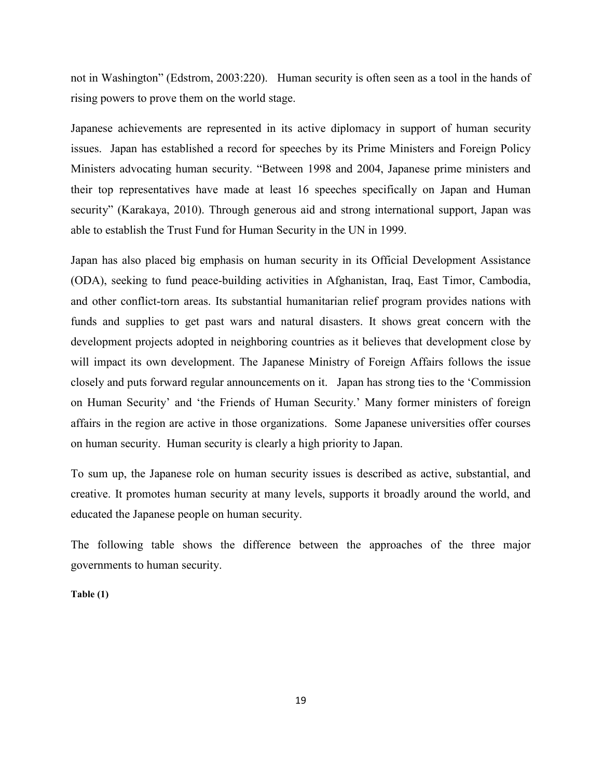not in Washington" (Edstrom, 2003:220). Human security is often seen as a tool in the hands of rising powers to prove them on the world stage.

Japanese achievements are represented in its active diplomacy in support of human security issues. Japan has established a record for speeches by its Prime Ministers and Foreign Policy Ministers advocating human security. "Between 1998 and 2004, Japanese prime ministers and their top representatives have made at least 16 speeches specifically on Japan and Human security" (Karakaya, 2010). Through generous aid and strong international support, Japan was able to establish the Trust Fund for Human Security in the UN in 1999.

Japan has also placed big emphasis on human security in its Official Development Assistance (ODA), seeking to fund peace-building activities in Afghanistan, Iraq, East Timor, Cambodia, and other conflict-torn areas. Its substantial humanitarian relief program provides nations with funds and supplies to get past wars and natural disasters. It shows great concern with the development projects adopted in neighboring countries as it believes that development close by will impact its own development. The Japanese Ministry of Foreign Affairs follows the issue closely and puts forward regular announcements on it. Japan has strong ties to the 'Commission on Human Security' and 'the Friends of Human Security.' Many former ministers of foreign affairs in the region are active in those organizations. Some Japanese universities offer courses on human security. Human security is clearly a high priority to Japan.

To sum up, the Japanese role on human security issues is described as active, substantial, and creative. It promotes human security at many levels, supports it broadly around the world, and educated the Japanese people on human security.

The following table shows the difference between the approaches of the three major governments to human security.

**Table (1)**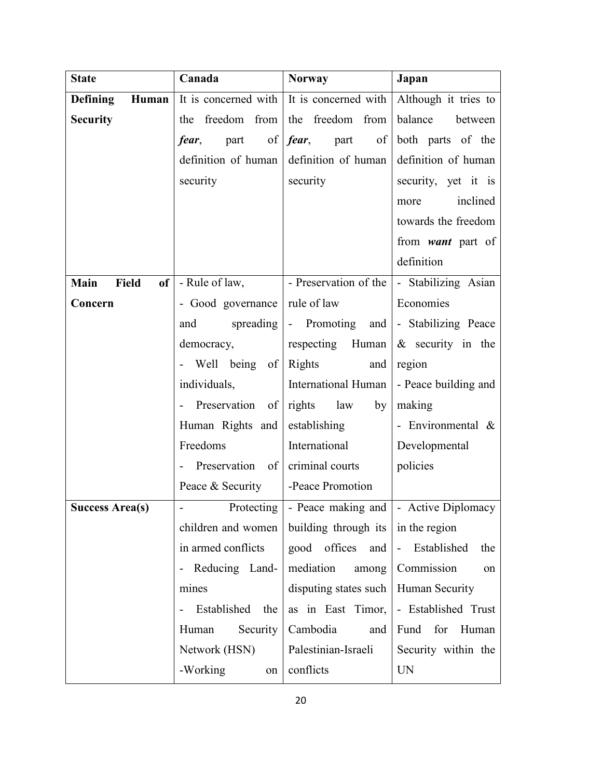| <b>State</b>                          | Canada               | <b>Norway</b><br>Japan                               |                          |  |
|---------------------------------------|----------------------|------------------------------------------------------|--------------------------|--|
| <b>Defining</b><br>Human              | It is concerned with | It is concerned with                                 | Although it tries to     |  |
| <b>Security</b>                       | the freedom from     | the freedom from                                     | balance<br>between       |  |
|                                       | of<br>part<br>fear,  | <i>fear</i> , part<br>$\sigma$ f                     | both parts of the        |  |
|                                       | definition of human  | definition of human                                  | definition of human      |  |
|                                       | security             | security                                             | security, yet it is      |  |
|                                       |                      |                                                      | inclined<br>more         |  |
|                                       |                      |                                                      | towards the freedom      |  |
|                                       |                      |                                                      | from <i>want</i> part of |  |
|                                       |                      |                                                      | definition               |  |
| Field<br><b>Main</b><br><sub>of</sub> | - Rule of law,       | - Preservation of the                                | - Stabilizing Asian      |  |
| Concern                               | - Good governance    | rule of law                                          | Economies                |  |
|                                       | spreading<br>and     | - Promoting<br>and                                   | - Stabilizing Peace      |  |
|                                       | democracy,           | respecting Human                                     | $\&$ security in the     |  |
|                                       | - Well being of      | <b>Rights</b><br>and                                 | region                   |  |
|                                       | individuals,         | International Human                                  | - Peace building and     |  |
|                                       | - Preservation of    | rights law<br>by                                     | making                   |  |
|                                       | Human Rights and     | establishing                                         | - Environmental $\&$     |  |
|                                       | Freedoms             | International                                        | Developmental            |  |
|                                       | - Preservation of    | criminal courts<br>policies                          |                          |  |
|                                       | Peace & Security     | -Peace Promotion                                     |                          |  |
| <b>Success Area(s)</b>                |                      | Protecting   - Peace making and   - Active Diplomacy |                          |  |
|                                       | children and women   | building through its $\vert$ in the region           |                          |  |
|                                       | in armed conflicts   | good offices and                                     | - Established<br>the     |  |
|                                       | - Reducing Land-     | mediation<br>among                                   | Commission<br>on         |  |
|                                       | mines                | disputing states such $\vert$                        | Human Security           |  |
|                                       | - Established the    | as in East Timor,                                    | - Established Trust      |  |
|                                       | Security<br>Human    | Cambodia<br>and                                      | Fund for Human           |  |
|                                       | Network (HSN)        | Palestinian-Israeli                                  | Security within the      |  |
|                                       | -Working<br>on       | conflicts                                            | <b>UN</b>                |  |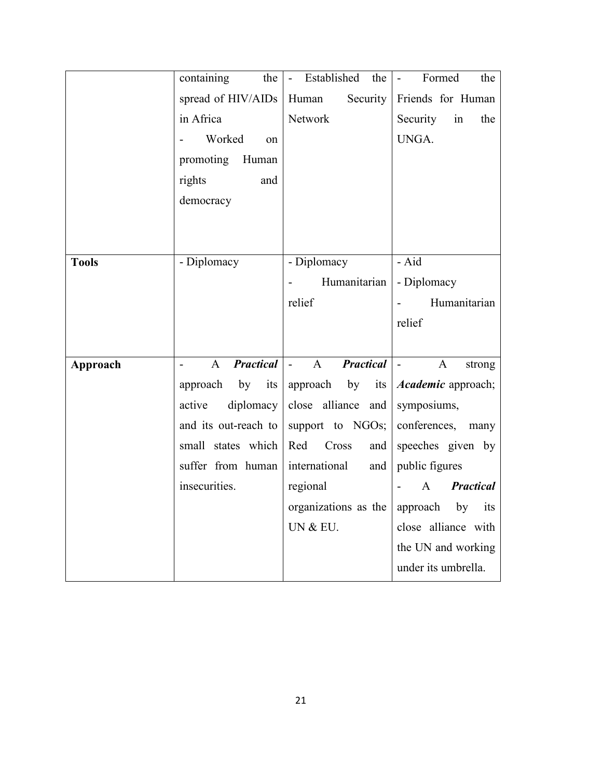|              | containing<br>the                | Established<br>the<br>$\blacksquare$       | Formed<br>the<br>$\blacksquare$          |
|--------------|----------------------------------|--------------------------------------------|------------------------------------------|
|              | spread of HIV/AIDs               | Security<br>Human                          | Friends for Human                        |
|              | in Africa                        | Network                                    | Security<br>in<br>the                    |
|              | Worked<br>on                     |                                            | UNGA.                                    |
|              | promoting<br>Human               |                                            |                                          |
|              | rights<br>and                    |                                            |                                          |
|              | democracy                        |                                            |                                          |
|              |                                  |                                            |                                          |
|              |                                  |                                            |                                          |
| <b>Tools</b> | - Diplomacy                      | - Diplomacy                                | - Aid                                    |
|              |                                  | Humanitarian                               | - Diplomacy                              |
|              |                                  | relief                                     | Humanitarian                             |
|              |                                  |                                            | relief                                   |
|              |                                  |                                            |                                          |
| Approach     | <b>Practical</b><br>$\mathbf{A}$ | <b>Practical</b><br>$\mathbf{A}$<br>$\sim$ | $\mathbf{A}$<br>$\overline{a}$<br>strong |
|              | by<br>approach<br>its            | approach by<br>its                         | <i>Academic</i> approach;                |
|              | diplomacy<br>active              | close alliance and                         | symposiums,                              |
|              | and its out-reach to             | support to NGOs;                           | conferences,<br>many                     |
|              | small states which               | Cross<br>Red<br>and                        | speeches given by                        |
|              | suffer from human                | international<br>and                       | public figures                           |
|              | insecurities.                    | regional                                   | <b>Practical</b><br>A                    |
|              |                                  | organizations as the                       | by<br>approach<br>its                    |
|              |                                  | UN & EU.                                   | close alliance with                      |
|              |                                  |                                            | the UN and working                       |
|              |                                  |                                            | under its umbrella.                      |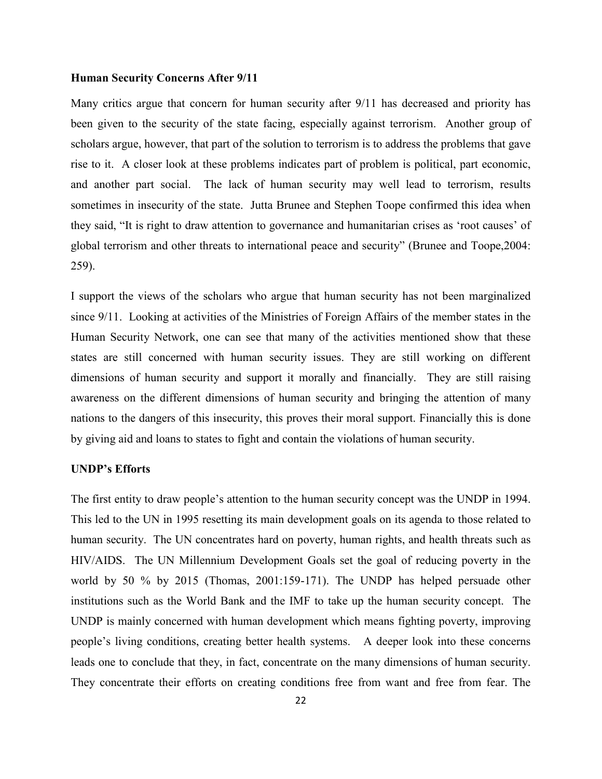### **Human Security Concerns After 9/11**

Many critics argue that concern for human security after 9/11 has decreased and priority has been given to the security of the state facing, especially against terrorism. Another group of scholars argue, however, that part of the solution to terrorism is to address the problems that gave rise to it. A closer look at these problems indicates part of problem is political, part economic, and another part social. The lack of human security may well lead to terrorism, results sometimes in insecurity of the state. Jutta Brunee and Stephen Toope confirmed this idea when they said, "It is right to draw attention to governance and humanitarian crises as 'root causes' of global terrorism and other threats to international peace and security" (Brunee and Toope,2004: 259).

I support the views of the scholars who argue that human security has not been marginalized since 9/11. Looking at activities of the Ministries of Foreign Affairs of the member states in the Human Security Network, one can see that many of the activities mentioned show that these states are still concerned with human security issues. They are still working on different dimensions of human security and support it morally and financially. They are still raising awareness on the different dimensions of human security and bringing the attention of many nations to the dangers of this insecurity, this proves their moral support. Financially this is done by giving aid and loans to states to fight and contain the violations of human security.

### **UNDP's Efforts**

The first entity to draw people's attention to the human security concept was the UNDP in 1994. This led to the UN in 1995 resetting its main development goals on its agenda to those related to human security. The UN concentrates hard on poverty, human rights, and health threats such as HIV/AIDS. The UN Millennium Development Goals set the goal of reducing poverty in the world by 50 % by 2015 (Thomas, 2001:159-171). The UNDP has helped persuade other institutions such as the World Bank and the IMF to take up the human security concept. The UNDP is mainly concerned with human development which means fighting poverty, improving people's living conditions, creating better health systems. A deeper look into these concerns leads one to conclude that they, in fact, concentrate on the many dimensions of human security. They concentrate their efforts on creating conditions free from want and free from fear. The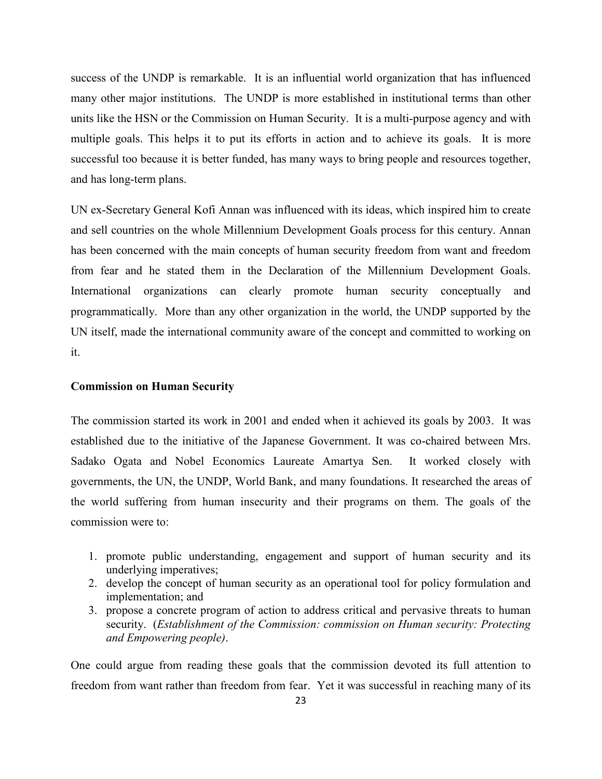success of the UNDP is remarkable. It is an influential world organization that has influenced many other major institutions. The UNDP is more established in institutional terms than other units like the HSN or the Commission on Human Security. It is a multi-purpose agency and with multiple goals. This helps it to put its efforts in action and to achieve its goals. It is more successful too because it is better funded, has many ways to bring people and resources together, and has long-term plans.

UN ex-Secretary General Kofi Annan was influenced with its ideas, which inspired him to create and sell countries on the whole Millennium Development Goals process for this century. Annan has been concerned with the main concepts of human security freedom from want and freedom from fear and he stated them in the Declaration of the Millennium Development Goals. International organizations can clearly promote human security conceptually and programmatically. More than any other organization in the world, the UNDP supported by the UN itself, made the international community aware of the concept and committed to working on it.

### **Commission on Human Security**

The commission started its work in 2001 and ended when it achieved its goals by 2003. It was established due to the initiative of the Japanese Government. It was co-chaired between Mrs. Sadako Ogata and Nobel Economics Laureate Amartya Sen. It worked closely with governments, the UN, the UNDP, World Bank, and many foundations. It researched the areas of the world suffering from human insecurity and their programs on them. The goals of the commission were to:

- 1. promote public understanding, engagement and support of human security and its underlying imperatives;
- 2. develop the concept of human security as an operational tool for policy formulation and implementation; and
- 3. propose a concrete program of action to address critical and pervasive threats to human security. (*Establishment of the Commission: commission on Human security: Protecting and Empowering people)*.

One could argue from reading these goals that the commission devoted its full attention to freedom from want rather than freedom from fear. Yet it was successful in reaching many of its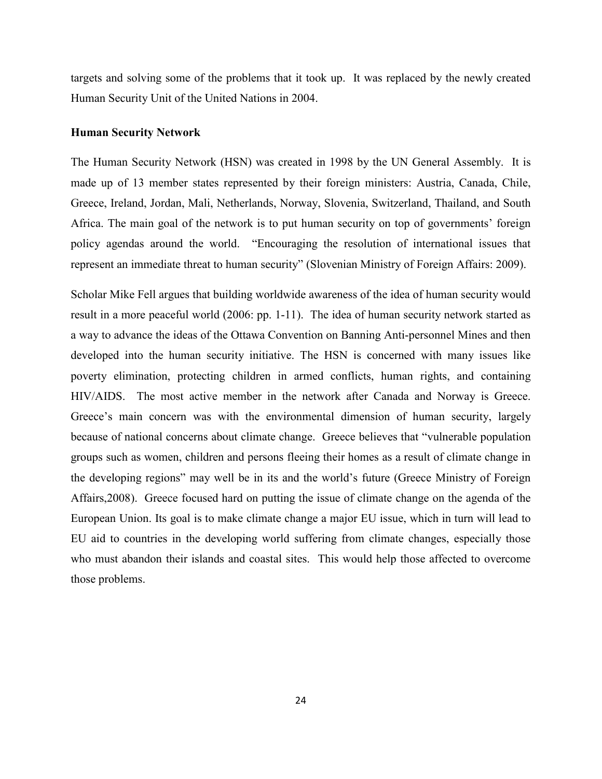targets and solving some of the problems that it took up. It was replaced by the newly created Human Security Unit of the United Nations in 2004.

#### **Human Security Network**

The Human Security Network (HSN) was created in 1998 by the UN General Assembly. It is made up of 13 member states represented by their foreign ministers: Austria, Canada, Chile, Greece, Ireland, Jordan, Mali, Netherlands, Norway, Slovenia, Switzerland, Thailand, and South Africa. The main goal of the network is to put human security on top of governments' foreign policy agendas around the world. "Encouraging the resolution of international issues that represent an immediate threat to human security" (Slovenian Ministry of Foreign Affairs: 2009).

Scholar Mike Fell argues that building worldwide awareness of the idea of human security would result in a more peaceful world (2006: pp. 1-11). The idea of human security network started as a way to advance the ideas of the Ottawa Convention on Banning Anti-personnel Mines and then developed into the human security initiative. The HSN is concerned with many issues like poverty elimination, protecting children in armed conflicts, human rights, and containing HIV/AIDS. The most active member in the network after Canada and Norway is Greece. Greece's main concern was with the environmental dimension of human security, largely because of national concerns about climate change. Greece believes that "vulnerable population groups such as women, children and persons fleeing their homes as a result of climate change in the developing regions" may well be in its and the world's future (Greece Ministry of Foreign Affairs,2008). Greece focused hard on putting the issue of climate change on the agenda of the European Union. Its goal is to make climate change a major EU issue, which in turn will lead to EU aid to countries in the developing world suffering from climate changes, especially those who must abandon their islands and coastal sites. This would help those affected to overcome those problems.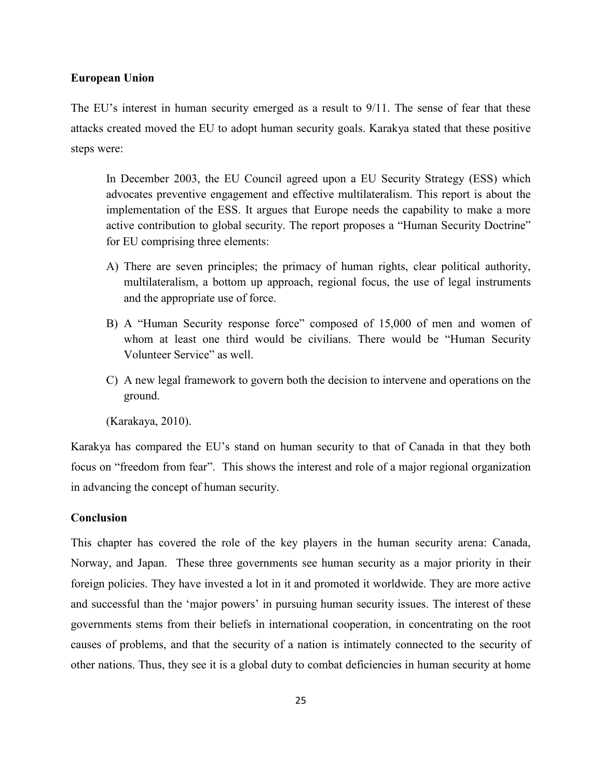### **European Union**

The EU's interest in human security emerged as a result to 9/11. The sense of fear that these attacks created moved the EU to adopt human security goals. Karakya stated that these positive steps were:

In December 2003, the EU Council agreed upon a EU Security Strategy (ESS) which advocates preventive engagement and effective multilateralism. This report is about the implementation of the ESS. It argues that Europe needs the capability to make a more active contribution to global security. The report proposes a "Human Security Doctrine" for EU comprising three elements:

- A) There are seven principles; the primacy of human rights, clear political authority, multilateralism, a bottom up approach, regional focus, the use of legal instruments and the appropriate use of force.
- B) A "Human Security response force" composed of 15,000 of men and women of whom at least one third would be civilians. There would be "Human Security Volunteer Service" as well.
- C) A new legal framework to govern both the decision to intervene and operations on the ground.
- (Karakaya, 2010).

Karakya has compared the EU's stand on human security to that of Canada in that they both focus on "freedom from fear". This shows the interest and role of a major regional organization in advancing the concept of human security.

### **Conclusion**

This chapter has covered the role of the key players in the human security arena: Canada, Norway, and Japan. These three governments see human security as a major priority in their foreign policies. They have invested a lot in it and promoted it worldwide. They are more active and successful than the 'major powers' in pursuing human security issues. The interest of these governments stems from their beliefs in international cooperation, in concentrating on the root causes of problems, and that the security of a nation is intimately connected to the security of other nations. Thus, they see it is a global duty to combat deficiencies in human security at home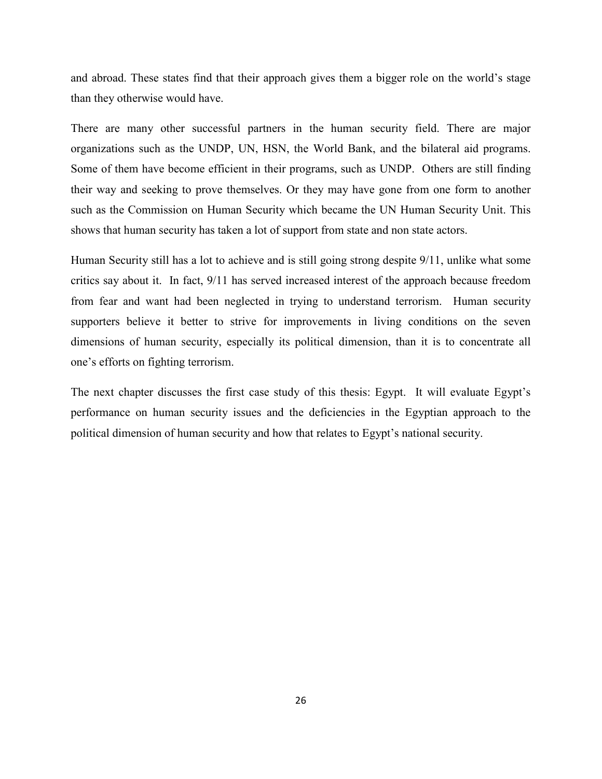and abroad. These states find that their approach gives them a bigger role on the world's stage than they otherwise would have.

There are many other successful partners in the human security field. There are major organizations such as the UNDP, UN, HSN, the World Bank, and the bilateral aid programs. Some of them have become efficient in their programs, such as UNDP. Others are still finding their way and seeking to prove themselves. Or they may have gone from one form to another such as the Commission on Human Security which became the UN Human Security Unit. This shows that human security has taken a lot of support from state and non state actors.

Human Security still has a lot to achieve and is still going strong despite 9/11, unlike what some critics say about it. In fact, 9/11 has served increased interest of the approach because freedom from fear and want had been neglected in trying to understand terrorism. Human security supporters believe it better to strive for improvements in living conditions on the seven dimensions of human security, especially its political dimension, than it is to concentrate all one's efforts on fighting terrorism.

The next chapter discusses the first case study of this thesis: Egypt. It will evaluate Egypt's performance on human security issues and the deficiencies in the Egyptian approach to the political dimension of human security and how that relates to Egypt's national security.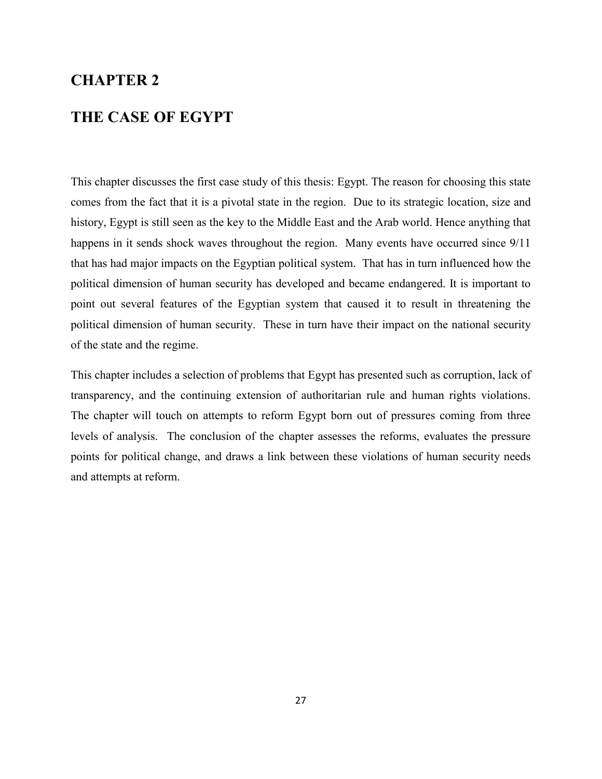## **CHAPTER 2**

### **THE CASE OF EGYPT**

This chapter discusses the first case study of this thesis: Egypt. The reason for choosing this state comes from the fact that it is a pivotal state in the region. Due to its strategic location, size and history, Egypt is still seen as the key to the Middle East and the Arab world. Hence anything that happens in it sends shock waves throughout the region. Many events have occurred since  $9/11$ that has had major impacts on the Egyptian political system. That has in turn influenced how the political dimension of human security has developed and became endangered. It is important to point out several features of the Egyptian system that caused it to result in threatening the political dimension of human security. These in turn have their impact on the national security of the state and the regime.

This chapter includes a selection of problems that Egypt has presented such as corruption, lack of transparency, and the continuing extension of authoritarian rule and human rights violations. The chapter will touch on attempts to reform Egypt born out of pressures coming from three levels of analysis. The conclusion of the chapter assesses the reforms, evaluates the pressure points for political change, and draws a link between these violations of human security needs and attempts at reform.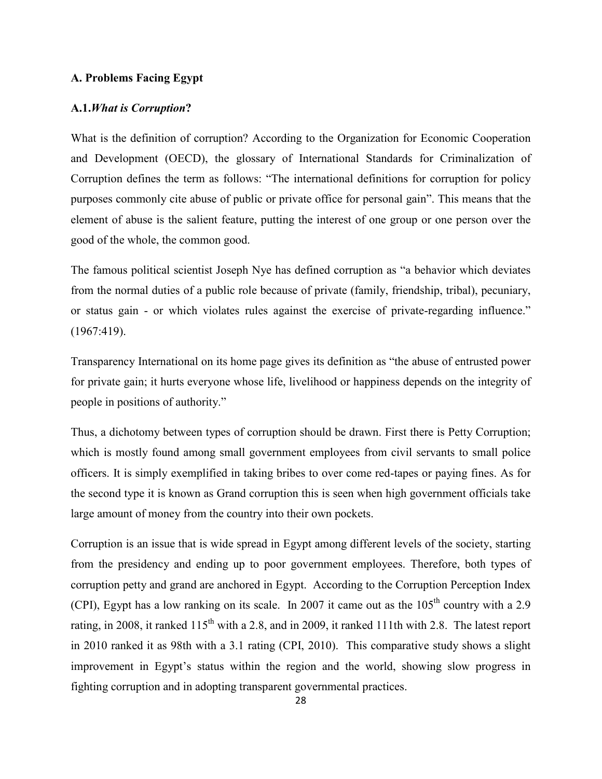### **A. Problems Facing Egypt**

### **A.1.***What is Corruption***?**

What is the definition of corruption? According to the Organization for Economic Cooperation and Development (OECD), the glossary of International Standards for Criminalization of Corruption defines the term as follows: "The international definitions for corruption for policy purposes commonly cite abuse of public or private office for personal gain". This means that the element of abuse is the salient feature, putting the interest of one group or one person over the good of the whole, the common good.

The famous political scientist Joseph Nye has defined corruption as "a behavior which deviates from the normal duties of a public role because of private (family, friendship, tribal), pecuniary, or status gain - or which violates rules against the exercise of private-regarding influence." (1967:419).

Transparency International on its home page gives its definition as "the abuse of entrusted power for private gain; it hurts everyone whose life, livelihood or happiness depends on the integrity of people in positions of authority."

Thus, a dichotomy between types of corruption should be drawn. First there is Petty Corruption; which is mostly found among small government employees from civil servants to small police officers. It is simply exemplified in taking bribes to over come red-tapes or paying fines. As for the second type it is known as Grand corruption this is seen when high government officials take large amount of money from the country into their own pockets.

Corruption is an issue that is wide spread in Egypt among different levels of the society, starting from the presidency and ending up to poor government employees. Therefore, both types of corruption petty and grand are anchored in Egypt. According to the Corruption Perception Index (CPI), Egypt has a low ranking on its scale. In 2007 it came out as the  $105<sup>th</sup>$  country with a 2.9 rating, in 2008, it ranked  $115<sup>th</sup>$  with a 2.8, and in 2009, it ranked 111th with 2.8. The latest report in 2010 ranked it as 98th with a 3.1 rating (CPI, 2010). This comparative study shows a slight improvement in Egypt's status within the region and the world, showing slow progress in fighting corruption and in adopting transparent governmental practices.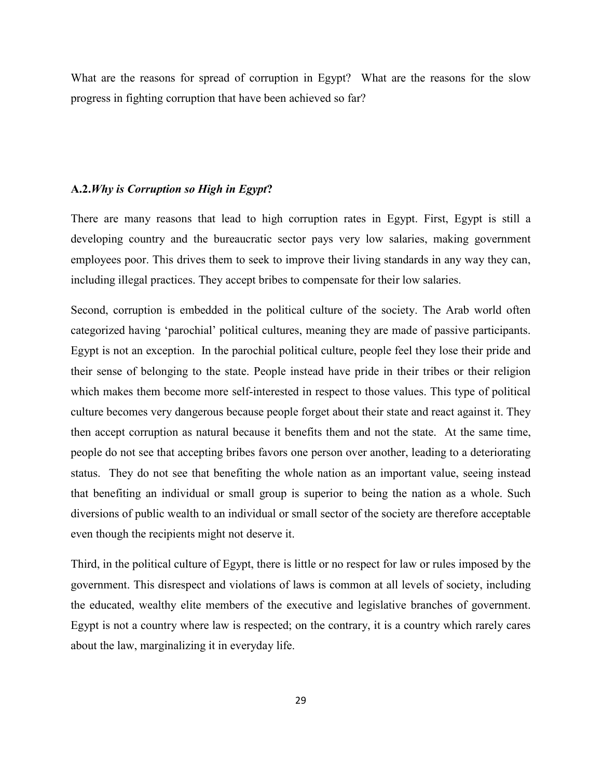What are the reasons for spread of corruption in Egypt? What are the reasons for the slow progress in fighting corruption that have been achieved so far?

### **A.2.***Why is Corruption so High in Egypt***?**

There are many reasons that lead to high corruption rates in Egypt. First, Egypt is still a developing country and the bureaucratic sector pays very low salaries, making government employees poor. This drives them to seek to improve their living standards in any way they can, including illegal practices. They accept bribes to compensate for their low salaries.

Second, corruption is embedded in the political culture of the society. The Arab world often categorized having 'parochial' political cultures, meaning they are made of passive participants. Egypt is not an exception. In the parochial political culture, people feel they lose their pride and their sense of belonging to the state. People instead have pride in their tribes or their religion which makes them become more self-interested in respect to those values. This type of political culture becomes very dangerous because people forget about their state and react against it. They then accept corruption as natural because it benefits them and not the state. At the same time, people do not see that accepting bribes favors one person over another, leading to a deteriorating status. They do not see that benefiting the whole nation as an important value, seeing instead that benefiting an individual or small group is superior to being the nation as a whole. Such diversions of public wealth to an individual or small sector of the society are therefore acceptable even though the recipients might not deserve it.

Third, in the political culture of Egypt, there is little or no respect for law or rules imposed by the government. This disrespect and violations of laws is common at all levels of society, including the educated, wealthy elite members of the executive and legislative branches of government. Egypt is not a country where law is respected; on the contrary, it is a country which rarely cares about the law, marginalizing it in everyday life.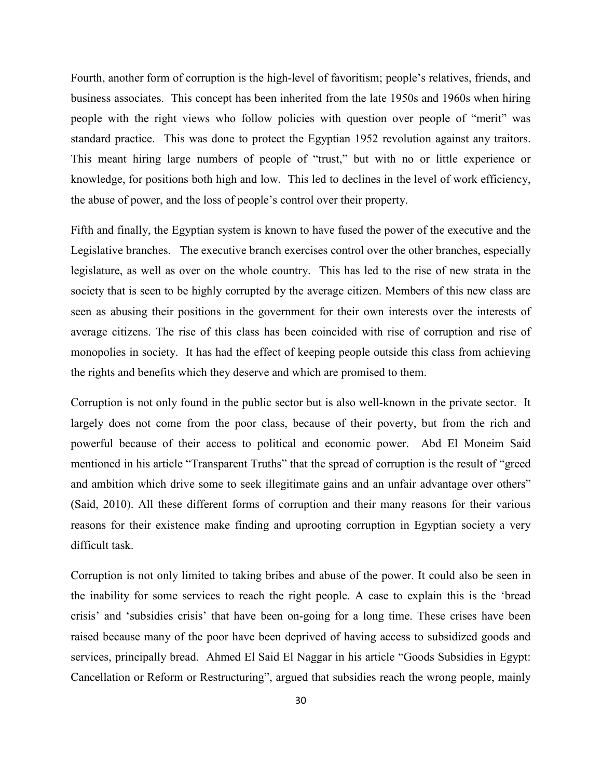Fourth, another form of corruption is the high-level of favoritism; people's relatives, friends, and business associates. This concept has been inherited from the late 1950s and 1960s when hiring people with the right views who follow policies with question over people of "merit" was standard practice. This was done to protect the Egyptian 1952 revolution against any traitors. This meant hiring large numbers of people of "trust," but with no or little experience or knowledge, for positions both high and low. This led to declines in the level of work efficiency, the abuse of power, and the loss of people's control over their property.

Fifth and finally, the Egyptian system is known to have fused the power of the executive and the Legislative branches. The executive branch exercises control over the other branches, especially legislature, as well as over on the whole country. This has led to the rise of new strata in the society that is seen to be highly corrupted by the average citizen. Members of this new class are seen as abusing their positions in the government for their own interests over the interests of average citizens. The rise of this class has been coincided with rise of corruption and rise of monopolies in society. It has had the effect of keeping people outside this class from achieving the rights and benefits which they deserve and which are promised to them.

Corruption is not only found in the public sector but is also well-known in the private sector. It largely does not come from the poor class, because of their poverty, but from the rich and powerful because of their access to political and economic power. Abd El Moneim Said mentioned in his article "Transparent Truths" that the spread of corruption is the result of "greed and ambition which drive some to seek illegitimate gains and an unfair advantage over others" (Said, 2010). All these different forms of corruption and their many reasons for their various reasons for their existence make finding and uprooting corruption in Egyptian society a very difficult task.

Corruption is not only limited to taking bribes and abuse of the power. It could also be seen in the inability for some services to reach the right people. A case to explain this is the 'bread crisis' and 'subsidies crisis' that have been on-going for a long time. These crises have been raised because many of the poor have been deprived of having access to subsidized goods and services, principally bread. Ahmed El Said El Naggar in his article "Goods Subsidies in Egypt: Cancellation or Reform or Restructuring", argued that subsidies reach the wrong people, mainly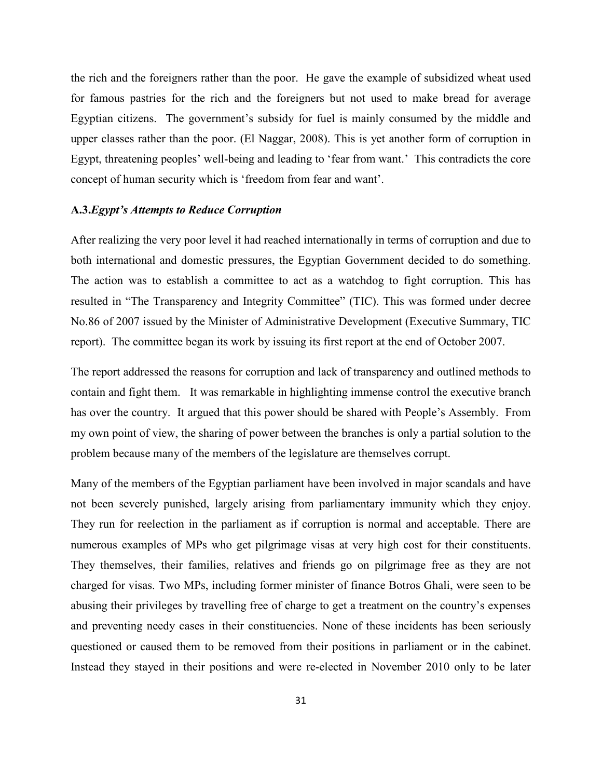the rich and the foreigners rather than the poor. He gave the example of subsidized wheat used for famous pastries for the rich and the foreigners but not used to make bread for average Egyptian citizens. The government's subsidy for fuel is mainly consumed by the middle and upper classes rather than the poor. (El Naggar, 2008). This is yet another form of corruption in Egypt, threatening peoples' well-being and leading to 'fear from want.' This contradicts the core concept of human security which is 'freedom from fear and want'.

### **A.3.***Egypt's Attempts to Reduce Corruption*

After realizing the very poor level it had reached internationally in terms of corruption and due to both international and domestic pressures, the Egyptian Government decided to do something. The action was to establish a committee to act as a watchdog to fight corruption. This has resulted in "The Transparency and Integrity Committee" (TIC). This was formed under decree No.86 of 2007 issued by the Minister of Administrative Development (Executive Summary, TIC report). The committee began its work by issuing its first report at the end of October 2007.

The report addressed the reasons for corruption and lack of transparency and outlined methods to contain and fight them. It was remarkable in highlighting immense control the executive branch has over the country. It argued that this power should be shared with People's Assembly. From my own point of view, the sharing of power between the branches is only a partial solution to the problem because many of the members of the legislature are themselves corrupt.

Many of the members of the Egyptian parliament have been involved in major scandals and have not been severely punished, largely arising from parliamentary immunity which they enjoy. They run for reelection in the parliament as if corruption is normal and acceptable. There are numerous examples of MPs who get pilgrimage visas at very high cost for their constituents. They themselves, their families, relatives and friends go on pilgrimage free as they are not charged for visas. Two MPs, including former minister of finance Botros Ghali, were seen to be abusing their privileges by travelling free of charge to get a treatment on the country's expenses and preventing needy cases in their constituencies. None of these incidents has been seriously questioned or caused them to be removed from their positions in parliament or in the cabinet. Instead they stayed in their positions and were re-elected in November 2010 only to be later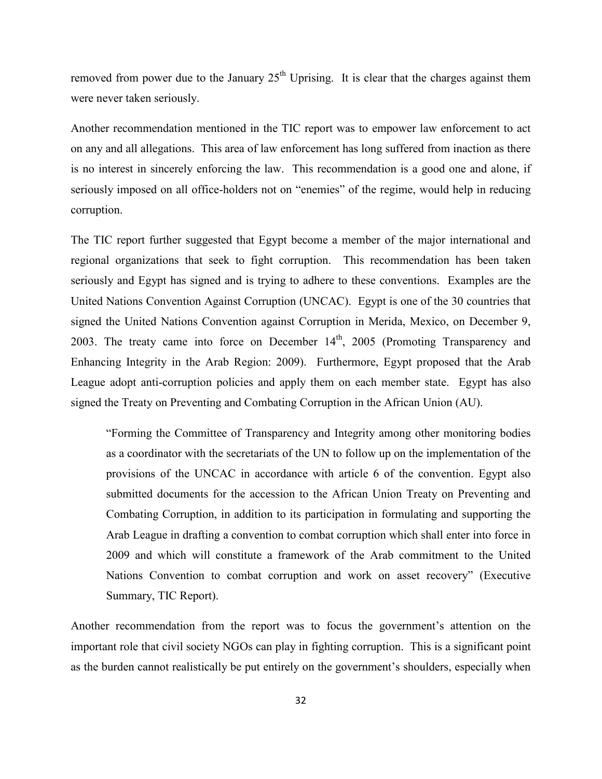removed from power due to the January  $25<sup>th</sup>$  Uprising. It is clear that the charges against them were never taken seriously.

Another recommendation mentioned in the TIC report was to empower law enforcement to act on any and all allegations. This area of law enforcement has long suffered from inaction as there is no interest in sincerely enforcing the law. This recommendation is a good one and alone, if seriously imposed on all office-holders not on "enemies" of the regime, would help in reducing corruption.

The TIC report further suggested that Egypt become a member of the major international and regional organizations that seek to fight corruption. This recommendation has been taken seriously and Egypt has signed and is trying to adhere to these conventions. Examples are the United Nations Convention Against Corruption (UNCAC). Egypt is one of the 30 countries that signed the United Nations Convention against Corruption in Merida, Mexico, on December 9, 2003. The treaty came into force on December  $14<sup>th</sup>$ , 2005 (Promoting Transparency and Enhancing Integrity in the Arab Region: 2009). Furthermore, Egypt proposed that the Arab League adopt anti-corruption policies and apply them on each member state. Egypt has also signed the Treaty on Preventing and Combating Corruption in the African Union (AU).

"Forming the Committee of Transparency and Integrity among other monitoring bodies as a coordinator with the secretariats of the UN to follow up on the implementation of the provisions of the UNCAC in accordance with article 6 of the convention. Egypt also submitted documents for the accession to the African Union Treaty on Preventing and Combating Corruption, in addition to its participation in formulating and supporting the Arab League in drafting a convention to combat corruption which shall enter into force in 2009 and which will constitute a framework of the Arab commitment to the United Nations Convention to combat corruption and work on asset recovery" (Executive Summary, TIC Report).

Another recommendation from the report was to focus the government's attention on the important role that civil society NGOs can play in fighting corruption. This is a significant point as the burden cannot realistically be put entirely on the government's shoulders, especially when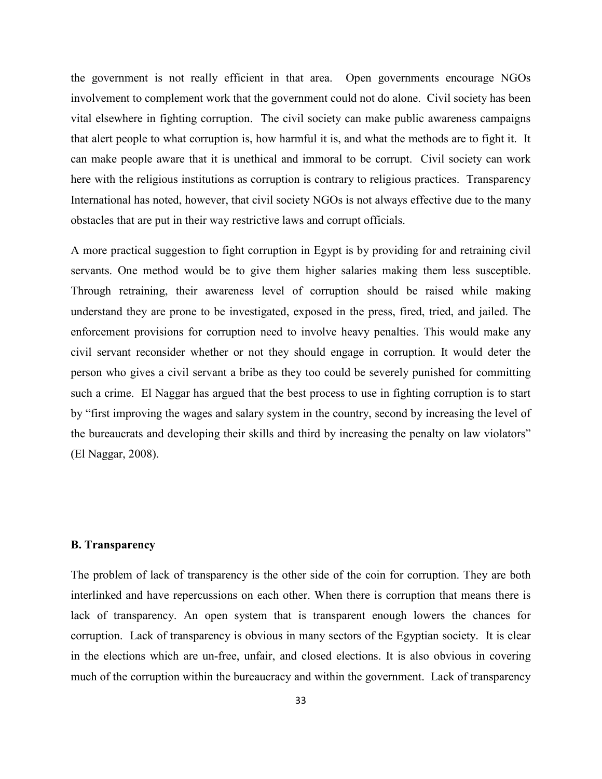the government is not really efficient in that area. Open governments encourage NGOs involvement to complement work that the government could not do alone. Civil society has been vital elsewhere in fighting corruption. The civil society can make public awareness campaigns that alert people to what corruption is, how harmful it is, and what the methods are to fight it. It can make people aware that it is unethical and immoral to be corrupt. Civil society can work here with the religious institutions as corruption is contrary to religious practices. Transparency International has noted, however, that civil society NGOs is not always effective due to the many obstacles that are put in their way restrictive laws and corrupt officials.

A more practical suggestion to fight corruption in Egypt is by providing for and retraining civil servants. One method would be to give them higher salaries making them less susceptible. Through retraining, their awareness level of corruption should be raised while making understand they are prone to be investigated, exposed in the press, fired, tried, and jailed. The enforcement provisions for corruption need to involve heavy penalties. This would make any civil servant reconsider whether or not they should engage in corruption. It would deter the person who gives a civil servant a bribe as they too could be severely punished for committing such a crime. El Naggar has argued that the best process to use in fighting corruption is to start by "first improving the wages and salary system in the country, second by increasing the level of the bureaucrats and developing their skills and third by increasing the penalty on law violators" (El Naggar, 2008).

### **B. Transparency**

The problem of lack of transparency is the other side of the coin for corruption. They are both interlinked and have repercussions on each other. When there is corruption that means there is lack of transparency. An open system that is transparent enough lowers the chances for corruption. Lack of transparency is obvious in many sectors of the Egyptian society. It is clear in the elections which are un-free, unfair, and closed elections. It is also obvious in covering much of the corruption within the bureaucracy and within the government. Lack of transparency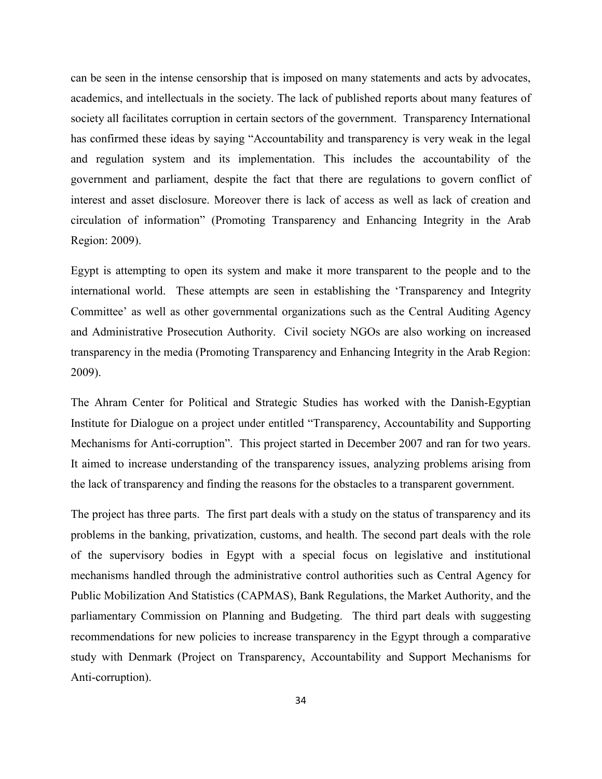can be seen in the intense censorship that is imposed on many statements and acts by advocates, academics, and intellectuals in the society. The lack of published reports about many features of society all facilitates corruption in certain sectors of the government. Transparency International has confirmed these ideas by saying "Accountability and transparency is very weak in the legal and regulation system and its implementation. This includes the accountability of the government and parliament, despite the fact that there are regulations to govern conflict of interest and asset disclosure. Moreover there is lack of access as well as lack of creation and circulation of information" (Promoting Transparency and Enhancing Integrity in the Arab Region: 2009).

Egypt is attempting to open its system and make it more transparent to the people and to the international world. These attempts are seen in establishing the 'Transparency and Integrity Committee' as well as other governmental organizations such as the Central Auditing Agency and Administrative Prosecution Authority. Civil society NGOs are also working on increased transparency in the media (Promoting Transparency and Enhancing Integrity in the Arab Region: 2009).

The Ahram Center for Political and Strategic Studies has worked with the Danish-Egyptian Institute for Dialogue on a project under entitled "Transparency, Accountability and Supporting Mechanisms for Anti-corruption". This project started in December 2007 and ran for two years. It aimed to increase understanding of the transparency issues, analyzing problems arising from the lack of transparency and finding the reasons for the obstacles to a transparent government.

The project has three parts. The first part deals with a study on the status of transparency and its problems in the banking, privatization, customs, and health. The second part deals with the role of the supervisory bodies in Egypt with a special focus on legislative and institutional mechanisms handled through the administrative control authorities such as Central Agency for Public Mobilization And Statistics (CAPMAS), Bank Regulations, the Market Authority, and the parliamentary Commission on Planning and Budgeting. The third part deals with suggesting recommendations for new policies to increase transparency in the Egypt through a comparative study with Denmark (Project on Transparency, Accountability and Support Mechanisms for Anti-corruption).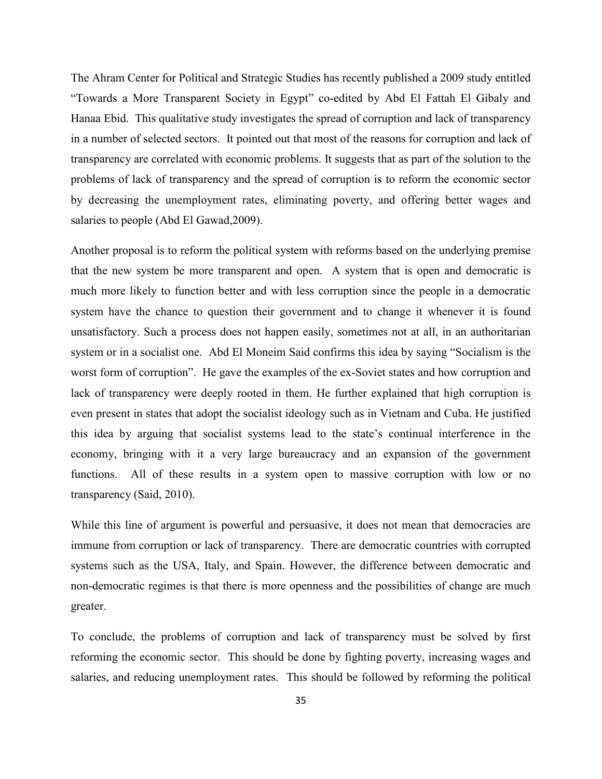The Ahram Center for Political and Strategic Studies has recently published a 2009 study entitled "Towards a More Transparent Society in Egypt" co-edited by Abd El Fattah El Gibaly and Hanaa Ebid. This qualitative study investigates the spread of corruption and lack of transparency in a number of selected sectors. It pointed out that most of the reasons for corruption and lack of transparency are correlated with economic problems. It suggests that as part of the solution to the problems of lack of transparency and the spread of corruption is to reform the economic sector by decreasing the unemployment rates, eliminating poverty, and offering better wages and salaries to people (Abd El Gawad,2009).

Another proposal is to reform the political system with reforms based on the underlying premise that the new system be more transparent and open. A system that is open and democratic is much more likely to function better and with less corruption since the people in a democratic system have the chance to question their government and to change it whenever it is found unsatisfactory. Such a process does not happen easily, sometimes not at all, in an authoritarian system or in a socialist one. Abd El Moneim Said confirms this idea by saying "Socialism is the worst form of corruption". He gave the examples of the ex-Soviet states and how corruption and lack of transparency were deeply rooted in them. He further explained that high corruption is even present in states that adopt the socialist ideology such as in Vietnam and Cuba. He justified this idea by arguing that socialist systems lead to the state's continual interference in the economy, bringing with it a very large bureaucracy and an expansion of the government functions. All of these results in a system open to massive corruption with low or no transparency (Said, 2010).

While this line of argument is powerful and persuasive, it does not mean that democracies are immune from corruption or lack of transparency. There are democratic countries with corrupted systems such as the USA, Italy, and Spain. However, the difference between democratic and non-democratic regimes is that there is more openness and the possibilities of change are much greater.

To conclude, the problems of corruption and lack of transparency must be solved by first reforming the economic sector. This should be done by fighting poverty, increasing wages and salaries, and reducing unemployment rates. This should be followed by reforming the political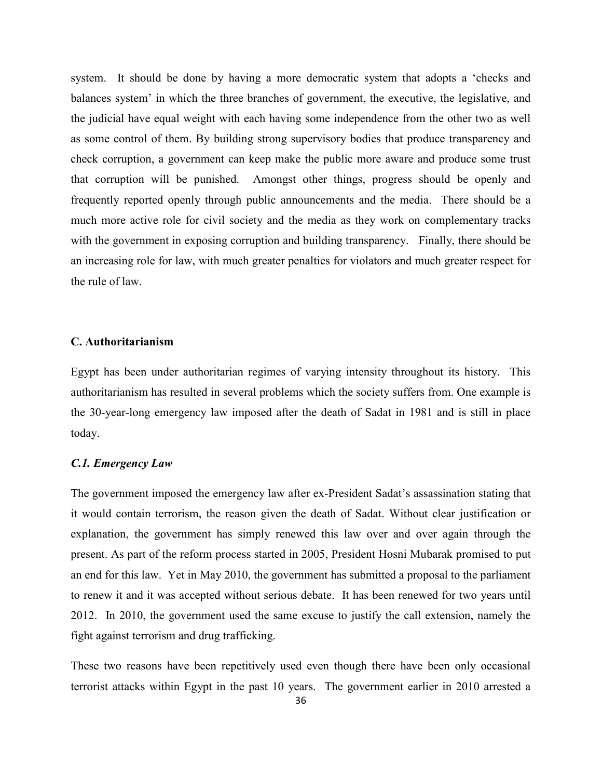system. It should be done by having a more democratic system that adopts a 'checks and balances system' in which the three branches of government, the executive, the legislative, and the judicial have equal weight with each having some independence from the other two as well as some control of them. By building strong supervisory bodies that produce transparency and check corruption, a government can keep make the public more aware and produce some trust that corruption will be punished. Amongst other things, progress should be openly and frequently reported openly through public announcements and the media. There should be a much more active role for civil society and the media as they work on complementary tracks with the government in exposing corruption and building transparency. Finally, there should be an increasing role for law, with much greater penalties for violators and much greater respect for the rule of law.

#### **C. Authoritarianism**

Egypt has been under authoritarian regimes of varying intensity throughout its history. This authoritarianism has resulted in several problems which the society suffers from. One example is the 30-year-long emergency law imposed after the death of Sadat in 1981 and is still in place today.

#### *C.1. Emergency Law*

The government imposed the emergency law after ex-President Sadat's assassination stating that it would contain terrorism, the reason given the death of Sadat. Without clear justification or explanation, the government has simply renewed this law over and over again through the present. As part of the reform process started in 2005, President Hosni Mubarak promised to put an end for this law. Yet in May 2010, the government has submitted a proposal to the parliament to renew it and it was accepted without serious debate. It has been renewed for two years until 2012. In 2010, the government used the same excuse to justify the call extension, namely the fight against terrorism and drug trafficking.

These two reasons have been repetitively used even though there have been only occasional terrorist attacks within Egypt in the past 10 years. The government earlier in 2010 arrested a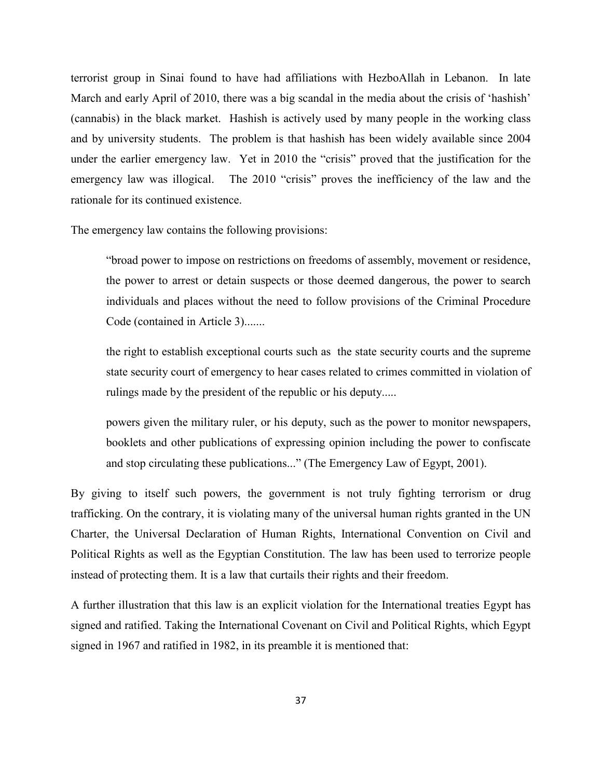terrorist group in Sinai found to have had affiliations with HezboAllah in Lebanon. In late March and early April of 2010, there was a big scandal in the media about the crisis of 'hashish' (cannabis) in the black market. Hashish is actively used by many people in the working class and by university students. The problem is that hashish has been widely available since 2004 under the earlier emergency law. Yet in 2010 the "crisis" proved that the justification for the emergency law was illogical. The 2010 "crisis" proves the inefficiency of the law and the rationale for its continued existence.

The emergency law contains the following provisions:

"broad power to impose on restrictions on freedoms of assembly, movement or residence, the power to arrest or detain suspects or those deemed dangerous, the power to search individuals and places without the need to follow provisions of the Criminal Procedure Code (contained in Article 3).......

the right to establish exceptional courts such as the state security courts and the supreme state security court of emergency to hear cases related to crimes committed in violation of rulings made by the president of the republic or his deputy.....

powers given the military ruler, or his deputy, such as the power to monitor newspapers, booklets and other publications of expressing opinion including the power to confiscate and stop circulating these publications..." (The Emergency Law of Egypt, 2001).

By giving to itself such powers, the government is not truly fighting terrorism or drug trafficking. On the contrary, it is violating many of the universal human rights granted in the UN Charter, the Universal Declaration of Human Rights, International Convention on Civil and Political Rights as well as the Egyptian Constitution. The law has been used to terrorize people instead of protecting them. It is a law that curtails their rights and their freedom.

A further illustration that this law is an explicit violation for the International treaties Egypt has signed and ratified. Taking the International Covenant on Civil and Political Rights, which Egypt signed in 1967 and ratified in 1982, in its preamble it is mentioned that: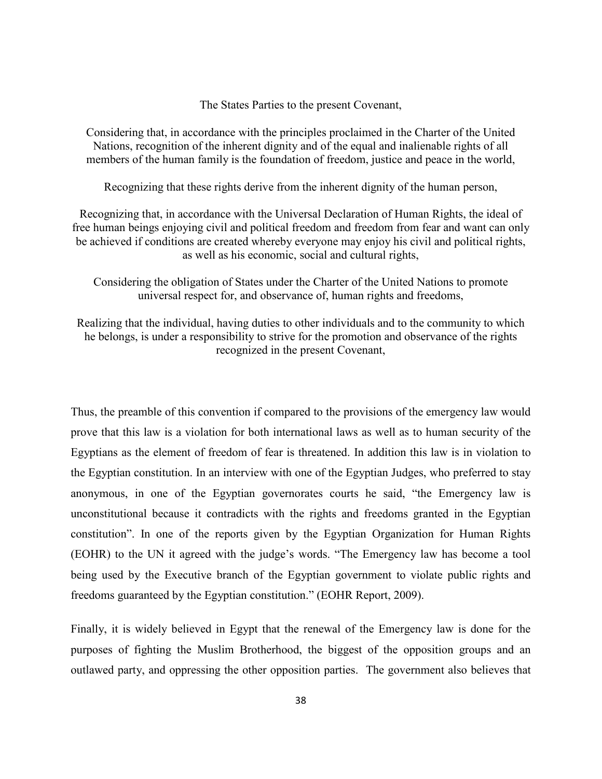The States Parties to the present Covenant,

Considering that, in accordance with the principles proclaimed in the Charter of the United Nations, recognition of the inherent dignity and of the equal and inalienable rights of all members of the human family is the foundation of freedom, justice and peace in the world,

Recognizing that these rights derive from the inherent dignity of the human person,

Recognizing that, in accordance with the Universal Declaration of Human Rights, the ideal of free human beings enjoying civil and political freedom and freedom from fear and want can only be achieved if conditions are created whereby everyone may enjoy his civil and political rights, as well as his economic, social and cultural rights,

Considering the obligation of States under the Charter of the United Nations to promote universal respect for, and observance of, human rights and freedoms,

Realizing that the individual, having duties to other individuals and to the community to which he belongs, is under a responsibility to strive for the promotion and observance of the rights recognized in the present Covenant,

Thus, the preamble of this convention if compared to the provisions of the emergency law would prove that this law is a violation for both international laws as well as to human security of the Egyptians as the element of freedom of fear is threatened. In addition this law is in violation to the Egyptian constitution. In an interview with one of the Egyptian Judges, who preferred to stay anonymous, in one of the Egyptian governorates courts he said, "the Emergency law is unconstitutional because it contradicts with the rights and freedoms granted in the Egyptian constitution". In one of the reports given by the Egyptian Organization for Human Rights (EOHR) to the UN it agreed with the judge's words. "The Emergency law has become a tool being used by the Executive branch of the Egyptian government to violate public rights and freedoms guaranteed by the Egyptian constitution." (EOHR Report, 2009).

Finally, it is widely believed in Egypt that the renewal of the Emergency law is done for the purposes of fighting the Muslim Brotherhood, the biggest of the opposition groups and an outlawed party, and oppressing the other opposition parties. The government also believes that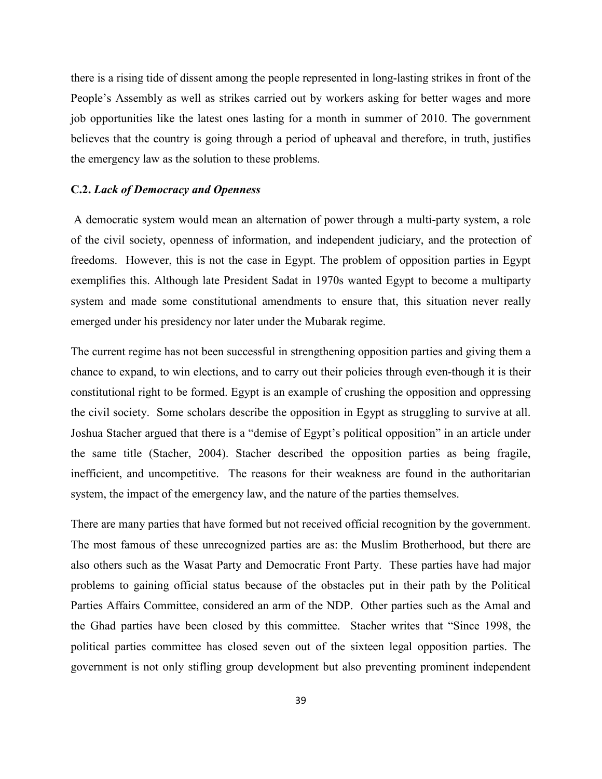there is a rising tide of dissent among the people represented in long-lasting strikes in front of the People's Assembly as well as strikes carried out by workers asking for better wages and more job opportunities like the latest ones lasting for a month in summer of 2010. The government believes that the country is going through a period of upheaval and therefore, in truth, justifies the emergency law as the solution to these problems.

#### **C.2.** *Lack of Democracy and Openness*

A democratic system would mean an alternation of power through a multi-party system, a role of the civil society, openness of information, and independent judiciary, and the protection of freedoms. However, this is not the case in Egypt. The problem of opposition parties in Egypt exemplifies this. Although late President Sadat in 1970s wanted Egypt to become a multiparty system and made some constitutional amendments to ensure that, this situation never really emerged under his presidency nor later under the Mubarak regime.

The current regime has not been successful in strengthening opposition parties and giving them a chance to expand, to win elections, and to carry out their policies through even-though it is their constitutional right to be formed. Egypt is an example of crushing the opposition and oppressing the civil society. Some scholars describe the opposition in Egypt as struggling to survive at all. Joshua Stacher argued that there is a "demise of Egypt's political opposition" in an article under the same title (Stacher, 2004). Stacher described the opposition parties as being fragile, inefficient, and uncompetitive. The reasons for their weakness are found in the authoritarian system, the impact of the emergency law, and the nature of the parties themselves.

There are many parties that have formed but not received official recognition by the government. The most famous of these unrecognized parties are as: the Muslim Brotherhood, but there are also others such as the Wasat Party and Democratic Front Party. These parties have had major problems to gaining official status because of the obstacles put in their path by the Political Parties Affairs Committee, considered an arm of the NDP. Other parties such as the Amal and the Ghad parties have been closed by this committee. Stacher writes that "Since 1998, the political parties committee has closed seven out of the sixteen legal opposition parties. The government is not only stifling group development but also preventing prominent independent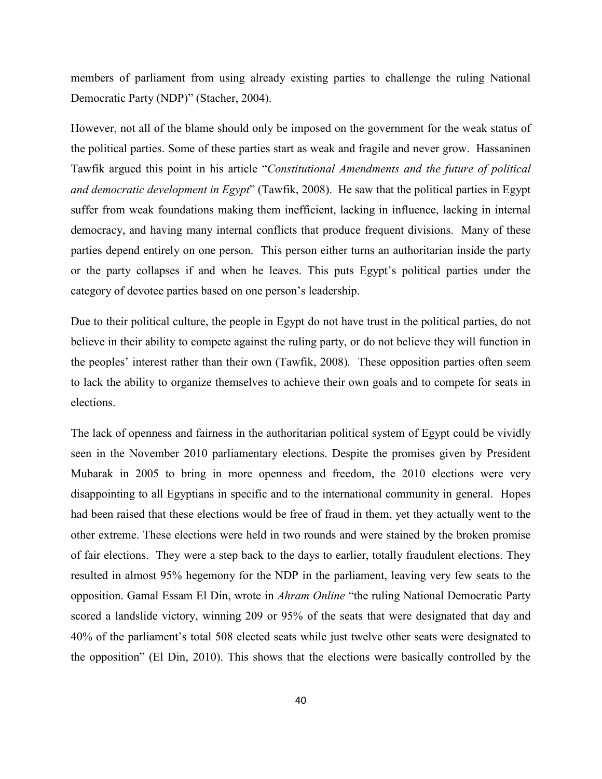members of parliament from using already existing parties to challenge the ruling National Democratic Party (NDP)" (Stacher, 2004).

However, not all of the blame should only be imposed on the government for the weak status of the political parties. Some of these parties start as weak and fragile and never grow. Hassaninen Tawfik argued this point in his article "*Constitutional Amendments and the future of political and democratic development in Egypt*" (Tawfik, 2008). He saw that the political parties in Egypt suffer from weak foundations making them inefficient, lacking in influence, lacking in internal democracy, and having many internal conflicts that produce frequent divisions. Many of these parties depend entirely on one person. This person either turns an authoritarian inside the party or the party collapses if and when he leaves. This puts Egypt's political parties under the category of devotee parties based on one person's leadership.

Due to their political culture, the people in Egypt do not have trust in the political parties, do not believe in their ability to compete against the ruling party, or do not believe they will function in the peoples' interest rather than their own (Tawfik, 2008)*.* These opposition parties often seem to lack the ability to organize themselves to achieve their own goals and to compete for seats in elections.

The lack of openness and fairness in the authoritarian political system of Egypt could be vividly seen in the November 2010 parliamentary elections. Despite the promises given by President Mubarak in 2005 to bring in more openness and freedom, the 2010 elections were very disappointing to all Egyptians in specific and to the international community in general. Hopes had been raised that these elections would be free of fraud in them, yet they actually went to the other extreme. These elections were held in two rounds and were stained by the broken promise of fair elections. They were a step back to the days to earlier, totally fraudulent elections. They resulted in almost 95% hegemony for the NDP in the parliament, leaving very few seats to the opposition. Gamal Essam El Din, wrote in *Ahram Online* "the ruling National Democratic Party scored a landslide victory, winning 209 or 95% of the seats that were designated that day and 40% of the parliament's total 508 elected seats while just twelve other seats were designated to the opposition" (El Din, 2010). This shows that the elections were basically controlled by the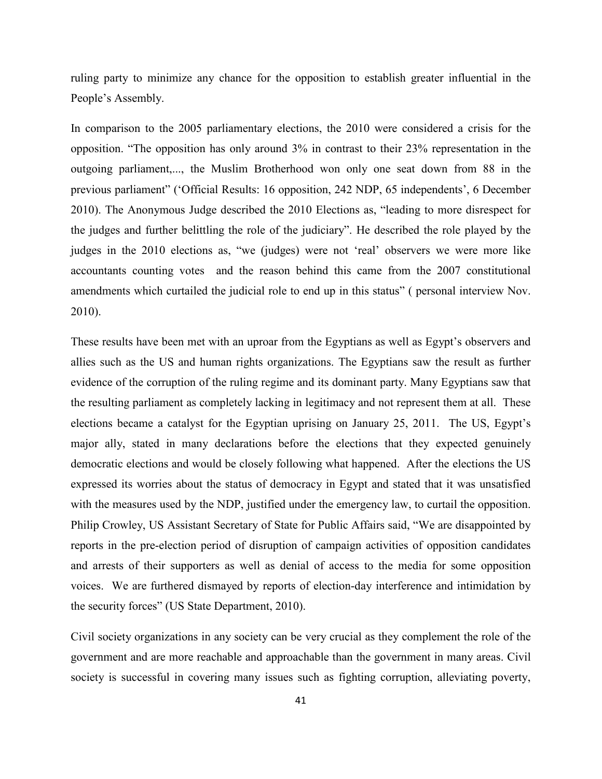ruling party to minimize any chance for the opposition to establish greater influential in the People's Assembly.

In comparison to the 2005 parliamentary elections, the 2010 were considered a crisis for the opposition. "The opposition has only around 3% in contrast to their 23% representation in the outgoing parliament,..., the Muslim Brotherhood won only one seat down from 88 in the previous parliament" ('Official Results: 16 opposition, 242 NDP, 65 independents', 6 December 2010). The Anonymous Judge described the 2010 Elections as, "leading to more disrespect for the judges and further belittling the role of the judiciary". He described the role played by the judges in the 2010 elections as, "we (judges) were not 'real' observers we were more like accountants counting votes and the reason behind this came from the 2007 constitutional amendments which curtailed the judicial role to end up in this status" ( personal interview Nov. 2010).

These results have been met with an uproar from the Egyptians as well as Egypt's observers and allies such as the US and human rights organizations. The Egyptians saw the result as further evidence of the corruption of the ruling regime and its dominant party. Many Egyptians saw that the resulting parliament as completely lacking in legitimacy and not represent them at all. These elections became a catalyst for the Egyptian uprising on January 25, 2011. The US, Egypt's major ally, stated in many declarations before the elections that they expected genuinely democratic elections and would be closely following what happened. After the elections the US expressed its worries about the status of democracy in Egypt and stated that it was unsatisfied with the measures used by the NDP, justified under the emergency law, to curtail the opposition. Philip Crowley, US Assistant Secretary of State for Public Affairs said, "We are disappointed by reports in the pre-election period of disruption of campaign activities of opposition candidates and arrests of their supporters as well as denial of access to the media for some opposition voices. We are furthered dismayed by reports of election-day interference and intimidation by the security forces" (US State Department, 2010).

Civil society organizations in any society can be very crucial as they complement the role of the government and are more reachable and approachable than the government in many areas. Civil society is successful in covering many issues such as fighting corruption, alleviating poverty,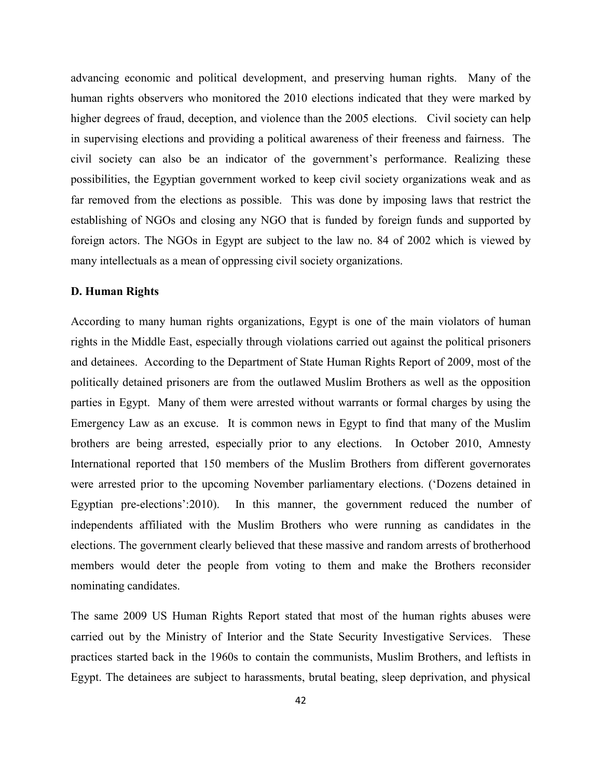advancing economic and political development, and preserving human rights. Many of the human rights observers who monitored the 2010 elections indicated that they were marked by higher degrees of fraud, deception, and violence than the 2005 elections. Civil society can help in supervising elections and providing a political awareness of their freeness and fairness. The civil society can also be an indicator of the government's performance. Realizing these possibilities, the Egyptian government worked to keep civil society organizations weak and as far removed from the elections as possible. This was done by imposing laws that restrict the establishing of NGOs and closing any NGO that is funded by foreign funds and supported by foreign actors. The NGOs in Egypt are subject to the law no. 84 of 2002 which is viewed by many intellectuals as a mean of oppressing civil society organizations.

### **D. Human Rights**

According to many human rights organizations, Egypt is one of the main violators of human rights in the Middle East, especially through violations carried out against the political prisoners and detainees. According to the Department of State Human Rights Report of 2009, most of the politically detained prisoners are from the outlawed Muslim Brothers as well as the opposition parties in Egypt. Many of them were arrested without warrants or formal charges by using the Emergency Law as an excuse. It is common news in Egypt to find that many of the Muslim brothers are being arrested, especially prior to any elections. In October 2010, Amnesty International reported that 150 members of the Muslim Brothers from different governorates were arrested prior to the upcoming November parliamentary elections. ('Dozens detained in Egyptian pre-elections':2010). In this manner, the government reduced the number of independents affiliated with the Muslim Brothers who were running as candidates in the elections. The government clearly believed that these massive and random arrests of brotherhood members would deter the people from voting to them and make the Brothers reconsider nominating candidates.

The same 2009 US Human Rights Report stated that most of the human rights abuses were carried out by the Ministry of Interior and the State Security Investigative Services. These practices started back in the 1960s to contain the communists, Muslim Brothers, and leftists in Egypt. The detainees are subject to harassments, brutal beating, sleep deprivation, and physical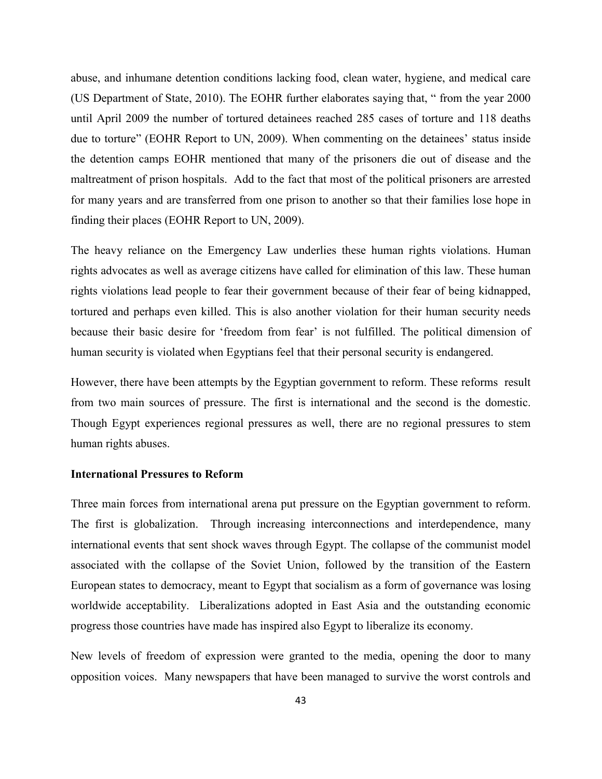abuse, and inhumane detention conditions lacking food, clean water, hygiene, and medical care (US Department of State, 2010). The EOHR further elaborates saying that, " from the year 2000 until April 2009 the number of tortured detainees reached 285 cases of torture and 118 deaths due to torture" (EOHR Report to UN, 2009). When commenting on the detainees' status inside the detention camps EOHR mentioned that many of the prisoners die out of disease and the maltreatment of prison hospitals. Add to the fact that most of the political prisoners are arrested for many years and are transferred from one prison to another so that their families lose hope in finding their places (EOHR Report to UN, 2009).

The heavy reliance on the Emergency Law underlies these human rights violations. Human rights advocates as well as average citizens have called for elimination of this law. These human rights violations lead people to fear their government because of their fear of being kidnapped, tortured and perhaps even killed. This is also another violation for their human security needs because their basic desire for 'freedom from fear' is not fulfilled. The political dimension of human security is violated when Egyptians feel that their personal security is endangered.

However, there have been attempts by the Egyptian government to reform. These reforms result from two main sources of pressure. The first is international and the second is the domestic. Though Egypt experiences regional pressures as well, there are no regional pressures to stem human rights abuses.

#### **International Pressures to Reform**

Three main forces from international arena put pressure on the Egyptian government to reform. The first is globalization. Through increasing interconnections and interdependence, many international events that sent shock waves through Egypt. The collapse of the communist model associated with the collapse of the Soviet Union, followed by the transition of the Eastern European states to democracy, meant to Egypt that socialism as a form of governance was losing worldwide acceptability. Liberalizations adopted in East Asia and the outstanding economic progress those countries have made has inspired also Egypt to liberalize its economy.

New levels of freedom of expression were granted to the media, opening the door to many opposition voices. Many newspapers that have been managed to survive the worst controls and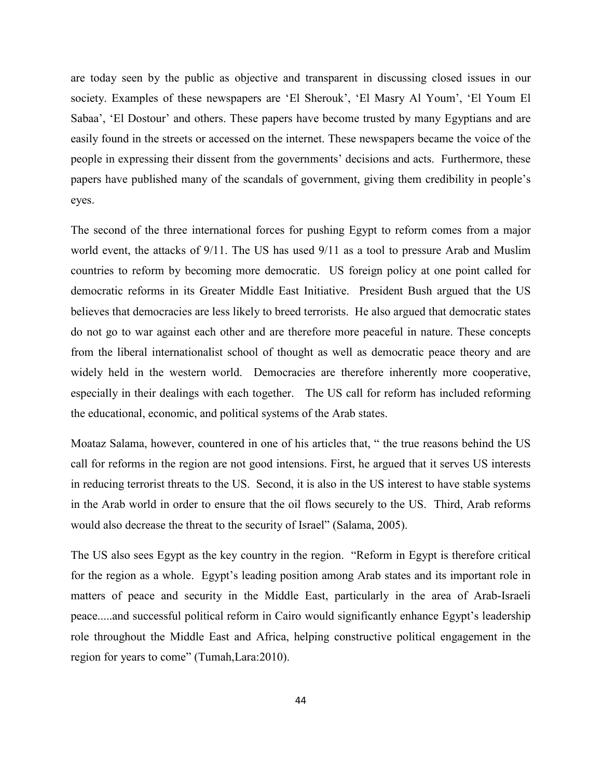are today seen by the public as objective and transparent in discussing closed issues in our society. Examples of these newspapers are 'El Sherouk', 'El Masry Al Youm', 'El Youm El Sabaa', 'El Dostour' and others. These papers have become trusted by many Egyptians and are easily found in the streets or accessed on the internet. These newspapers became the voice of the people in expressing their dissent from the governments' decisions and acts. Furthermore, these papers have published many of the scandals of government, giving them credibility in people's eyes.

The second of the three international forces for pushing Egypt to reform comes from a major world event, the attacks of 9/11. The US has used 9/11 as a tool to pressure Arab and Muslim countries to reform by becoming more democratic. US foreign policy at one point called for democratic reforms in its Greater Middle East Initiative. President Bush argued that the US believes that democracies are less likely to breed terrorists. He also argued that democratic states do not go to war against each other and are therefore more peaceful in nature. These concepts from the liberal internationalist school of thought as well as democratic peace theory and are widely held in the western world. Democracies are therefore inherently more cooperative, especially in their dealings with each together. The US call for reform has included reforming the educational, economic, and political systems of the Arab states.

Moataz Salama, however, countered in one of his articles that, " the true reasons behind the US call for reforms in the region are not good intensions. First, he argued that it serves US interests in reducing terrorist threats to the US. Second, it is also in the US interest to have stable systems in the Arab world in order to ensure that the oil flows securely to the US. Third, Arab reforms would also decrease the threat to the security of Israel" (Salama, 2005).

The US also sees Egypt as the key country in the region. "Reform in Egypt is therefore critical for the region as a whole. Egypt's leading position among Arab states and its important role in matters of peace and security in the Middle East, particularly in the area of Arab-Israeli peace.....and successful political reform in Cairo would significantly enhance Egypt's leadership role throughout the Middle East and Africa, helping constructive political engagement in the region for years to come" (Tumah,Lara:2010).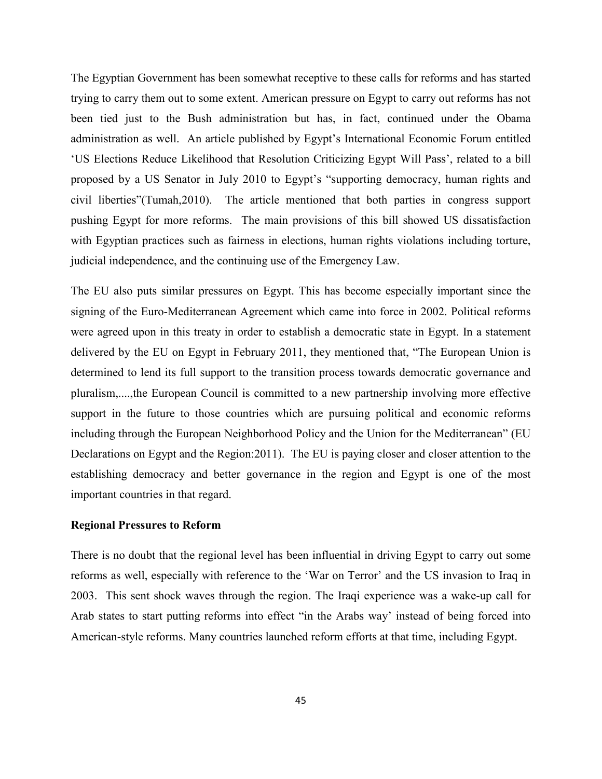The Egyptian Government has been somewhat receptive to these calls for reforms and has started trying to carry them out to some extent. American pressure on Egypt to carry out reforms has not been tied just to the Bush administration but has, in fact, continued under the Obama administration as well. An article published by Egypt's International Economic Forum entitled 'US Elections Reduce Likelihood that Resolution Criticizing Egypt Will Pass', related to a bill proposed by a US Senator in July 2010 to Egypt's "supporting democracy, human rights and civil liberties"(Tumah,2010). The article mentioned that both parties in congress support pushing Egypt for more reforms. The main provisions of this bill showed US dissatisfaction with Egyptian practices such as fairness in elections, human rights violations including torture, judicial independence, and the continuing use of the Emergency Law.

The EU also puts similar pressures on Egypt. This has become especially important since the signing of the Euro-Mediterranean Agreement which came into force in 2002. Political reforms were agreed upon in this treaty in order to establish a democratic state in Egypt. In a statement delivered by the EU on Egypt in February 2011, they mentioned that, "The European Union is determined to lend its full support to the transition process towards democratic governance and pluralism,....,the European Council is committed to a new partnership involving more effective support in the future to those countries which are pursuing political and economic reforms including through the European Neighborhood Policy and the Union for the Mediterranean" (EU Declarations on Egypt and the Region:2011). The EU is paying closer and closer attention to the establishing democracy and better governance in the region and Egypt is one of the most important countries in that regard.

#### **Regional Pressures to Reform**

There is no doubt that the regional level has been influential in driving Egypt to carry out some reforms as well, especially with reference to the 'War on Terror' and the US invasion to Iraq in 2003. This sent shock waves through the region. The Iraqi experience was a wake-up call for Arab states to start putting reforms into effect "in the Arabs way' instead of being forced into American-style reforms. Many countries launched reform efforts at that time, including Egypt.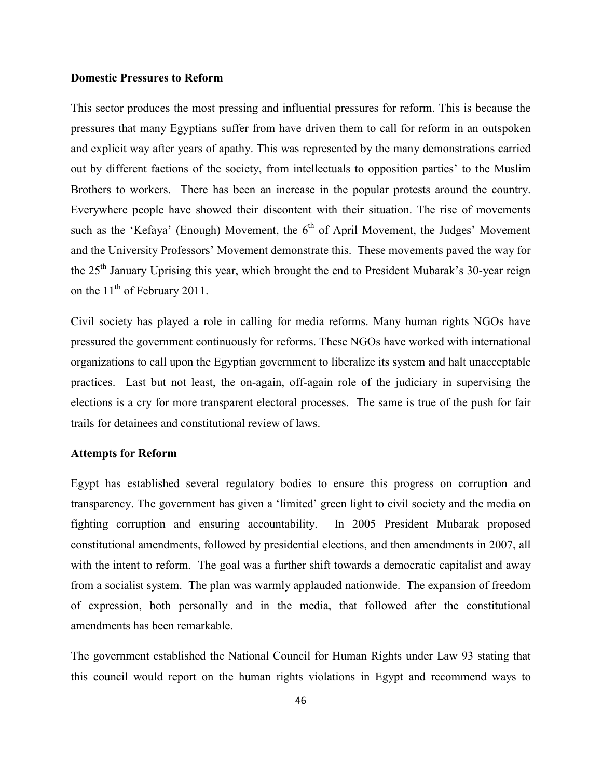#### **Domestic Pressures to Reform**

This sector produces the most pressing and influential pressures for reform. This is because the pressures that many Egyptians suffer from have driven them to call for reform in an outspoken and explicit way after years of apathy. This was represented by the many demonstrations carried out by different factions of the society, from intellectuals to opposition parties' to the Muslim Brothers to workers. There has been an increase in the popular protests around the country. Everywhere people have showed their discontent with their situation. The rise of movements such as the 'Kefaya' (Enough) Movement, the  $6<sup>th</sup>$  of April Movement, the Judges' Movement and the University Professors' Movement demonstrate this. These movements paved the way for the 25<sup>th</sup> January Uprising this year, which brought the end to President Mubarak's 30-year reign on the  $11<sup>th</sup>$  of February 2011.

Civil society has played a role in calling for media reforms. Many human rights NGOs have pressured the government continuously for reforms. These NGOs have worked with international organizations to call upon the Egyptian government to liberalize its system and halt unacceptable practices. Last but not least, the on-again, off-again role of the judiciary in supervising the elections is a cry for more transparent electoral processes. The same is true of the push for fair trails for detainees and constitutional review of laws.

#### **Attempts for Reform**

Egypt has established several regulatory bodies to ensure this progress on corruption and transparency. The government has given a 'limited' green light to civil society and the media on fighting corruption and ensuring accountability. In 2005 President Mubarak proposed constitutional amendments, followed by presidential elections, and then amendments in 2007, all with the intent to reform. The goal was a further shift towards a democratic capitalist and away from a socialist system. The plan was warmly applauded nationwide. The expansion of freedom of expression, both personally and in the media, that followed after the constitutional amendments has been remarkable.

The government established the National Council for Human Rights under Law 93 stating that this council would report on the human rights violations in Egypt and recommend ways to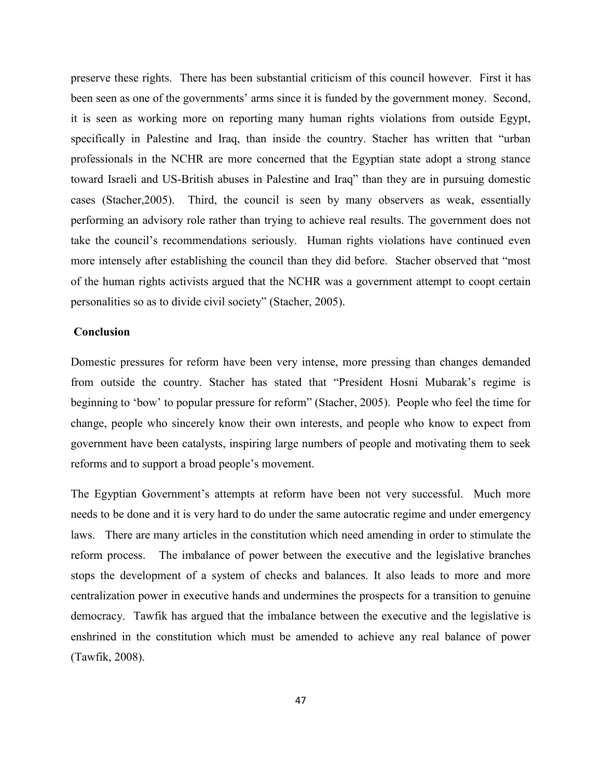preserve these rights. There has been substantial criticism of this council however. First it has been seen as one of the governments' arms since it is funded by the government money. Second, it is seen as working more on reporting many human rights violations from outside Egypt, specifically in Palestine and Iraq, than inside the country. Stacher has written that "urban professionals in the NCHR are more concerned that the Egyptian state adopt a strong stance toward Israeli and US-British abuses in Palestine and Iraq" than they are in pursuing domestic cases (Stacher,2005). Third, the council is seen by many observers as weak, essentially performing an advisory role rather than trying to achieve real results. The government does not take the council's recommendations seriously. Human rights violations have continued even more intensely after establishing the council than they did before. Stacher observed that "most of the human rights activists argued that the NCHR was a government attempt to coopt certain personalities so as to divide civil society" (Stacher, 2005).

#### **Conclusion**

Domestic pressures for reform have been very intense, more pressing than changes demanded from outside the country. Stacher has stated that "President Hosni Mubarak's regime is beginning to 'bow' to popular pressure for reform" (Stacher, 2005). People who feel the time for change, people who sincerely know their own interests, and people who know to expect from government have been catalysts, inspiring large numbers of people and motivating them to seek reforms and to support a broad people's movement.

The Egyptian Government's attempts at reform have been not very successful. Much more needs to be done and it is very hard to do under the same autocratic regime and under emergency laws. There are many articles in the constitution which need amending in order to stimulate the reform process. The imbalance of power between the executive and the legislative branches stops the development of a system of checks and balances. It also leads to more and more centralization power in executive hands and undermines the prospects for a transition to genuine democracy. Tawfik has argued that the imbalance between the executive and the legislative is enshrined in the constitution which must be amended to achieve any real balance of power (Tawfik, 2008).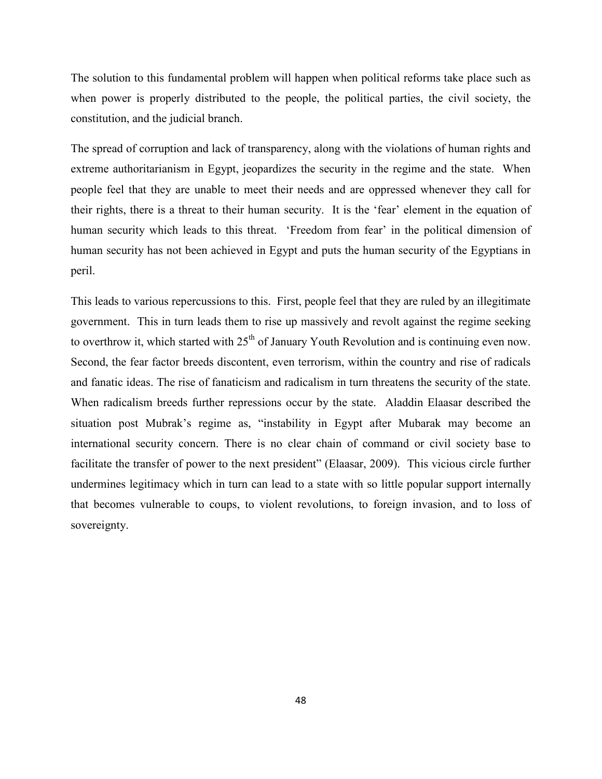The solution to this fundamental problem will happen when political reforms take place such as when power is properly distributed to the people, the political parties, the civil society, the constitution, and the judicial branch.

The spread of corruption and lack of transparency, along with the violations of human rights and extreme authoritarianism in Egypt, jeopardizes the security in the regime and the state. When people feel that they are unable to meet their needs and are oppressed whenever they call for their rights, there is a threat to their human security. It is the 'fear' element in the equation of human security which leads to this threat. 'Freedom from fear' in the political dimension of human security has not been achieved in Egypt and puts the human security of the Egyptians in peril.

This leads to various repercussions to this. First, people feel that they are ruled by an illegitimate government. This in turn leads them to rise up massively and revolt against the regime seeking to overthrow it, which started with  $25<sup>th</sup>$  of January Youth Revolution and is continuing even now. Second, the fear factor breeds discontent, even terrorism, within the country and rise of radicals and fanatic ideas. The rise of fanaticism and radicalism in turn threatens the security of the state. When radicalism breeds further repressions occur by the state. Aladdin Elaasar described the situation post Mubrak's regime as, "instability in Egypt after Mubarak may become an international security concern. There is no clear chain of command or civil society base to facilitate the transfer of power to the next president" (Elaasar, 2009). This vicious circle further undermines legitimacy which in turn can lead to a state with so little popular support internally that becomes vulnerable to coups, to violent revolutions, to foreign invasion, and to loss of sovereignty.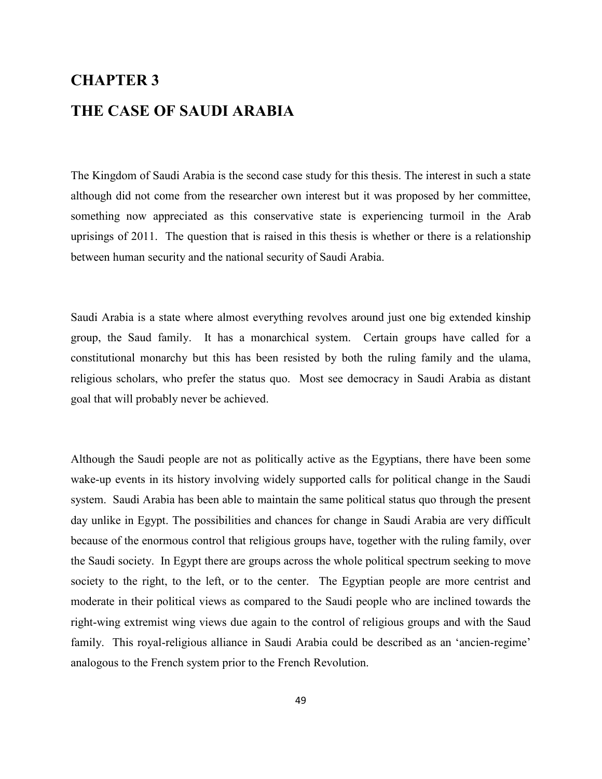# **CHAPTER 3 THE CASE OF SAUDI ARABIA**

The Kingdom of Saudi Arabia is the second case study for this thesis. The interest in such a state although did not come from the researcher own interest but it was proposed by her committee, something now appreciated as this conservative state is experiencing turmoil in the Arab uprisings of 2011. The question that is raised in this thesis is whether or there is a relationship between human security and the national security of Saudi Arabia.

Saudi Arabia is a state where almost everything revolves around just one big extended kinship group, the Saud family. It has a monarchical system. Certain groups have called for a constitutional monarchy but this has been resisted by both the ruling family and the ulama, religious scholars, who prefer the status quo. Most see democracy in Saudi Arabia as distant goal that will probably never be achieved.

Although the Saudi people are not as politically active as the Egyptians, there have been some wake-up events in its history involving widely supported calls for political change in the Saudi system. Saudi Arabia has been able to maintain the same political status quo through the present day unlike in Egypt. The possibilities and chances for change in Saudi Arabia are very difficult because of the enormous control that religious groups have, together with the ruling family, over the Saudi society. In Egypt there are groups across the whole political spectrum seeking to move society to the right, to the left, or to the center. The Egyptian people are more centrist and moderate in their political views as compared to the Saudi people who are inclined towards the right-wing extremist wing views due again to the control of religious groups and with the Saud family. This royal-religious alliance in Saudi Arabia could be described as an 'ancien-regime' analogous to the French system prior to the French Revolution.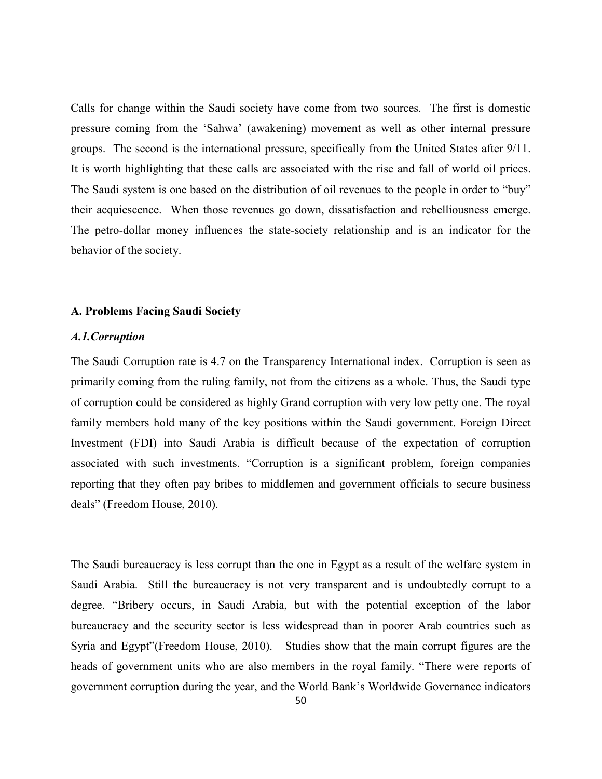Calls for change within the Saudi society have come from two sources. The first is domestic pressure coming from the 'Sahwa' (awakening) movement as well as other internal pressure groups. The second is the international pressure, specifically from the United States after 9/11. It is worth highlighting that these calls are associated with the rise and fall of world oil prices. The Saudi system is one based on the distribution of oil revenues to the people in order to "buy" their acquiescence. When those revenues go down, dissatisfaction and rebelliousness emerge. The petro-dollar money influences the state-society relationship and is an indicator for the behavior of the society.

#### **A. Problems Facing Saudi Society**

#### *A.1.Corruption*

The Saudi Corruption rate is 4.7 on the Transparency International index. Corruption is seen as primarily coming from the ruling family, not from the citizens as a whole. Thus, the Saudi type of corruption could be considered as highly Grand corruption with very low petty one. The royal family members hold many of the key positions within the Saudi government. Foreign Direct Investment (FDI) into Saudi Arabia is difficult because of the expectation of corruption associated with such investments. "Corruption is a significant problem, foreign companies reporting that they often pay bribes to middlemen and government officials to secure business deals" (Freedom House, 2010).

The Saudi bureaucracy is less corrupt than the one in Egypt as a result of the welfare system in Saudi Arabia. Still the bureaucracy is not very transparent and is undoubtedly corrupt to a degree. "Bribery occurs, in Saudi Arabia, but with the potential exception of the labor bureaucracy and the security sector is less widespread than in poorer Arab countries such as Syria and Egypt"(Freedom House, 2010). Studies show that the main corrupt figures are the heads of government units who are also members in the royal family. "There were reports of government corruption during the year, and the World Bank's Worldwide Governance indicators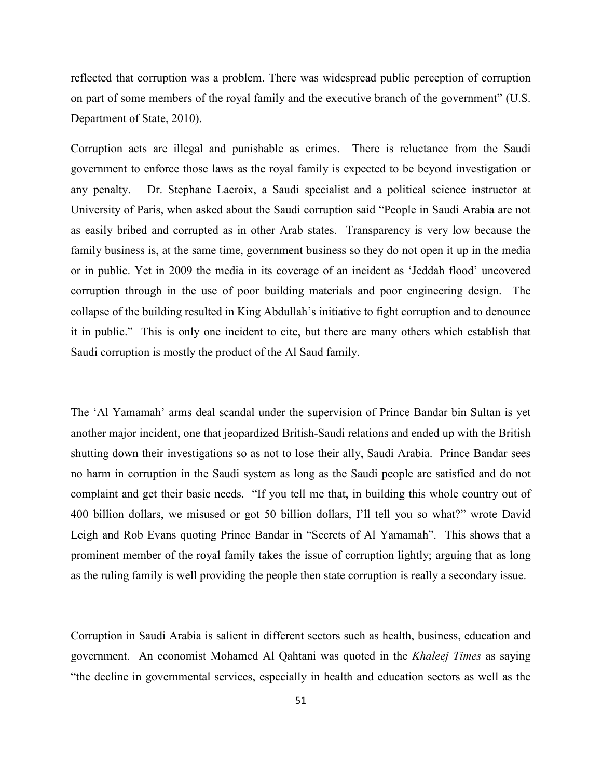reflected that corruption was a problem. There was widespread public perception of corruption on part of some members of the royal family and the executive branch of the government" (U.S. Department of State, 2010).

Corruption acts are illegal and punishable as crimes. There is reluctance from the Saudi government to enforce those laws as the royal family is expected to be beyond investigation or any penalty. Dr. Stephane Lacroix, a Saudi specialist and a political science instructor at University of Paris, when asked about the Saudi corruption said "People in Saudi Arabia are not as easily bribed and corrupted as in other Arab states. Transparency is very low because the family business is, at the same time, government business so they do not open it up in the media or in public. Yet in 2009 the media in its coverage of an incident as 'Jeddah flood' uncovered corruption through in the use of poor building materials and poor engineering design. The collapse of the building resulted in King Abdullah's initiative to fight corruption and to denounce it in public." This is only one incident to cite, but there are many others which establish that Saudi corruption is mostly the product of the Al Saud family.

The 'Al Yamamah' arms deal scandal under the supervision of Prince Bandar bin Sultan is yet another major incident, one that jeopardized British-Saudi relations and ended up with the British shutting down their investigations so as not to lose their ally, Saudi Arabia. Prince Bandar sees no harm in corruption in the Saudi system as long as the Saudi people are satisfied and do not complaint and get their basic needs. "If you tell me that, in building this whole country out of 400 billion dollars, we misused or got 50 billion dollars, I'll tell you so what?" wrote David Leigh and Rob Evans quoting Prince Bandar in "Secrets of Al Yamamah". This shows that a prominent member of the royal family takes the issue of corruption lightly; arguing that as long as the ruling family is well providing the people then state corruption is really a secondary issue.

Corruption in Saudi Arabia is salient in different sectors such as health, business, education and government. An economist Mohamed Al Qahtani was quoted in the *Khaleej Times* as saying "the decline in governmental services, especially in health and education sectors as well as the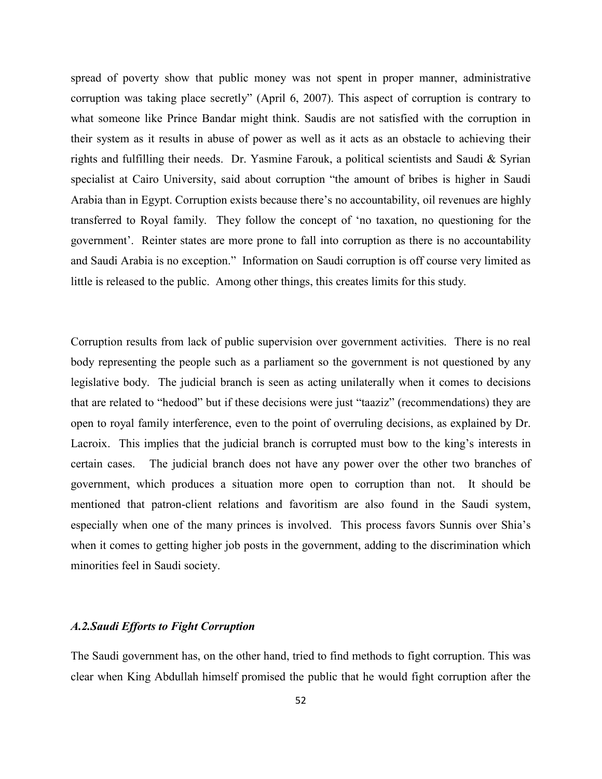spread of poverty show that public money was not spent in proper manner, administrative corruption was taking place secretly" (April 6, 2007). This aspect of corruption is contrary to what someone like Prince Bandar might think. Saudis are not satisfied with the corruption in their system as it results in abuse of power as well as it acts as an obstacle to achieving their rights and fulfilling their needs. Dr. Yasmine Farouk, a political scientists and Saudi & Syrian specialist at Cairo University, said about corruption "the amount of bribes is higher in Saudi Arabia than in Egypt. Corruption exists because there's no accountability, oil revenues are highly transferred to Royal family. They follow the concept of 'no taxation, no questioning for the government'. Reinter states are more prone to fall into corruption as there is no accountability and Saudi Arabia is no exception." Information on Saudi corruption is off course very limited as little is released to the public. Among other things, this creates limits for this study.

Corruption results from lack of public supervision over government activities. There is no real body representing the people such as a parliament so the government is not questioned by any legislative body. The judicial branch is seen as acting unilaterally when it comes to decisions that are related to "hedood" but if these decisions were just "taaziz" (recommendations) they are open to royal family interference, even to the point of overruling decisions, as explained by Dr. Lacroix. This implies that the judicial branch is corrupted must bow to the king's interests in certain cases. The judicial branch does not have any power over the other two branches of government, which produces a situation more open to corruption than not. It should be mentioned that patron-client relations and favoritism are also found in the Saudi system, especially when one of the many princes is involved. This process favors Sunnis over Shia's when it comes to getting higher job posts in the government, adding to the discrimination which minorities feel in Saudi society.

#### *A.2.Saudi Efforts to Fight Corruption*

The Saudi government has, on the other hand, tried to find methods to fight corruption. This was clear when King Abdullah himself promised the public that he would fight corruption after the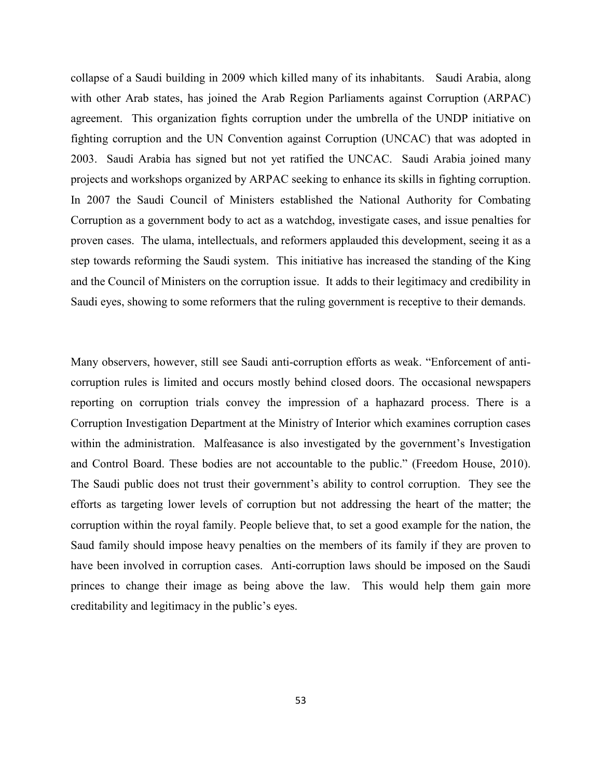collapse of a Saudi building in 2009 which killed many of its inhabitants. Saudi Arabia, along with other Arab states, has joined the Arab Region Parliaments against Corruption (ARPAC) agreement. This organization fights corruption under the umbrella of the UNDP initiative on fighting corruption and the UN Convention against Corruption (UNCAC) that was adopted in 2003. Saudi Arabia has signed but not yet ratified the UNCAC. Saudi Arabia joined many projects and workshops organized by ARPAC seeking to enhance its skills in fighting corruption. In 2007 the Saudi Council of Ministers established the National Authority for Combating Corruption as a government body to act as a watchdog, investigate cases, and issue penalties for proven cases. The ulama, intellectuals, and reformers applauded this development, seeing it as a step towards reforming the Saudi system. This initiative has increased the standing of the King and the Council of Ministers on the corruption issue. It adds to their legitimacy and credibility in Saudi eyes, showing to some reformers that the ruling government is receptive to their demands.

Many observers, however, still see Saudi anti-corruption efforts as weak. "Enforcement of anticorruption rules is limited and occurs mostly behind closed doors. The occasional newspapers reporting on corruption trials convey the impression of a haphazard process. There is a Corruption Investigation Department at the Ministry of Interior which examines corruption cases within the administration. Malfeasance is also investigated by the government's Investigation and Control Board. These bodies are not accountable to the public." (Freedom House, 2010). The Saudi public does not trust their government's ability to control corruption. They see the efforts as targeting lower levels of corruption but not addressing the heart of the matter; the corruption within the royal family. People believe that, to set a good example for the nation, the Saud family should impose heavy penalties on the members of its family if they are proven to have been involved in corruption cases. Anti-corruption laws should be imposed on the Saudi princes to change their image as being above the law. This would help them gain more creditability and legitimacy in the public's eyes.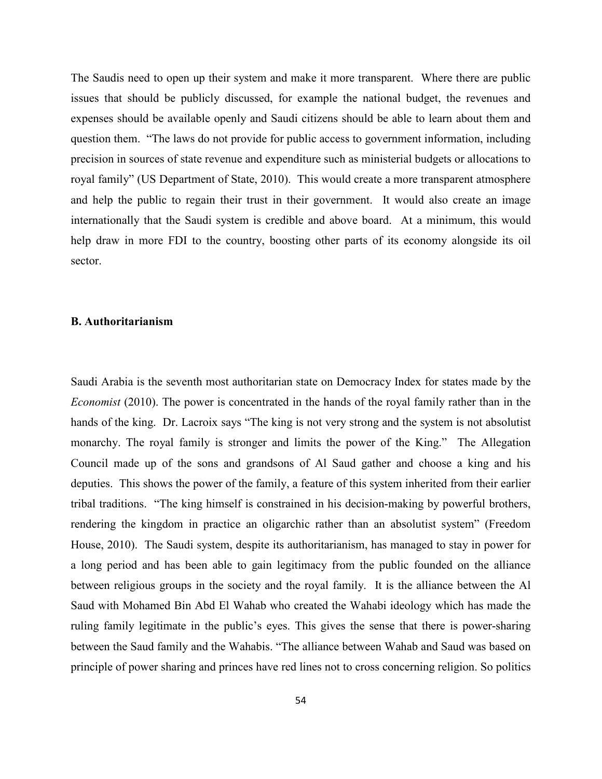The Saudis need to open up their system and make it more transparent. Where there are public issues that should be publicly discussed, for example the national budget, the revenues and expenses should be available openly and Saudi citizens should be able to learn about them and question them. "The laws do not provide for public access to government information, including precision in sources of state revenue and expenditure such as ministerial budgets or allocations to royal family" (US Department of State, 2010). This would create a more transparent atmosphere and help the public to regain their trust in their government. It would also create an image internationally that the Saudi system is credible and above board. At a minimum, this would help draw in more FDI to the country, boosting other parts of its economy alongside its oil sector.

#### **B. Authoritarianism**

Saudi Arabia is the seventh most authoritarian state on Democracy Index for states made by the *Economist* (2010). The power is concentrated in the hands of the royal family rather than in the hands of the king. Dr. Lacroix says "The king is not very strong and the system is not absolutist monarchy. The royal family is stronger and limits the power of the King." The Allegation Council made up of the sons and grandsons of Al Saud gather and choose a king and his deputies. This shows the power of the family, a feature of this system inherited from their earlier tribal traditions. "The king himself is constrained in his decision-making by powerful brothers, rendering the kingdom in practice an oligarchic rather than an absolutist system" (Freedom House, 2010). The Saudi system, despite its authoritarianism, has managed to stay in power for a long period and has been able to gain legitimacy from the public founded on the alliance between religious groups in the society and the royal family. It is the alliance between the Al Saud with Mohamed Bin Abd El Wahab who created the Wahabi ideology which has made the ruling family legitimate in the public's eyes. This gives the sense that there is power-sharing between the Saud family and the Wahabis. "The alliance between Wahab and Saud was based on principle of power sharing and princes have red lines not to cross concerning religion. So politics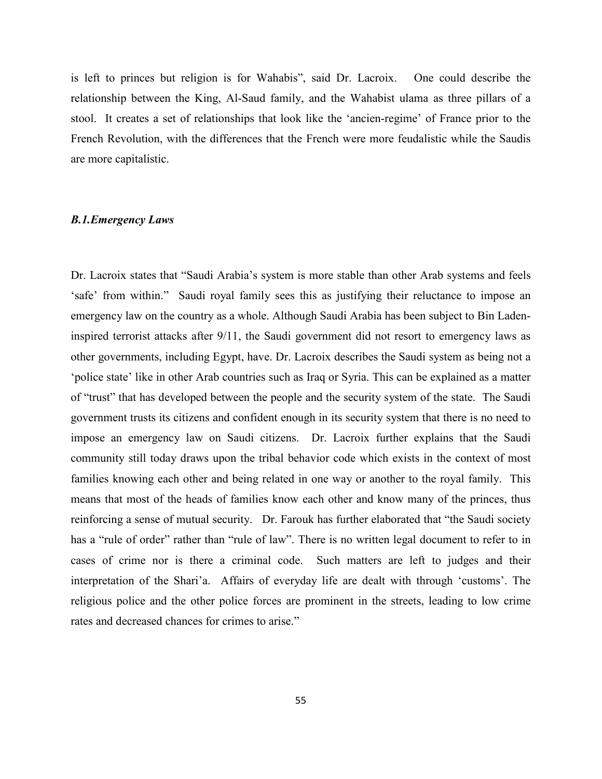is left to princes but religion is for Wahabis", said Dr. Lacroix. One could describe the relationship between the King, Al-Saud family, and the Wahabist ulama as three pillars of a stool. It creates a set of relationships that look like the 'ancien-regime' of France prior to the French Revolution, with the differences that the French were more feudalistic while the Saudis are more capitalistic.

## *B.1.Emergency Laws*

Dr. Lacroix states that "Saudi Arabia's system is more stable than other Arab systems and feels 'safe' from within." Saudi royal family sees this as justifying their reluctance to impose an emergency law on the country as a whole. Although Saudi Arabia has been subject to Bin Ladeninspired terrorist attacks after 9/11, the Saudi government did not resort to emergency laws as other governments, including Egypt, have. Dr. Lacroix describes the Saudi system as being not a 'police state' like in other Arab countries such as Iraq or Syria. This can be explained as a matter of "trust" that has developed between the people and the security system of the state. The Saudi government trusts its citizens and confident enough in its security system that there is no need to impose an emergency law on Saudi citizens. Dr. Lacroix further explains that the Saudi community still today draws upon the tribal behavior code which exists in the context of most families knowing each other and being related in one way or another to the royal family. This means that most of the heads of families know each other and know many of the princes, thus reinforcing a sense of mutual security. Dr. Farouk has further elaborated that "the Saudi society has a "rule of order" rather than "rule of law". There is no written legal document to refer to in cases of crime nor is there a criminal code. Such matters are left to judges and their interpretation of the Shari'a. Affairs of everyday life are dealt with through 'customs'. The religious police and the other police forces are prominent in the streets, leading to low crime rates and decreased chances for crimes to arise."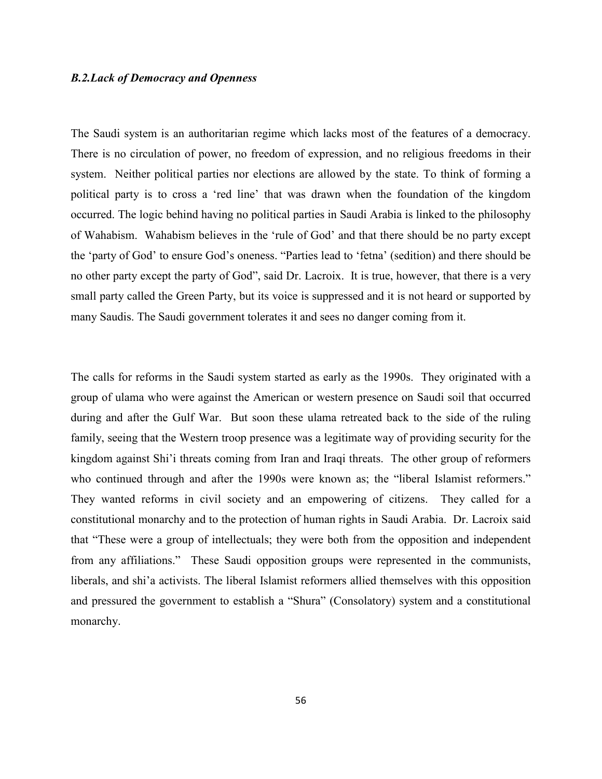#### *B.2.Lack of Democracy and Openness*

The Saudi system is an authoritarian regime which lacks most of the features of a democracy. There is no circulation of power, no freedom of expression, and no religious freedoms in their system. Neither political parties nor elections are allowed by the state. To think of forming a political party is to cross a 'red line' that was drawn when the foundation of the kingdom occurred. The logic behind having no political parties in Saudi Arabia is linked to the philosophy of Wahabism. Wahabism believes in the 'rule of God' and that there should be no party except the 'party of God' to ensure God's oneness. "Parties lead to 'fetna' (sedition) and there should be no other party except the party of God", said Dr. Lacroix. It is true, however, that there is a very small party called the Green Party, but its voice is suppressed and it is not heard or supported by many Saudis. The Saudi government tolerates it and sees no danger coming from it.

The calls for reforms in the Saudi system started as early as the 1990s. They originated with a group of ulama who were against the American or western presence on Saudi soil that occurred during and after the Gulf War. But soon these ulama retreated back to the side of the ruling family, seeing that the Western troop presence was a legitimate way of providing security for the kingdom against Shi'i threats coming from Iran and Iraqi threats. The other group of reformers who continued through and after the 1990s were known as; the "liberal Islamist reformers." They wanted reforms in civil society and an empowering of citizens. They called for a constitutional monarchy and to the protection of human rights in Saudi Arabia. Dr. Lacroix said that "These were a group of intellectuals; they were both from the opposition and independent from any affiliations." These Saudi opposition groups were represented in the communists, liberals, and shi'a activists. The liberal Islamist reformers allied themselves with this opposition and pressured the government to establish a "Shura" (Consolatory) system and a constitutional monarchy.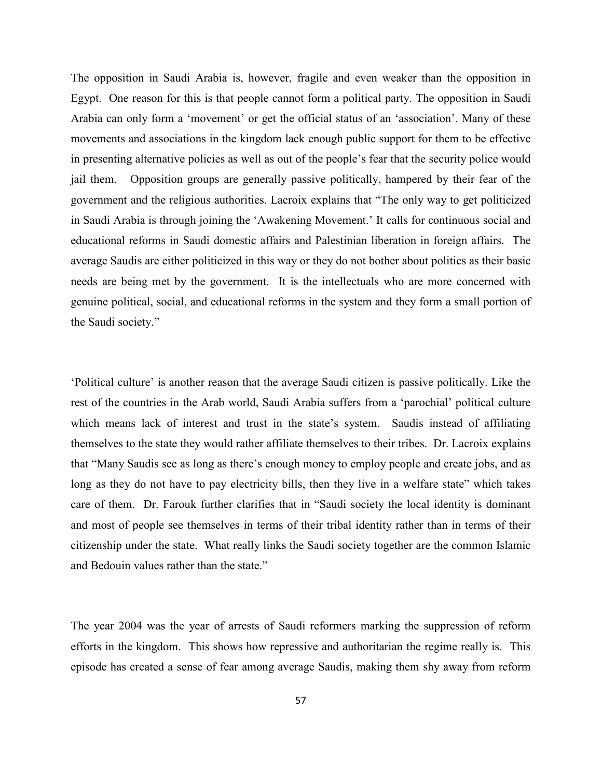The opposition in Saudi Arabia is, however, fragile and even weaker than the opposition in Egypt. One reason for this is that people cannot form a political party. The opposition in Saudi Arabia can only form a 'movement' or get the official status of an 'association'. Many of these movements and associations in the kingdom lack enough public support for them to be effective in presenting alternative policies as well as out of the people's fear that the security police would jail them. Opposition groups are generally passive politically, hampered by their fear of the government and the religious authorities. Lacroix explains that "The only way to get politicized in Saudi Arabia is through joining the 'Awakening Movement.' It calls for continuous social and educational reforms in Saudi domestic affairs and Palestinian liberation in foreign affairs. The average Saudis are either politicized in this way or they do not bother about politics as their basic needs are being met by the government. It is the intellectuals who are more concerned with genuine political, social, and educational reforms in the system and they form a small portion of the Saudi society."

'Political culture' is another reason that the average Saudi citizen is passive politically. Like the rest of the countries in the Arab world, Saudi Arabia suffers from a 'parochial' political culture which means lack of interest and trust in the state's system. Saudis instead of affiliating themselves to the state they would rather affiliate themselves to their tribes. Dr. Lacroix explains that "Many Saudis see as long as there's enough money to employ people and create jobs, and as long as they do not have to pay electricity bills, then they live in a welfare state" which takes care of them. Dr. Farouk further clarifies that in "Saudi society the local identity is dominant and most of people see themselves in terms of their tribal identity rather than in terms of their citizenship under the state. What really links the Saudi society together are the common Islamic and Bedouin values rather than the state."

The year 2004 was the year of arrests of Saudi reformers marking the suppression of reform efforts in the kingdom. This shows how repressive and authoritarian the regime really is. This episode has created a sense of fear among average Saudis, making them shy away from reform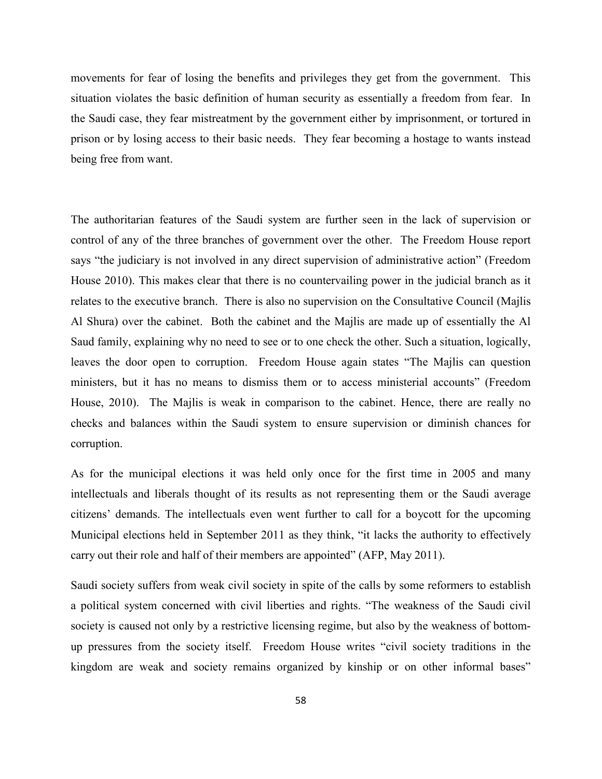movements for fear of losing the benefits and privileges they get from the government. This situation violates the basic definition of human security as essentially a freedom from fear. In the Saudi case, they fear mistreatment by the government either by imprisonment, or tortured in prison or by losing access to their basic needs. They fear becoming a hostage to wants instead being free from want.

The authoritarian features of the Saudi system are further seen in the lack of supervision or control of any of the three branches of government over the other. The Freedom House report says "the judiciary is not involved in any direct supervision of administrative action" (Freedom House 2010). This makes clear that there is no countervailing power in the judicial branch as it relates to the executive branch. There is also no supervision on the Consultative Council (Majlis Al Shura) over the cabinet. Both the cabinet and the Majlis are made up of essentially the Al Saud family, explaining why no need to see or to one check the other. Such a situation, logically, leaves the door open to corruption. Freedom House again states "The Majlis can question ministers, but it has no means to dismiss them or to access ministerial accounts" (Freedom House, 2010). The Majlis is weak in comparison to the cabinet. Hence, there are really no checks and balances within the Saudi system to ensure supervision or diminish chances for corruption.

As for the municipal elections it was held only once for the first time in 2005 and many intellectuals and liberals thought of its results as not representing them or the Saudi average citizens' demands. The intellectuals even went further to call for a boycott for the upcoming Municipal elections held in September 2011 as they think, "it lacks the authority to effectively carry out their role and half of their members are appointed" (AFP, May 2011).

Saudi society suffers from weak civil society in spite of the calls by some reformers to establish a political system concerned with civil liberties and rights. "The weakness of the Saudi civil society is caused not only by a restrictive licensing regime, but also by the weakness of bottomup pressures from the society itself. Freedom House writes "civil society traditions in the kingdom are weak and society remains organized by kinship or on other informal bases"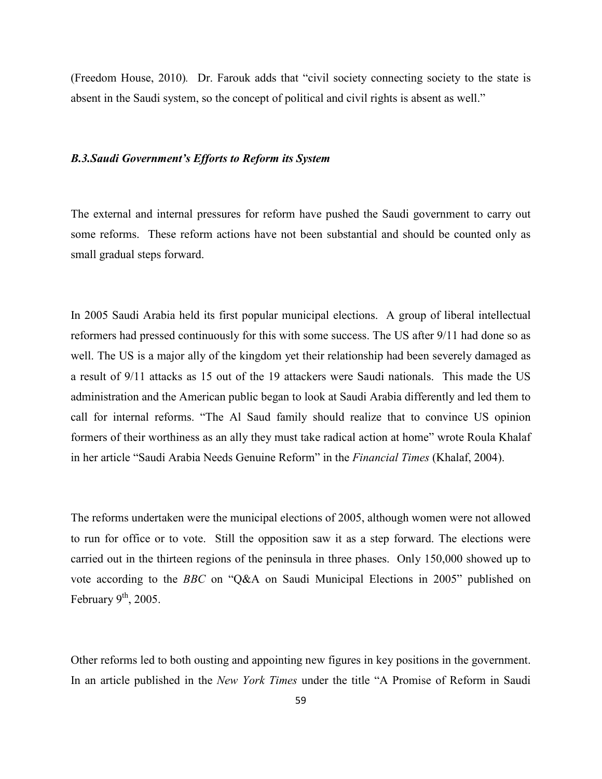(Freedom House, 2010)*.* Dr. Farouk adds that "civil society connecting society to the state is absent in the Saudi system, so the concept of political and civil rights is absent as well."

#### *B.3.Saudi Government's Efforts to Reform its System*

The external and internal pressures for reform have pushed the Saudi government to carry out some reforms. These reform actions have not been substantial and should be counted only as small gradual steps forward.

In 2005 Saudi Arabia held its first popular municipal elections. A group of liberal intellectual reformers had pressed continuously for this with some success. The US after 9/11 had done so as well. The US is a major ally of the kingdom yet their relationship had been severely damaged as a result of 9/11 attacks as 15 out of the 19 attackers were Saudi nationals. This made the US administration and the American public began to look at Saudi Arabia differently and led them to call for internal reforms. "The Al Saud family should realize that to convince US opinion formers of their worthiness as an ally they must take radical action at home" wrote Roula Khalaf in her article "Saudi Arabia Needs Genuine Reform" in the *Financial Times* (Khalaf, 2004).

The reforms undertaken were the municipal elections of 2005, although women were not allowed to run for office or to vote. Still the opposition saw it as a step forward. The elections were carried out in the thirteen regions of the peninsula in three phases. Only 150,000 showed up to vote according to the *BBC* on "Q&A on Saudi Municipal Elections in 2005" published on February  $9<sup>th</sup>$ , 2005.

Other reforms led to both ousting and appointing new figures in key positions in the government. In an article published in the *New York Times* under the title "A Promise of Reform in Saudi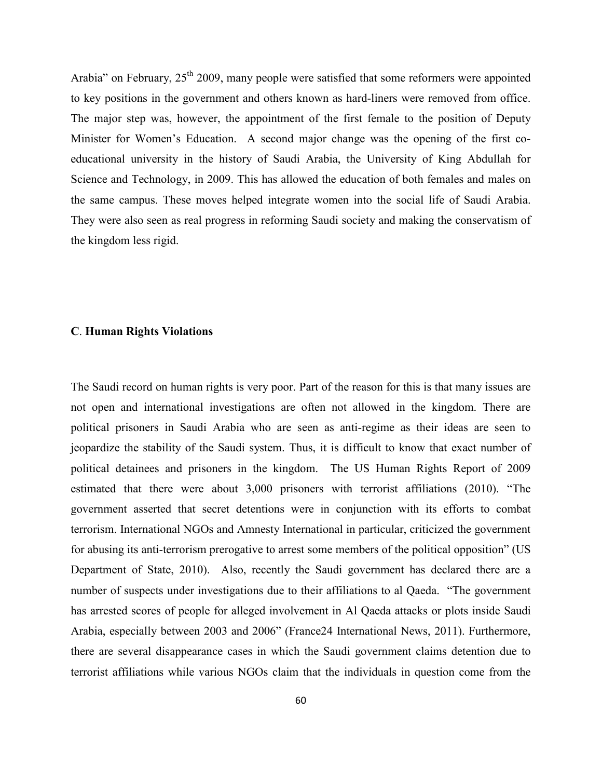Arabia" on February,  $25<sup>th</sup> 2009$ , many people were satisfied that some reformers were appointed to key positions in the government and others known as hard-liners were removed from office. The major step was, however, the appointment of the first female to the position of Deputy Minister for Women's Education. A second major change was the opening of the first coeducational university in the history of Saudi Arabia, the University of King Abdullah for Science and Technology, in 2009. This has allowed the education of both females and males on the same campus. These moves helped integrate women into the social life of Saudi Arabia. They were also seen as real progress in reforming Saudi society and making the conservatism of the kingdom less rigid.

#### **C**. **Human Rights Violations**

The Saudi record on human rights is very poor. Part of the reason for this is that many issues are not open and international investigations are often not allowed in the kingdom. There are political prisoners in Saudi Arabia who are seen as anti-regime as their ideas are seen to jeopardize the stability of the Saudi system. Thus, it is difficult to know that exact number of political detainees and prisoners in the kingdom. The US Human Rights Report of 2009 estimated that there were about 3,000 prisoners with terrorist affiliations (2010). "The government asserted that secret detentions were in conjunction with its efforts to combat terrorism. International NGOs and Amnesty International in particular, criticized the government for abusing its anti-terrorism prerogative to arrest some members of the political opposition" (US Department of State, 2010). Also, recently the Saudi government has declared there are a number of suspects under investigations due to their affiliations to al Qaeda. "The government has arrested scores of people for alleged involvement in Al Qaeda attacks or plots inside Saudi Arabia, especially between 2003 and 2006" (France24 International News, 2011). Furthermore, there are several disappearance cases in which the Saudi government claims detention due to terrorist affiliations while various NGOs claim that the individuals in question come from the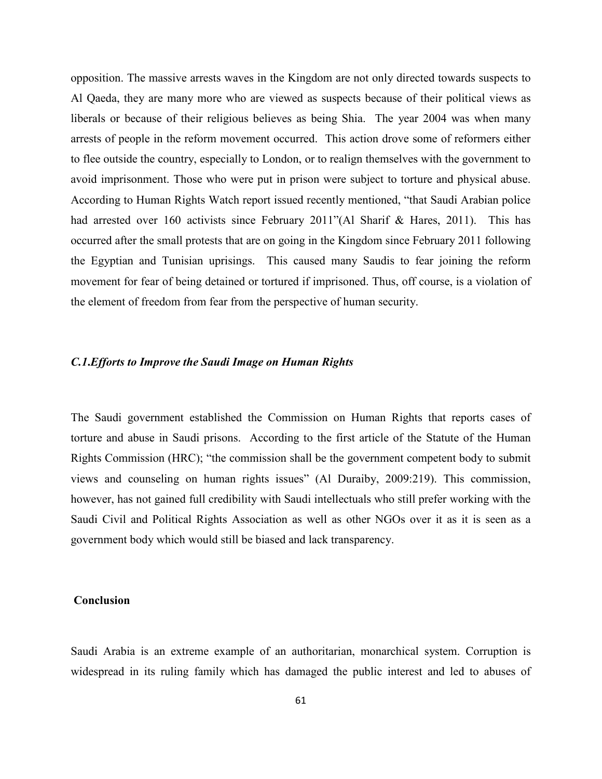opposition. The massive arrests waves in the Kingdom are not only directed towards suspects to Al Qaeda, they are many more who are viewed as suspects because of their political views as liberals or because of their religious believes as being Shia. The year 2004 was when many arrests of people in the reform movement occurred. This action drove some of reformers either to flee outside the country, especially to London, or to realign themselves with the government to avoid imprisonment. Those who were put in prison were subject to torture and physical abuse. According to Human Rights Watch report issued recently mentioned, "that Saudi Arabian police had arrested over 160 activists since February 2011''(Al Sharif & Hares, 2011). This has occurred after the small protests that are on going in the Kingdom since February 2011 following the Egyptian and Tunisian uprisings. This caused many Saudis to fear joining the reform movement for fear of being detained or tortured if imprisoned. Thus, off course, is a violation of the element of freedom from fear from the perspective of human security.

# *C.1***.***Efforts to Improve the Saudi Image on Human Rights*

The Saudi government established the Commission on Human Rights that reports cases of torture and abuse in Saudi prisons. According to the first article of the Statute of the Human Rights Commission (HRC); "the commission shall be the government competent body to submit views and counseling on human rights issues" (Al Duraiby, 2009:219). This commission, however, has not gained full credibility with Saudi intellectuals who still prefer working with the Saudi Civil and Political Rights Association as well as other NGOs over it as it is seen as a government body which would still be biased and lack transparency.

#### **Conclusion**

Saudi Arabia is an extreme example of an authoritarian, monarchical system. Corruption is widespread in its ruling family which has damaged the public interest and led to abuses of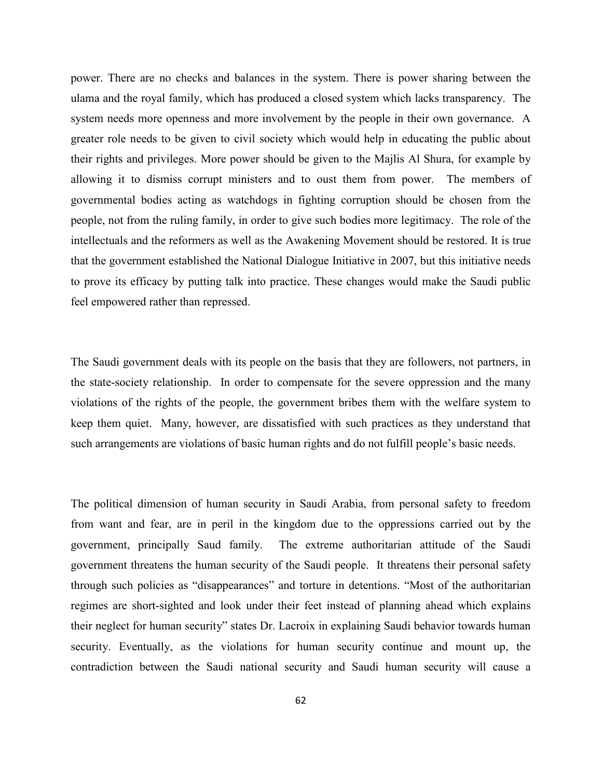power. There are no checks and balances in the system. There is power sharing between the ulama and the royal family, which has produced a closed system which lacks transparency. The system needs more openness and more involvement by the people in their own governance. A greater role needs to be given to civil society which would help in educating the public about their rights and privileges. More power should be given to the Majlis Al Shura, for example by allowing it to dismiss corrupt ministers and to oust them from power. The members of governmental bodies acting as watchdogs in fighting corruption should be chosen from the people, not from the ruling family, in order to give such bodies more legitimacy. The role of the intellectuals and the reformers as well as the Awakening Movement should be restored. It is true that the government established the National Dialogue Initiative in 2007, but this initiative needs to prove its efficacy by putting talk into practice. These changes would make the Saudi public feel empowered rather than repressed.

The Saudi government deals with its people on the basis that they are followers, not partners, in the state-society relationship. In order to compensate for the severe oppression and the many violations of the rights of the people, the government bribes them with the welfare system to keep them quiet. Many, however, are dissatisfied with such practices as they understand that such arrangements are violations of basic human rights and do not fulfill people's basic needs.

The political dimension of human security in Saudi Arabia, from personal safety to freedom from want and fear, are in peril in the kingdom due to the oppressions carried out by the government, principally Saud family. The extreme authoritarian attitude of the Saudi government threatens the human security of the Saudi people. It threatens their personal safety through such policies as "disappearances" and torture in detentions. "Most of the authoritarian regimes are short-sighted and look under their feet instead of planning ahead which explains their neglect for human security" states Dr. Lacroix in explaining Saudi behavior towards human security. Eventually, as the violations for human security continue and mount up, the contradiction between the Saudi national security and Saudi human security will cause a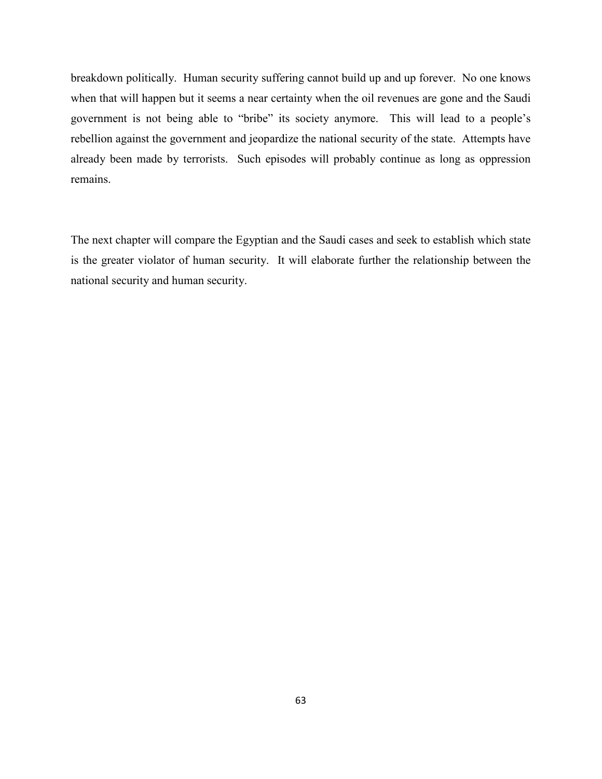breakdown politically. Human security suffering cannot build up and up forever. No one knows when that will happen but it seems a near certainty when the oil revenues are gone and the Saudi government is not being able to "bribe" its society anymore. This will lead to a people's rebellion against the government and jeopardize the national security of the state. Attempts have already been made by terrorists. Such episodes will probably continue as long as oppression remains.

The next chapter will compare the Egyptian and the Saudi cases and seek to establish which state is the greater violator of human security. It will elaborate further the relationship between the national security and human security.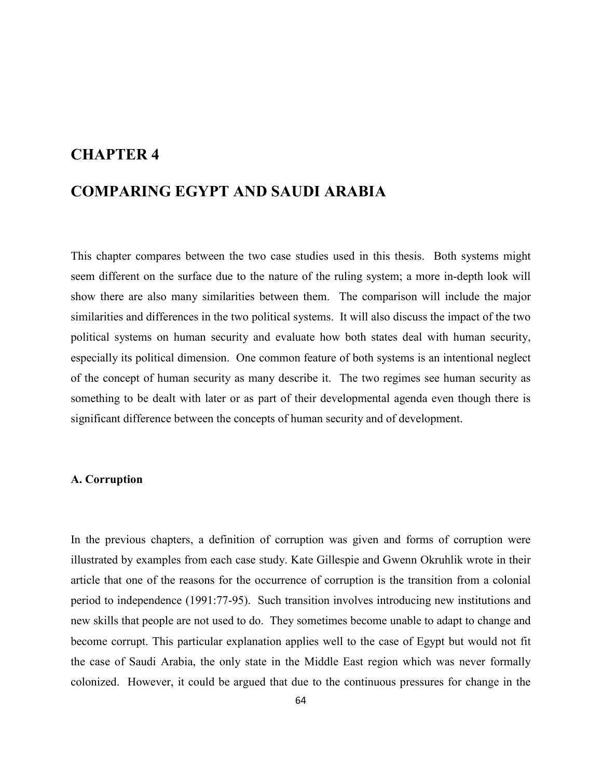# **CHAPTER 4**

# **COMPARING EGYPT AND SAUDI ARABIA**

This chapter compares between the two case studies used in this thesis. Both systems might seem different on the surface due to the nature of the ruling system; a more in-depth look will show there are also many similarities between them. The comparison will include the major similarities and differences in the two political systems. It will also discuss the impact of the two political systems on human security and evaluate how both states deal with human security, especially its political dimension. One common feature of both systems is an intentional neglect of the concept of human security as many describe it. The two regimes see human security as something to be dealt with later or as part of their developmental agenda even though there is significant difference between the concepts of human security and of development.

# **A. Corruption**

In the previous chapters, a definition of corruption was given and forms of corruption were illustrated by examples from each case study. Kate Gillespie and Gwenn Okruhlik wrote in their article that one of the reasons for the occurrence of corruption is the transition from a colonial period to independence (1991:77-95). Such transition involves introducing new institutions and new skills that people are not used to do. They sometimes become unable to adapt to change and become corrupt. This particular explanation applies well to the case of Egypt but would not fit the case of Saudi Arabia, the only state in the Middle East region which was never formally colonized. However, it could be argued that due to the continuous pressures for change in the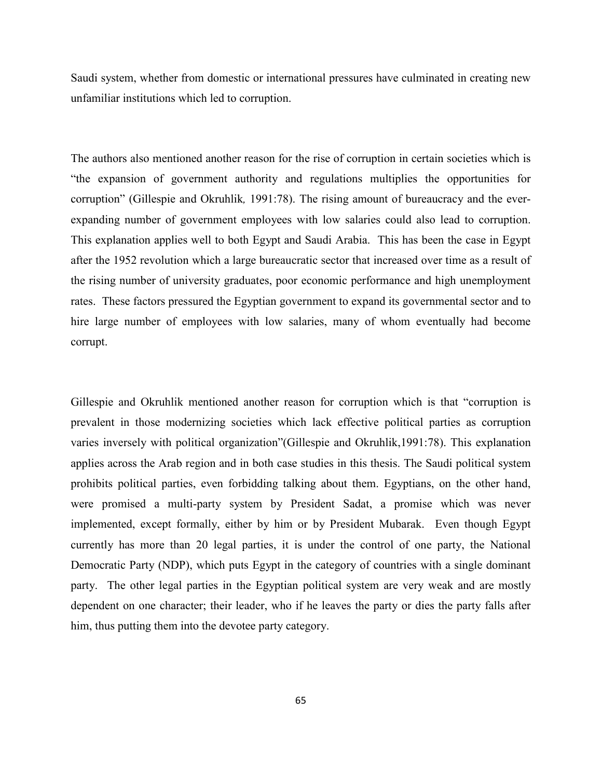Saudi system, whether from domestic or international pressures have culminated in creating new unfamiliar institutions which led to corruption.

The authors also mentioned another reason for the rise of corruption in certain societies which is "the expansion of government authority and regulations multiplies the opportunities for corruption" (Gillespie and Okruhlik*,* 1991:78). The rising amount of bureaucracy and the everexpanding number of government employees with low salaries could also lead to corruption. This explanation applies well to both Egypt and Saudi Arabia. This has been the case in Egypt after the 1952 revolution which a large bureaucratic sector that increased over time as a result of the rising number of university graduates, poor economic performance and high unemployment rates. These factors pressured the Egyptian government to expand its governmental sector and to hire large number of employees with low salaries, many of whom eventually had become corrupt.

Gillespie and Okruhlik mentioned another reason for corruption which is that "corruption is prevalent in those modernizing societies which lack effective political parties as corruption varies inversely with political organization"(Gillespie and Okruhlik,1991:78). This explanation applies across the Arab region and in both case studies in this thesis. The Saudi political system prohibits political parties, even forbidding talking about them. Egyptians, on the other hand, were promised a multi-party system by President Sadat, a promise which was never implemented, except formally, either by him or by President Mubarak. Even though Egypt currently has more than 20 legal parties, it is under the control of one party, the National Democratic Party (NDP), which puts Egypt in the category of countries with a single dominant party. The other legal parties in the Egyptian political system are very weak and are mostly dependent on one character; their leader, who if he leaves the party or dies the party falls after him, thus putting them into the devotee party category.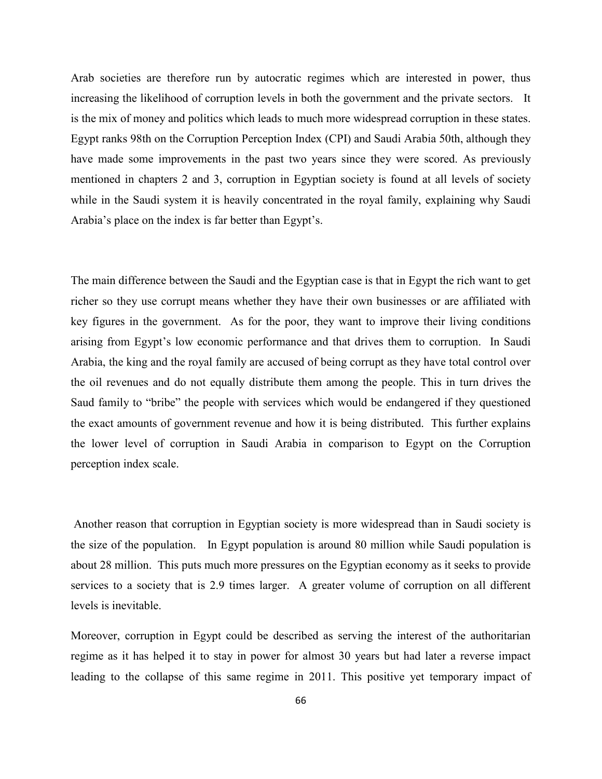Arab societies are therefore run by autocratic regimes which are interested in power, thus increasing the likelihood of corruption levels in both the government and the private sectors. It is the mix of money and politics which leads to much more widespread corruption in these states. Egypt ranks 98th on the Corruption Perception Index (CPI) and Saudi Arabia 50th, although they have made some improvements in the past two years since they were scored. As previously mentioned in chapters 2 and 3, corruption in Egyptian society is found at all levels of society while in the Saudi system it is heavily concentrated in the royal family, explaining why Saudi Arabia's place on the index is far better than Egypt's.

The main difference between the Saudi and the Egyptian case is that in Egypt the rich want to get richer so they use corrupt means whether they have their own businesses or are affiliated with key figures in the government. As for the poor, they want to improve their living conditions arising from Egypt's low economic performance and that drives them to corruption. In Saudi Arabia, the king and the royal family are accused of being corrupt as they have total control over the oil revenues and do not equally distribute them among the people. This in turn drives the Saud family to "bribe" the people with services which would be endangered if they questioned the exact amounts of government revenue and how it is being distributed. This further explains the lower level of corruption in Saudi Arabia in comparison to Egypt on the Corruption perception index scale.

Another reason that corruption in Egyptian society is more widespread than in Saudi society is the size of the population. In Egypt population is around 80 million while Saudi population is about 28 million. This puts much more pressures on the Egyptian economy as it seeks to provide services to a society that is 2.9 times larger. A greater volume of corruption on all different levels is inevitable.

Moreover, corruption in Egypt could be described as serving the interest of the authoritarian regime as it has helped it to stay in power for almost 30 years but had later a reverse impact leading to the collapse of this same regime in 2011. This positive yet temporary impact of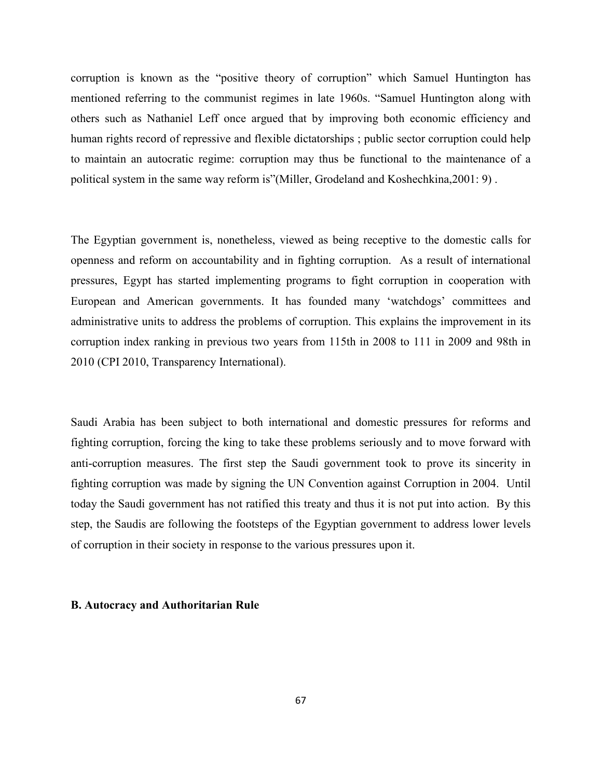corruption is known as the "positive theory of corruption" which Samuel Huntington has mentioned referring to the communist regimes in late 1960s. "Samuel Huntington along with others such as Nathaniel Leff once argued that by improving both economic efficiency and human rights record of repressive and flexible dictatorships ; public sector corruption could help to maintain an autocratic regime: corruption may thus be functional to the maintenance of a political system in the same way reform is"(Miller, Grodeland and Koshechkina,2001: 9) .

The Egyptian government is, nonetheless, viewed as being receptive to the domestic calls for openness and reform on accountability and in fighting corruption. As a result of international pressures, Egypt has started implementing programs to fight corruption in cooperation with European and American governments. It has founded many 'watchdogs' committees and administrative units to address the problems of corruption. This explains the improvement in its corruption index ranking in previous two years from 115th in 2008 to 111 in 2009 and 98th in 2010 (CPI 2010, Transparency International).

Saudi Arabia has been subject to both international and domestic pressures for reforms and fighting corruption, forcing the king to take these problems seriously and to move forward with anti-corruption measures. The first step the Saudi government took to prove its sincerity in fighting corruption was made by signing the UN Convention against Corruption in 2004. Until today the Saudi government has not ratified this treaty and thus it is not put into action. By this step, the Saudis are following the footsteps of the Egyptian government to address lower levels of corruption in their society in response to the various pressures upon it.

#### **B. Autocracy and Authoritarian Rule**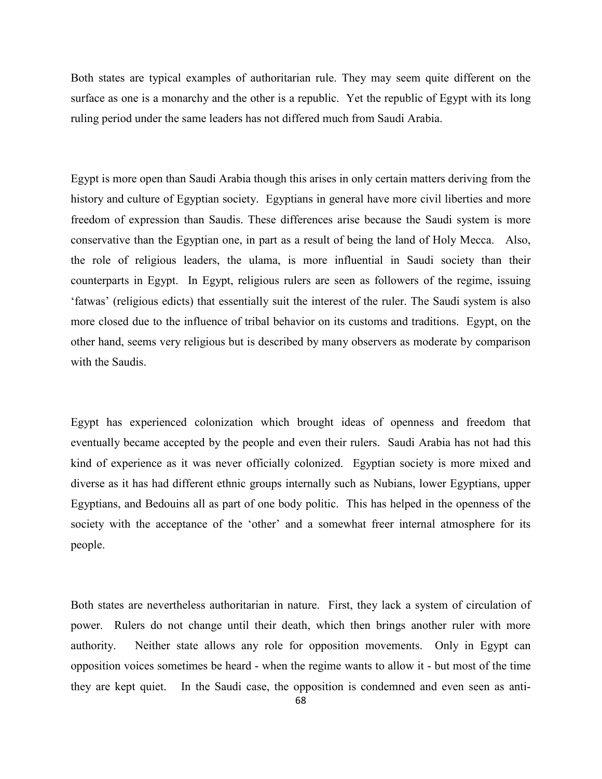Both states are typical examples of authoritarian rule. They may seem quite different on the surface as one is a monarchy and the other is a republic. Yet the republic of Egypt with its long ruling period under the same leaders has not differed much from Saudi Arabia.

Egypt is more open than Saudi Arabia though this arises in only certain matters deriving from the history and culture of Egyptian society. Egyptians in general have more civil liberties and more freedom of expression than Saudis. These differences arise because the Saudi system is more conservative than the Egyptian one, in part as a result of being the land of Holy Mecca. Also, the role of religious leaders, the ulama, is more influential in Saudi society than their counterparts in Egypt. In Egypt, religious rulers are seen as followers of the regime, issuing 'fatwas' (religious edicts) that essentially suit the interest of the ruler. The Saudi system is also more closed due to the influence of tribal behavior on its customs and traditions. Egypt, on the other hand, seems very religious but is described by many observers as moderate by comparison with the Saudis.

Egypt has experienced colonization which brought ideas of openness and freedom that eventually became accepted by the people and even their rulers. Saudi Arabia has not had this kind of experience as it was never officially colonized. Egyptian society is more mixed and diverse as it has had different ethnic groups internally such as Nubians, lower Egyptians, upper Egyptians, and Bedouins all as part of one body politic. This has helped in the openness of the society with the acceptance of the 'other' and a somewhat freer internal atmosphere for its people.

Both states are nevertheless authoritarian in nature. First, they lack a system of circulation of power. Rulers do not change until their death, which then brings another ruler with more authority. Neither state allows any role for opposition movements. Only in Egypt can opposition voices sometimes be heard - when the regime wants to allow it - but most of the time they are kept quiet. In the Saudi case, the opposition is condemned and even seen as anti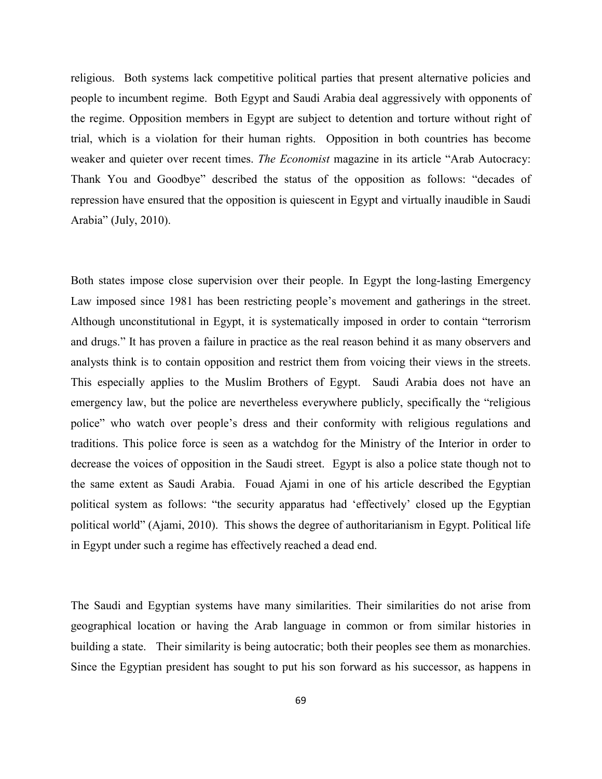religious. Both systems lack competitive political parties that present alternative policies and people to incumbent regime. Both Egypt and Saudi Arabia deal aggressively with opponents of the regime. Opposition members in Egypt are subject to detention and torture without right of trial, which is a violation for their human rights. Opposition in both countries has become weaker and quieter over recent times. *The Economist* magazine in its article "Arab Autocracy: Thank You and Goodbye" described the status of the opposition as follows: "decades of repression have ensured that the opposition is quiescent in Egypt and virtually inaudible in Saudi Arabia" (July, 2010).

Both states impose close supervision over their people. In Egypt the long-lasting Emergency Law imposed since 1981 has been restricting people's movement and gatherings in the street. Although unconstitutional in Egypt, it is systematically imposed in order to contain "terrorism and drugs." It has proven a failure in practice as the real reason behind it as many observers and analysts think is to contain opposition and restrict them from voicing their views in the streets. This especially applies to the Muslim Brothers of Egypt. Saudi Arabia does not have an emergency law, but the police are nevertheless everywhere publicly, specifically the "religious police" who watch over people's dress and their conformity with religious regulations and traditions. This police force is seen as a watchdog for the Ministry of the Interior in order to decrease the voices of opposition in the Saudi street. Egypt is also a police state though not to the same extent as Saudi Arabia. Fouad Ajami in one of his article described the Egyptian political system as follows: "the security apparatus had 'effectively' closed up the Egyptian political world" (Ajami, 2010). This shows the degree of authoritarianism in Egypt. Political life in Egypt under such a regime has effectively reached a dead end.

The Saudi and Egyptian systems have many similarities. Their similarities do not arise from geographical location or having the Arab language in common or from similar histories in building a state. Their similarity is being autocratic; both their peoples see them as monarchies. Since the Egyptian president has sought to put his son forward as his successor, as happens in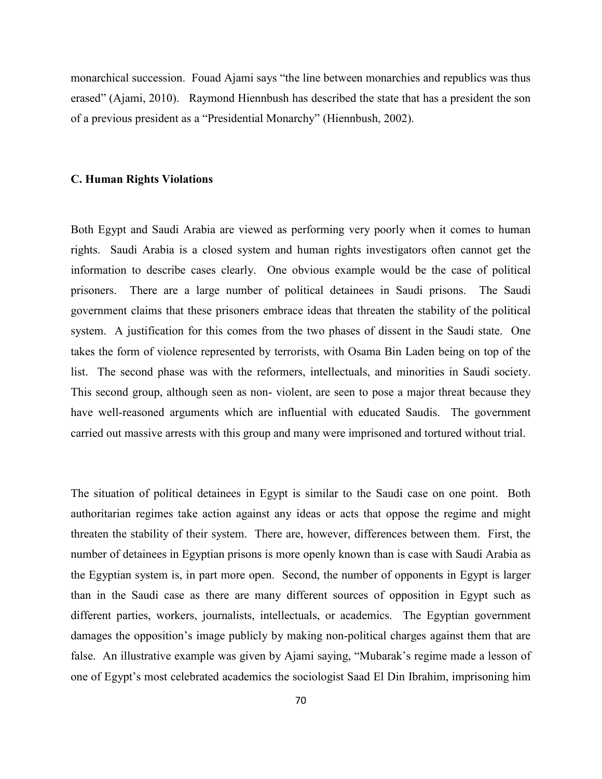monarchical succession. Fouad Ajami says "the line between monarchies and republics was thus erased" (Ajami, 2010). Raymond Hiennbush has described the state that has a president the son of a previous president as a "Presidential Monarchy" (Hiennbush, 2002).

#### **C. Human Rights Violations**

Both Egypt and Saudi Arabia are viewed as performing very poorly when it comes to human rights. Saudi Arabia is a closed system and human rights investigators often cannot get the information to describe cases clearly. One obvious example would be the case of political prisoners. There are a large number of political detainees in Saudi prisons. The Saudi government claims that these prisoners embrace ideas that threaten the stability of the political system. A justification for this comes from the two phases of dissent in the Saudi state. One takes the form of violence represented by terrorists, with Osama Bin Laden being on top of the list. The second phase was with the reformers, intellectuals, and minorities in Saudi society. This second group, although seen as non- violent, are seen to pose a major threat because they have well-reasoned arguments which are influential with educated Saudis. The government carried out massive arrests with this group and many were imprisoned and tortured without trial.

The situation of political detainees in Egypt is similar to the Saudi case on one point. Both authoritarian regimes take action against any ideas or acts that oppose the regime and might threaten the stability of their system. There are, however, differences between them. First, the number of detainees in Egyptian prisons is more openly known than is case with Saudi Arabia as the Egyptian system is, in part more open. Second, the number of opponents in Egypt is larger than in the Saudi case as there are many different sources of opposition in Egypt such as different parties, workers, journalists, intellectuals, or academics. The Egyptian government damages the opposition's image publicly by making non-political charges against them that are false. An illustrative example was given by Ajami saying, "Mubarak's regime made a lesson of one of Egypt's most celebrated academics the sociologist Saad El Din Ibrahim, imprisoning him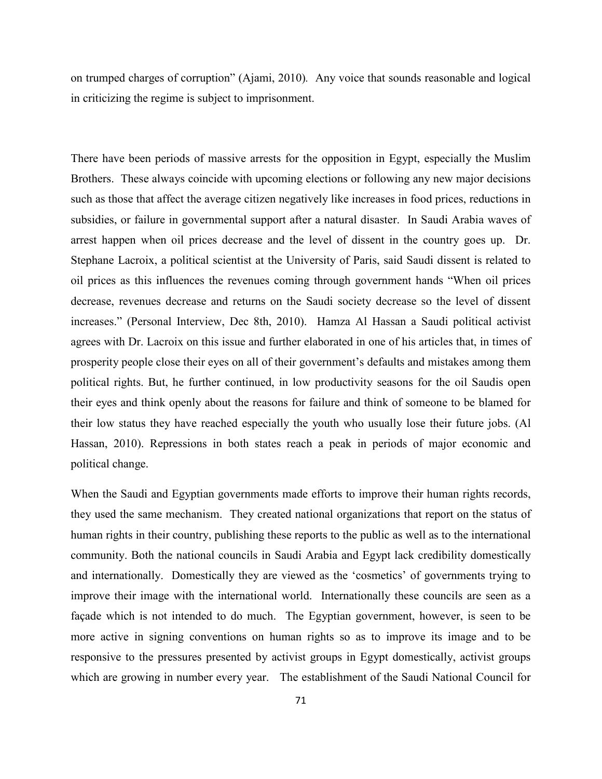on trumped charges of corruption" (Ajami, 2010)*.* Any voice that sounds reasonable and logical in criticizing the regime is subject to imprisonment.

There have been periods of massive arrests for the opposition in Egypt, especially the Muslim Brothers. These always coincide with upcoming elections or following any new major decisions such as those that affect the average citizen negatively like increases in food prices, reductions in subsidies, or failure in governmental support after a natural disaster. In Saudi Arabia waves of arrest happen when oil prices decrease and the level of dissent in the country goes up. Dr. Stephane Lacroix, a political scientist at the University of Paris, said Saudi dissent is related to oil prices as this influences the revenues coming through government hands "When oil prices decrease, revenues decrease and returns on the Saudi society decrease so the level of dissent increases." (Personal Interview, Dec 8th, 2010). Hamza Al Hassan a Saudi political activist agrees with Dr. Lacroix on this issue and further elaborated in one of his articles that, in times of prosperity people close their eyes on all of their government's defaults and mistakes among them political rights. But, he further continued, in low productivity seasons for the oil Saudis open their eyes and think openly about the reasons for failure and think of someone to be blamed for their low status they have reached especially the youth who usually lose their future jobs. (Al Hassan, 2010). Repressions in both states reach a peak in periods of major economic and political change.

When the Saudi and Egyptian governments made efforts to improve their human rights records, they used the same mechanism. They created national organizations that report on the status of human rights in their country, publishing these reports to the public as well as to the international community. Both the national councils in Saudi Arabia and Egypt lack credibility domestically and internationally. Domestically they are viewed as the 'cosmetics' of governments trying to improve their image with the international world. Internationally these councils are seen as a façade which is not intended to do much. The Egyptian government, however, is seen to be more active in signing conventions on human rights so as to improve its image and to be responsive to the pressures presented by activist groups in Egypt domestically, activist groups which are growing in number every year. The establishment of the Saudi National Council for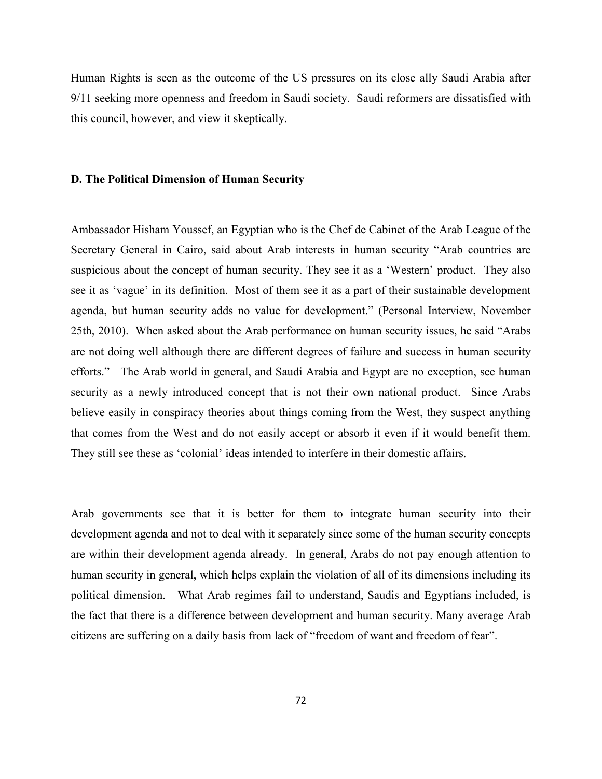Human Rights is seen as the outcome of the US pressures on its close ally Saudi Arabia after 9/11 seeking more openness and freedom in Saudi society. Saudi reformers are dissatisfied with this council, however, and view it skeptically.

#### **D. The Political Dimension of Human Security**

Ambassador Hisham Youssef, an Egyptian who is the Chef de Cabinet of the Arab League of the Secretary General in Cairo, said about Arab interests in human security "Arab countries are suspicious about the concept of human security. They see it as a 'Western' product. They also see it as 'vague' in its definition. Most of them see it as a part of their sustainable development agenda, but human security adds no value for development." (Personal Interview, November 25th, 2010). When asked about the Arab performance on human security issues, he said "Arabs are not doing well although there are different degrees of failure and success in human security efforts." The Arab world in general, and Saudi Arabia and Egypt are no exception, see human security as a newly introduced concept that is not their own national product. Since Arabs believe easily in conspiracy theories about things coming from the West, they suspect anything that comes from the West and do not easily accept or absorb it even if it would benefit them. They still see these as 'colonial' ideas intended to interfere in their domestic affairs.

Arab governments see that it is better for them to integrate human security into their development agenda and not to deal with it separately since some of the human security concepts are within their development agenda already. In general, Arabs do not pay enough attention to human security in general, which helps explain the violation of all of its dimensions including its political dimension. What Arab regimes fail to understand, Saudis and Egyptians included, is the fact that there is a difference between development and human security. Many average Arab citizens are suffering on a daily basis from lack of "freedom of want and freedom of fear".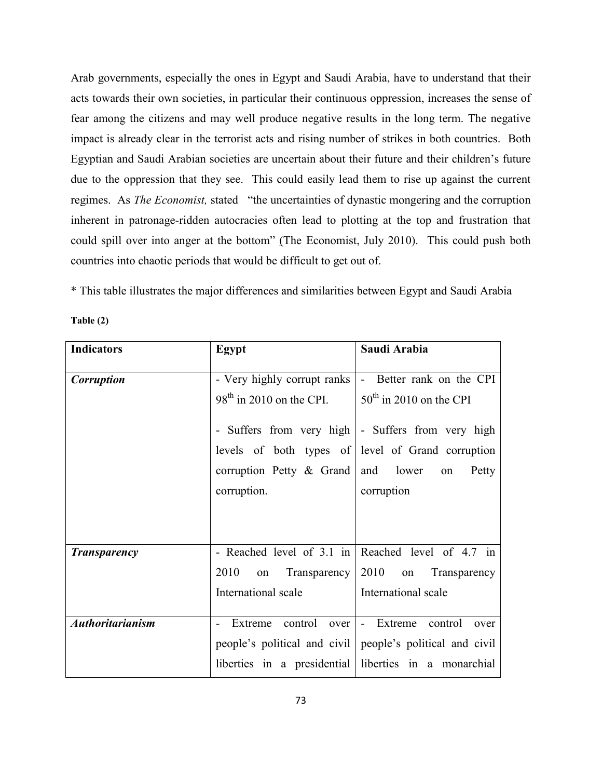Arab governments, especially the ones in Egypt and Saudi Arabia, have to understand that their acts towards their own societies, in particular their continuous oppression, increases the sense of fear among the citizens and may well produce negative results in the long term. The negative impact is already clear in the terrorist acts and rising number of strikes in both countries. Both Egyptian and Saudi Arabian societies are uncertain about their future and their children's future due to the oppression that they see. This could easily lead them to rise up against the current regimes. As *The Economist,* stated "the uncertainties of dynastic mongering and the corruption inherent in patronage-ridden autocracies often lead to plotting at the top and frustration that could spill over into anger at the bottom" (The Economist, July 2010).This could push both countries into chaotic periods that would be difficult to get out of.

\* This table illustrates the major differences and similarities between Egypt and Saudi Arabia

| 'able |  |
|-------|--|
|-------|--|

| <b>Indicators</b>       | Egypt                       | Saudi Arabia                                                |
|-------------------------|-----------------------------|-------------------------------------------------------------|
|                         |                             |                                                             |
| <b>Corruption</b>       | - Very highly corrupt ranks | - Better rank on the CPI                                    |
|                         | $98th$ in 2010 on the CPI.  | $50th$ in 2010 on the CPI                                   |
|                         |                             |                                                             |
|                         |                             | - Suffers from very high - Suffers from very high           |
|                         |                             | levels of both types of level of Grand corruption           |
|                         | corruption Petty & Grand    | and lower<br>Petty<br>on                                    |
|                         | corruption.                 | corruption                                                  |
|                         |                             |                                                             |
|                         |                             |                                                             |
| <b>Transparency</b>     |                             | - Reached level of 3.1 in Reached level of 4.7 in           |
|                         |                             |                                                             |
|                         | 2010<br>on                  | Transparency $\vert 2010$ on<br>Transparency                |
|                         | International scale         | International scale                                         |
|                         |                             |                                                             |
| <b>Authoritarianism</b> | control<br>Extreme<br>over  | control<br>Extreme<br>$\blacksquare$<br>over                |
|                         |                             | people's political and civil   people's political and civil |
|                         |                             | liberties in a presidential liberties in a monarchial       |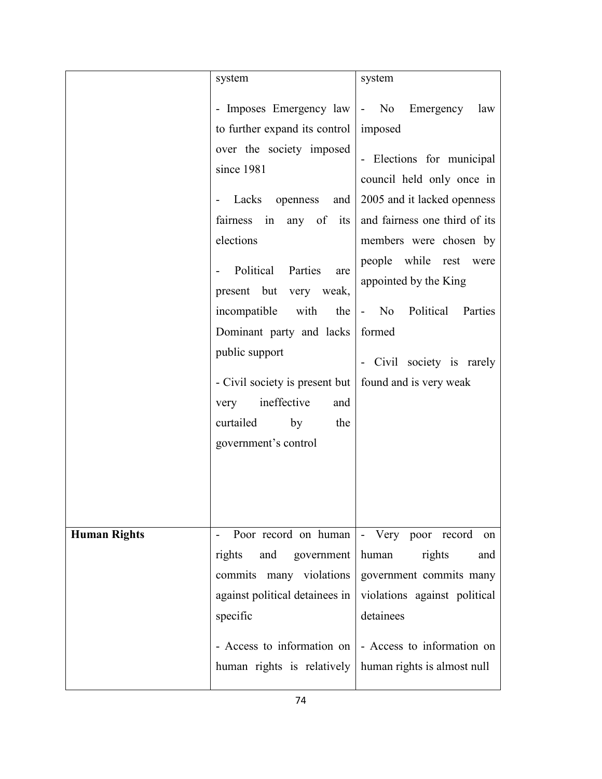|                     | system                                                   | system                                                  |
|---------------------|----------------------------------------------------------|---------------------------------------------------------|
|                     |                                                          | - Imposes Emergency law   - No Emergency law            |
|                     | to further expand its control   imposed                  |                                                         |
|                     | over the society imposed                                 |                                                         |
|                     | since 1981                                               | - Elections for municipal                               |
|                     |                                                          | council held only once in                               |
|                     | Lacks openness<br>and<br>$\blacksquare$                  | 2005 and it lacked openness                             |
|                     |                                                          | fairness in any of its and fairness one third of its    |
|                     | elections                                                | members were chosen by                                  |
|                     | Political<br>Parties<br>are                              | people while rest were                                  |
|                     | present but<br>very weak,                                | appointed by the King                                   |
|                     | incompatible<br>with                                     | the - No Political<br>Parties                           |
|                     | Dominant party and lacks                                 | formed                                                  |
|                     | public support                                           | - Civil society is rarely                               |
|                     | - Civil society is present but   found and is very weak  |                                                         |
|                     | ineffective<br>very<br>and                               |                                                         |
|                     | curtailed<br>by<br>the                                   |                                                         |
|                     | government's control                                     |                                                         |
|                     |                                                          |                                                         |
|                     |                                                          |                                                         |
|                     |                                                          |                                                         |
|                     | Poor record on human   - Very poor record                | on                                                      |
| <b>Human Rights</b> | rights<br>and government                                 | human<br>rights<br>and                                  |
|                     | commits many violations                                  | government commits many                                 |
|                     | against political detainees in                           | violations against political                            |
|                     | specific                                                 | detainees                                               |
|                     |                                                          |                                                         |
|                     |                                                          | - Access to information on   - Access to information on |
|                     | human rights is relatively   human rights is almost null |                                                         |
|                     |                                                          |                                                         |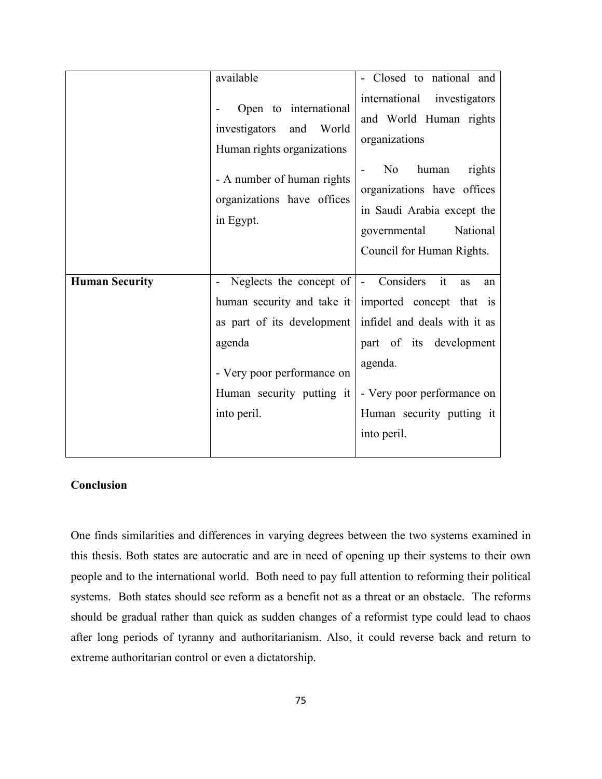|                       | available                                                                         | - Closed to national and                                                                                                                               |
|-----------------------|-----------------------------------------------------------------------------------|--------------------------------------------------------------------------------------------------------------------------------------------------------|
|                       | Open to international<br>investigators<br>and World<br>Human rights organizations | international investigators<br>and World Human rights<br>organizations                                                                                 |
|                       | - A number of human rights<br>organizations have offices<br>in Egypt.             | N <sub>0</sub><br>human<br>rights<br>organizations have offices<br>in Saudi Arabia except the<br>National<br>governmental<br>Council for Human Rights. |
| <b>Human Security</b> | Neglects the concept of $\vert$ - Considers it                                    | as<br>an                                                                                                                                               |
|                       |                                                                                   | human security and take it imported concept that is                                                                                                    |
|                       | as part of its development                                                        | infidel and deals with it as                                                                                                                           |
|                       | agenda                                                                            | part of its development                                                                                                                                |
|                       | - Very poor performance on<br>Human security putting it<br>into peril.            | agenda.<br>- Very poor performance on<br>Human security putting it<br>into peril.                                                                      |
|                       |                                                                                   |                                                                                                                                                        |

### **Conclusion**

One finds similarities and differences in varying degrees between the two systems examined in this thesis. Both states are autocratic and are in need of opening up their systems to their own people and to the international world. Both need to pay full attention to reforming their political systems. Both states should see reform as a benefit not as a threat or an obstacle. The reforms should be gradual rather than quick as sudden changes of a reformist type could lead to chaos after long periods of tyranny and authoritarianism. Also, it could reverse back and return to extreme authoritarian control or even a dictatorship.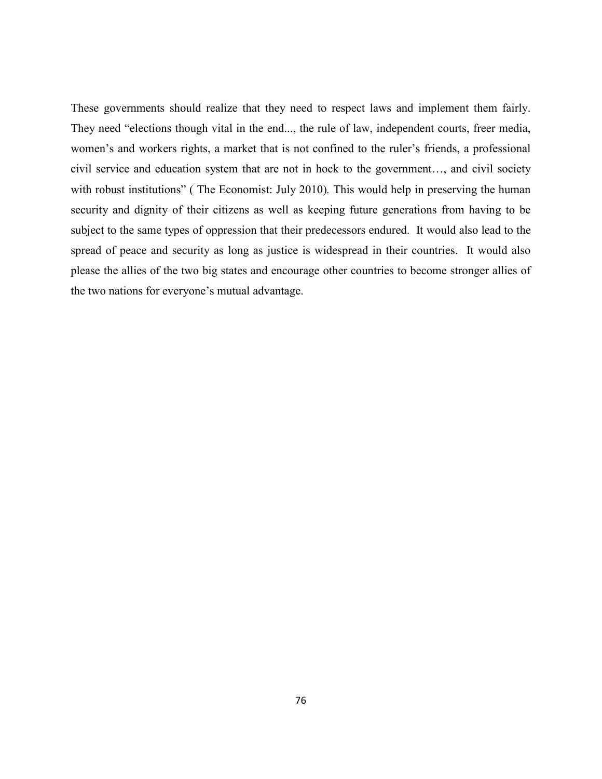These governments should realize that they need to respect laws and implement them fairly. They need "elections though vital in the end..., the rule of law, independent courts, freer media, women's and workers rights, a market that is not confined to the ruler's friends, a professional civil service and education system that are not in hock to the government…, and civil society with robust institutions" (The Economist: July 2010). This would help in preserving the human security and dignity of their citizens as well as keeping future generations from having to be subject to the same types of oppression that their predecessors endured. It would also lead to the spread of peace and security as long as justice is widespread in their countries. It would also please the allies of the two big states and encourage other countries to become stronger allies of the two nations for everyone's mutual advantage.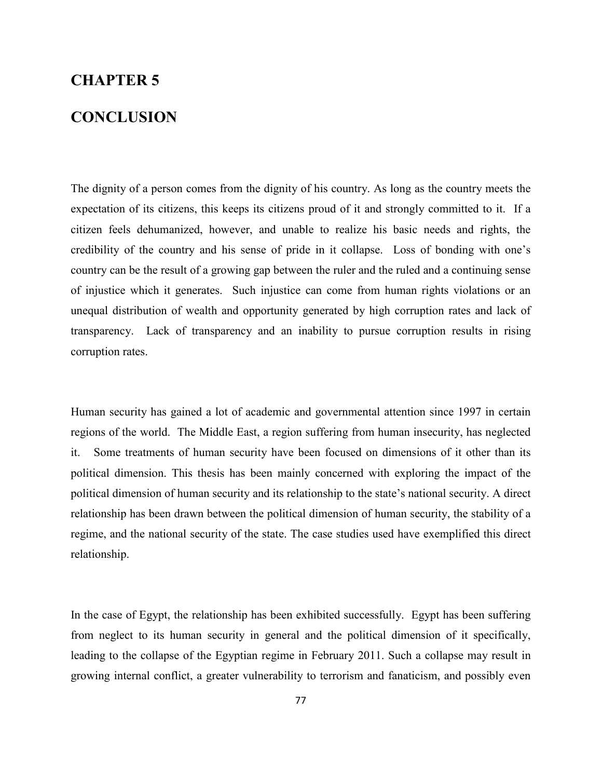# **CHAPTER 5**

## **CONCLUSION**

The dignity of a person comes from the dignity of his country. As long as the country meets the expectation of its citizens, this keeps its citizens proud of it and strongly committed to it. If a citizen feels dehumanized, however, and unable to realize his basic needs and rights, the credibility of the country and his sense of pride in it collapse. Loss of bonding with one's country can be the result of a growing gap between the ruler and the ruled and a continuing sense of injustice which it generates. Such injustice can come from human rights violations or an unequal distribution of wealth and opportunity generated by high corruption rates and lack of transparency. Lack of transparency and an inability to pursue corruption results in rising corruption rates.

Human security has gained a lot of academic and governmental attention since 1997 in certain regions of the world. The Middle East, a region suffering from human insecurity, has neglected it. Some treatments of human security have been focused on dimensions of it other than its political dimension. This thesis has been mainly concerned with exploring the impact of the political dimension of human security and its relationship to the state's national security. A direct relationship has been drawn between the political dimension of human security, the stability of a regime, and the national security of the state. The case studies used have exemplified this direct relationship.

In the case of Egypt, the relationship has been exhibited successfully. Egypt has been suffering from neglect to its human security in general and the political dimension of it specifically, leading to the collapse of the Egyptian regime in February 2011. Such a collapse may result in growing internal conflict, a greater vulnerability to terrorism and fanaticism, and possibly even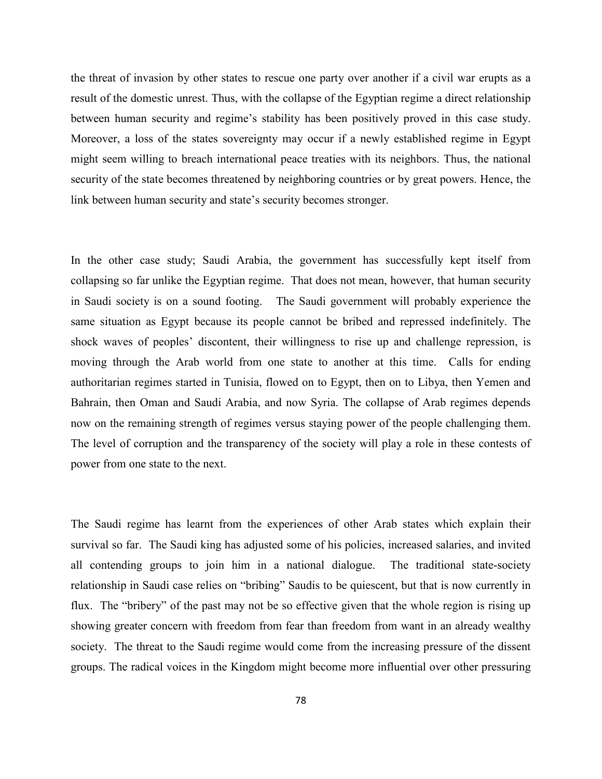the threat of invasion by other states to rescue one party over another if a civil war erupts as a result of the domestic unrest. Thus, with the collapse of the Egyptian regime a direct relationship between human security and regime's stability has been positively proved in this case study. Moreover, a loss of the states sovereignty may occur if a newly established regime in Egypt might seem willing to breach international peace treaties with its neighbors. Thus, the national security of the state becomes threatened by neighboring countries or by great powers. Hence, the link between human security and state's security becomes stronger.

In the other case study; Saudi Arabia, the government has successfully kept itself from collapsing so far unlike the Egyptian regime. That does not mean, however, that human security in Saudi society is on a sound footing. The Saudi government will probably experience the same situation as Egypt because its people cannot be bribed and repressed indefinitely. The shock waves of peoples' discontent, their willingness to rise up and challenge repression, is moving through the Arab world from one state to another at this time. Calls for ending authoritarian regimes started in Tunisia, flowed on to Egypt, then on to Libya, then Yemen and Bahrain, then Oman and Saudi Arabia, and now Syria. The collapse of Arab regimes depends now on the remaining strength of regimes versus staying power of the people challenging them. The level of corruption and the transparency of the society will play a role in these contests of power from one state to the next.

The Saudi regime has learnt from the experiences of other Arab states which explain their survival so far. The Saudi king has adjusted some of his policies, increased salaries, and invited all contending groups to join him in a national dialogue. The traditional state-society relationship in Saudi case relies on "bribing" Saudis to be quiescent, but that is now currently in flux. The "bribery" of the past may not be so effective given that the whole region is rising up showing greater concern with freedom from fear than freedom from want in an already wealthy society. The threat to the Saudi regime would come from the increasing pressure of the dissent groups. The radical voices in the Kingdom might become more influential over other pressuring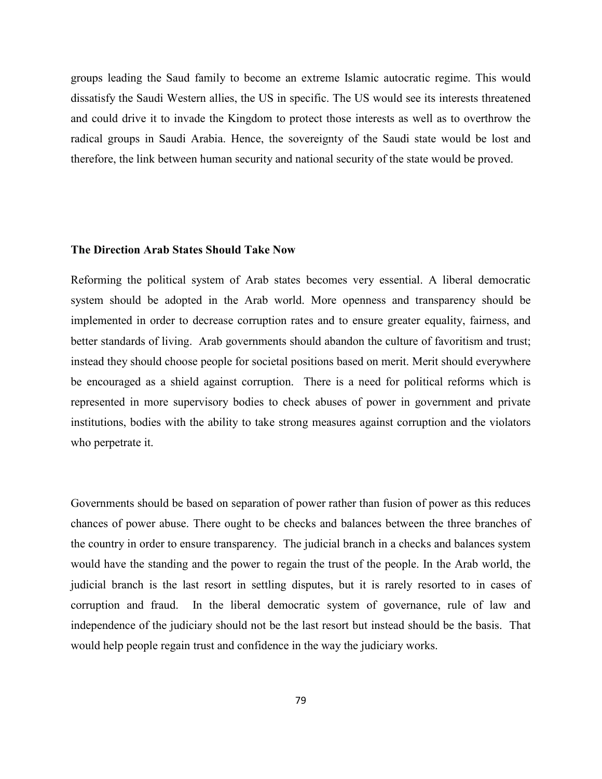groups leading the Saud family to become an extreme Islamic autocratic regime. This would dissatisfy the Saudi Western allies, the US in specific. The US would see its interests threatened and could drive it to invade the Kingdom to protect those interests as well as to overthrow the radical groups in Saudi Arabia. Hence, the sovereignty of the Saudi state would be lost and therefore, the link between human security and national security of the state would be proved.

#### **The Direction Arab States Should Take Now**

Reforming the political system of Arab states becomes very essential. A liberal democratic system should be adopted in the Arab world. More openness and transparency should be implemented in order to decrease corruption rates and to ensure greater equality, fairness, and better standards of living. Arab governments should abandon the culture of favoritism and trust; instead they should choose people for societal positions based on merit. Merit should everywhere be encouraged as a shield against corruption. There is a need for political reforms which is represented in more supervisory bodies to check abuses of power in government and private institutions, bodies with the ability to take strong measures against corruption and the violators who perpetrate it.

Governments should be based on separation of power rather than fusion of power as this reduces chances of power abuse. There ought to be checks and balances between the three branches of the country in order to ensure transparency. The judicial branch in a checks and balances system would have the standing and the power to regain the trust of the people. In the Arab world, the judicial branch is the last resort in settling disputes, but it is rarely resorted to in cases of corruption and fraud. In the liberal democratic system of governance, rule of law and independence of the judiciary should not be the last resort but instead should be the basis. That would help people regain trust and confidence in the way the judiciary works.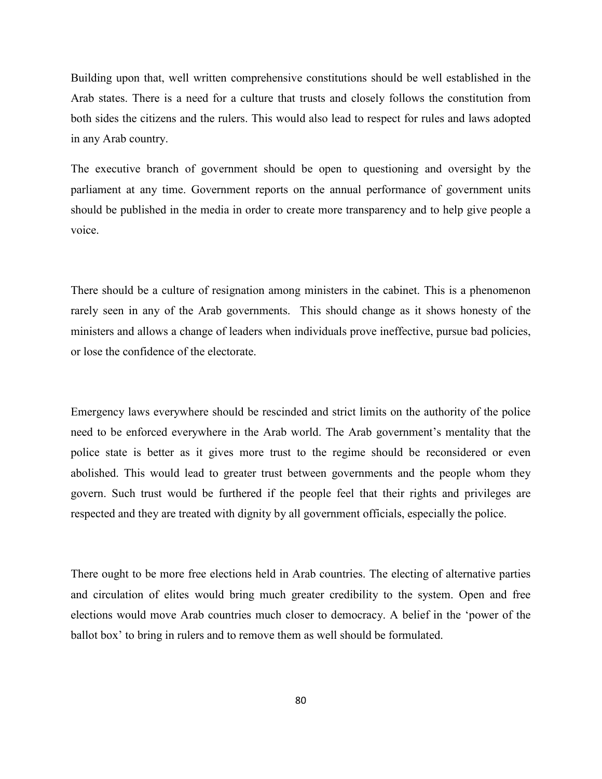Building upon that, well written comprehensive constitutions should be well established in the Arab states. There is a need for a culture that trusts and closely follows the constitution from both sides the citizens and the rulers. This would also lead to respect for rules and laws adopted in any Arab country.

The executive branch of government should be open to questioning and oversight by the parliament at any time. Government reports on the annual performance of government units should be published in the media in order to create more transparency and to help give people a voice.

There should be a culture of resignation among ministers in the cabinet. This is a phenomenon rarely seen in any of the Arab governments. This should change as it shows honesty of the ministers and allows a change of leaders when individuals prove ineffective, pursue bad policies, or lose the confidence of the electorate.

Emergency laws everywhere should be rescinded and strict limits on the authority of the police need to be enforced everywhere in the Arab world. The Arab government's mentality that the police state is better as it gives more trust to the regime should be reconsidered or even abolished. This would lead to greater trust between governments and the people whom they govern. Such trust would be furthered if the people feel that their rights and privileges are respected and they are treated with dignity by all government officials, especially the police.

There ought to be more free elections held in Arab countries. The electing of alternative parties and circulation of elites would bring much greater credibility to the system. Open and free elections would move Arab countries much closer to democracy. A belief in the 'power of the ballot box' to bring in rulers and to remove them as well should be formulated.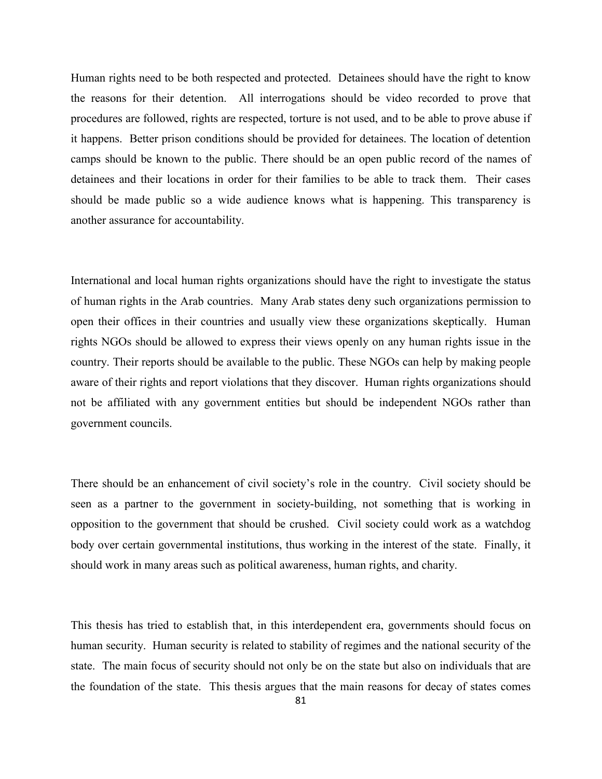Human rights need to be both respected and protected. Detainees should have the right to know the reasons for their detention. All interrogations should be video recorded to prove that procedures are followed, rights are respected, torture is not used, and to be able to prove abuse if it happens. Better prison conditions should be provided for detainees. The location of detention camps should be known to the public. There should be an open public record of the names of detainees and their locations in order for their families to be able to track them. Their cases should be made public so a wide audience knows what is happening. This transparency is another assurance for accountability.

International and local human rights organizations should have the right to investigate the status of human rights in the Arab countries. Many Arab states deny such organizations permission to open their offices in their countries and usually view these organizations skeptically. Human rights NGOs should be allowed to express their views openly on any human rights issue in the country. Their reports should be available to the public. These NGOs can help by making people aware of their rights and report violations that they discover. Human rights organizations should not be affiliated with any government entities but should be independent NGOs rather than government councils.

There should be an enhancement of civil society's role in the country. Civil society should be seen as a partner to the government in society-building, not something that is working in opposition to the government that should be crushed. Civil society could work as a watchdog body over certain governmental institutions, thus working in the interest of the state. Finally, it should work in many areas such as political awareness, human rights, and charity.

This thesis has tried to establish that, in this interdependent era, governments should focus on human security. Human security is related to stability of regimes and the national security of the state. The main focus of security should not only be on the state but also on individuals that are the foundation of the state. This thesis argues that the main reasons for decay of states comes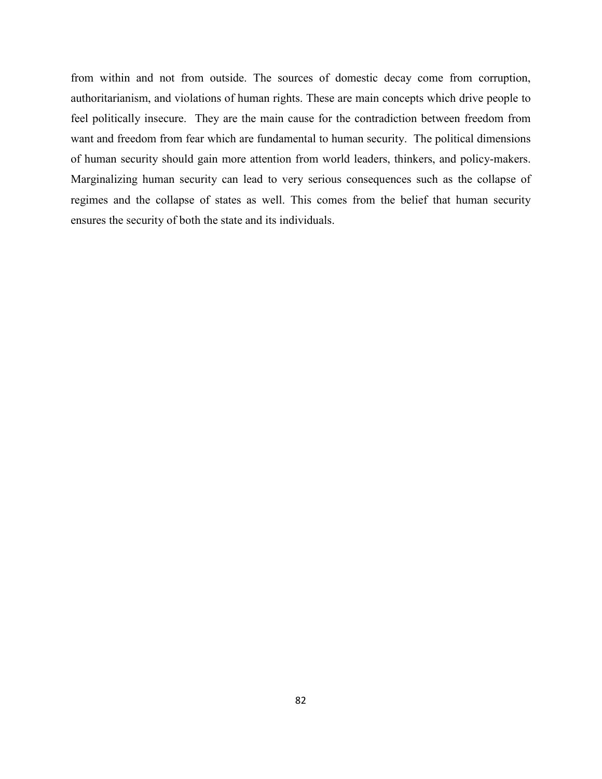from within and not from outside. The sources of domestic decay come from corruption, authoritarianism, and violations of human rights. These are main concepts which drive people to feel politically insecure. They are the main cause for the contradiction between freedom from want and freedom from fear which are fundamental to human security. The political dimensions of human security should gain more attention from world leaders, thinkers, and policy-makers. Marginalizing human security can lead to very serious consequences such as the collapse of regimes and the collapse of states as well. This comes from the belief that human security ensures the security of both the state and its individuals.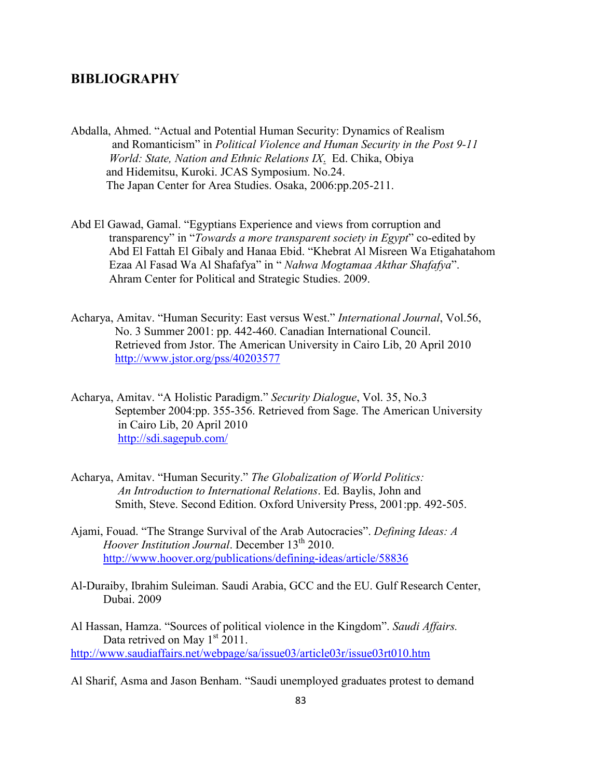### **BIBLIOGRAPHY**

- Abdalla, Ahmed. "Actual and Potential Human Security: Dynamics of Realism and Romanticism" in *Political Violence and Human Security in the Post 9-11 World: State, Nation and Ethnic Relations IX*. Ed. Chika, Obiya and Hidemitsu, Kuroki. JCAS Symposium. No.24. The Japan Center for Area Studies. Osaka, 2006:pp.205-211.
- Abd El Gawad, Gamal. "Egyptians Experience and views from corruption and transparency" in "*Towards a more transparent society in Egypt*" co-edited by Abd El Fattah El Gibaly and Hanaa Ebid. "Khebrat Al Misreen Wa Etigahatahom Ezaa Al Fasad Wa Al Shafafya" in " *Nahwa Mogtamaa Akthar Shafafya*". Ahram Center for Political and Strategic Studies. 2009.
- Acharya, Amitav. "Human Security: East versus West." *International Journal*, Vol.56, No. 3 Summer 2001: pp. 442-460. Canadian International Council. Retrieved from Jstor. The American University in Cairo Lib, 20 April 2010 <http://www.jstor.org/pss/40203577>
- Acharya, Amitav. "A Holistic Paradigm." *Security Dialogue*, Vol. 35, No.3 September 2004:pp. 355-356. Retrieved from Sage. The American University in Cairo Lib, 20 April 2010 <http://sdi.sagepub.com/>
- Acharya, Amitav. "Human Security." *The Globalization of World Politics: An Introduction to International Relations*. Ed. Baylis, John and Smith, Steve. Second Edition. Oxford University Press, 2001:pp. 492-505.
- Ajami, Fouad. "The Strange Survival of the Arab Autocracies". *Defining Ideas: A Hoover Institution Journal.* December 13<sup>th</sup> 2010. <http://www.hoover.org/publications/defining-ideas/article/58836>
- Al-Duraiby, Ibrahim Suleiman. Saudi Arabia, GCC and the EU. Gulf Research Center, Dubai. 2009
- Al Hassan, Hamza. "Sources of political violence in the Kingdom". *Saudi Affairs.*  Data retrived on May  $1<sup>st</sup> 2011$ . <http://www.saudiaffairs.net/webpage/sa/issue03/article03r/issue03rt010.htm>
- Al Sharif, Asma and Jason Benham. "Saudi unemployed graduates protest to demand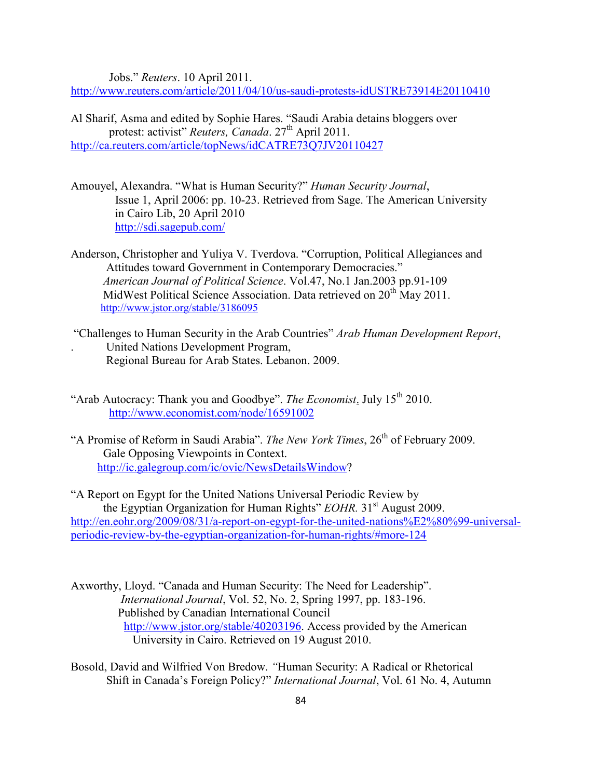Jobs." *Reuters*. 10 April 2011.

<http://www.reuters.com/article/2011/04/10/us-saudi-protests-idUSTRE73914E20110410>

Al Sharif, Asma and edited by Sophie Hares. "Saudi Arabia detains bloggers over protest: activist" *Reuters, Canada*. 27<sup>th</sup> April 2011. <http://ca.reuters.com/article/topNews/idCATRE73Q7JV20110427>

- Amouyel, Alexandra. "What is Human Security?" *Human Security Journal*, Issue 1, April 2006: pp. 10-23. Retrieved from Sage. The American University in Cairo Lib, 20 April 2010 <http://sdi.sagepub.com/>
- Anderson, Christopher and Yuliya V. Tverdova. "Corruption, Political Allegiances and Attitudes toward Government in Contemporary Democracies." *American Journal of Political Science*. Vol.47, No.1 Jan.2003 pp.91-109 MidWest Political Science Association. Data retrieved on 20<sup>th</sup> May 2011. <http://www.jstor.org/stable/3186095>
- "Challenges to Human Security in the Arab Countries" *Arab Human Development Report*, . United Nations Development Program, Regional Bureau for Arab States. Lebanon. 2009.
- "Arab Autocracy: Thank you and Goodbye". *The Economist*. July 15<sup>th</sup> 2010. <http://www.economist.com/node/16591002>
- "A Promise of Reform in Saudi Arabia". *The New York Times*, 26<sup>th</sup> of February 2009. Gale Opposing Viewpoints in Context. [http://ic.galegroup.com/ic/ovic/NewsDetailsWindow?](http://ic.galegroup.com/ic/ovic/NewsDetailsWindow)

"A Report on Egypt for the United Nations Universal Periodic Review by the Egyptian Organization for Human Rights" *EOHR*. 31<sup>st</sup> August 2009. [http://en.eohr.org/2009/08/31/a-report-on-egypt-for-the-united-nations%E2%80%99-universal](http://en.eohr.org/2009/08/31/a-report-on-egypt-for-the-united-nations%E2%80%99-universal-periodic-review-by-the-egyptian-organization-for-human-rights/#more-124)[periodic-review-by-the-egyptian-organization-for-human-rights/#more-124](http://en.eohr.org/2009/08/31/a-report-on-egypt-for-the-united-nations%E2%80%99-universal-periodic-review-by-the-egyptian-organization-for-human-rights/#more-124)

- Axworthy, Lloyd. "Canada and Human Security: The Need for Leadership". *International Journal*, Vol. 52, No. 2, Spring 1997, pp. 183-196. Published by Canadian International Council [http://www.jstor.org/stable/40203196.](http://www.jstor.org/stable/40203196) Access provided by the American University in Cairo. Retrieved on 19 August 2010.
- Bosold, David and Wilfried Von Bredow. *"*Human Security: A Radical or Rhetorical Shift in Canada's Foreign Policy?" *International Journal*, Vol. 61 No. 4, Autumn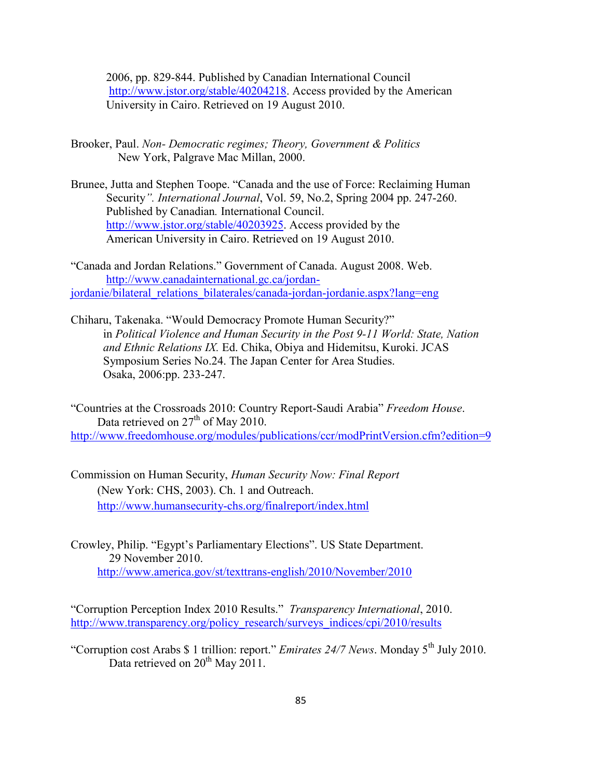2006, pp. 829-844. Published by Canadian International Council [http://www.jstor.org/stable/40204218.](http://www.jstor.org/stable/40204218) Access provided by the American University in Cairo. Retrieved on 19 August 2010.

- Brooker, Paul. *Non- Democratic regimes; Theory, Government & Politics* New York, Palgrave Mac Millan, 2000.
- Brunee, Jutta and Stephen Toope. "Canada and the use of Force: Reclaiming Human Security*". International Journal*, Vol. 59, No.2, Spring 2004 pp. 247-260. Published by Canadian*.* International Council. [http://www.jstor.org/stable/40203925.](http://www.jstor.org/stable/40203925) Access provided by the American University in Cairo. Retrieved on 19 August 2010.

"Canada and Jordan Relations." Government of Canada. August 2008. Web. [http://www.canadainternational.gc.ca/jordan](http://www.canadainternational.gc.ca/jordan-%20%20%20%20jordanie/bilateral_relations_bilaterales/canada-jordan-jordanie.aspx?lang=eng)[jordanie/bilateral\\_relations\\_bilaterales/canada-jordan-jordanie.aspx?lang=eng](http://www.canadainternational.gc.ca/jordan-%20%20%20%20jordanie/bilateral_relations_bilaterales/canada-jordan-jordanie.aspx?lang=eng)

Chiharu, Takenaka. "Would Democracy Promote Human Security?" in *Political Violence and Human Security in the Post 9-11 World: State, Nation and Ethnic Relations IX.* Ed. Chika, Obiya and Hidemitsu, Kuroki. JCAS Symposium Series No.24. The Japan Center for Area Studies. Osaka, 2006:pp. 233-247.

"Countries at the Crossroads 2010: Country Report-Saudi Arabia" *Freedom House*. Data retrieved on  $27<sup>th</sup>$  of May 2010. <http://www.freedomhouse.org/modules/publications/ccr/modPrintVersion.cfm?edition=9>

- Commission on Human Security, *Human Security Now: Final Report* (New York: CHS, 2003). Ch. 1 and Outreach. <http://www.humansecurity-chs.org/finalreport/index.html>
- Crowley, Philip. "Egypt's Parliamentary Elections". US State Department. 29 November 2010. <http://www.america.gov/st/texttrans-english/2010/November/2010>

"Corruption Perception Index 2010 Results." *Transparency International*, 2010. [http://www.transparency.org/policy\\_research/surveys\\_indices/cpi/2010/results](http://www.transparency.org/policy_research/surveys_indices/cpi/2010/results)

"Corruption cost Arabs \$ 1 trillion: report." *Emirates 24/7 News*. Monday 5<sup>th</sup> July 2010. Data retrieved on  $20^{th}$  May  $2011$ .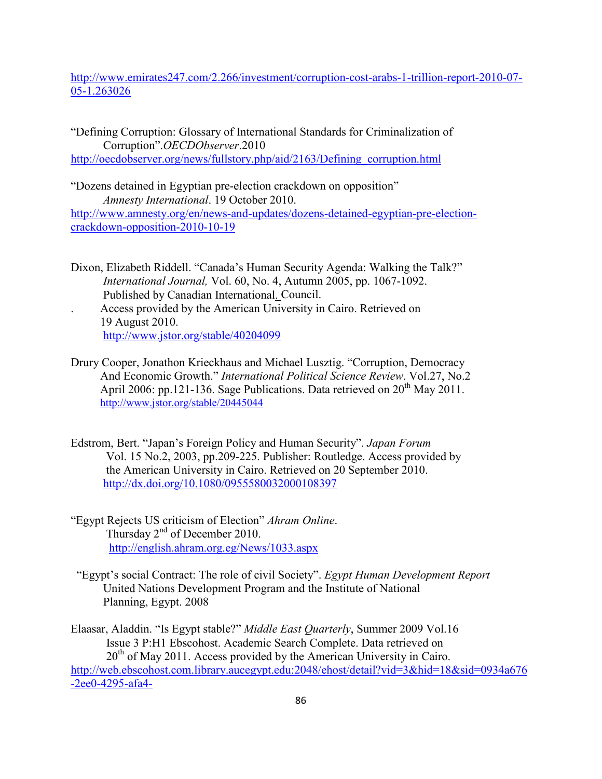[http://www.emirates247.com/2.266/investment/corruption-cost-arabs-1-trillion-report-2010-07-](http://www.emirates247.com/2.266/investment/corruption-cost-arabs-1-trillion-report-2010-07-05-1.263026) [05-1.263026](http://www.emirates247.com/2.266/investment/corruption-cost-arabs-1-trillion-report-2010-07-05-1.263026)

"Defining Corruption: Glossary of International Standards for Criminalization of Corruption".*OECDObserver*.2010 [http://oecdobserver.org/news/fullstory.php/aid/2163/Defining\\_corruption.html](http://oecdobserver.org/news/fullstory.php/aid/2163/Defining_corruption.html)

"Dozens detained in Egyptian pre-election crackdown on opposition" *Amnesty International*. 19 October 2010. [http://www.amnesty.org/en/news-and-updates/dozens-detained-egyptian-pre-election](http://www.amnesty.org/en/news-and-updates/dozens-detained-egyptian-pre-election-crackdown-opposition-2010-10-19)[crackdown-opposition-2010-10-19](http://www.amnesty.org/en/news-and-updates/dozens-detained-egyptian-pre-election-crackdown-opposition-2010-10-19)

Dixon, Elizabeth Riddell. "Canada's Human Security Agenda: Walking the Talk?" *International Journal,* Vol. 60, No. 4, Autumn 2005, pp. 1067-1092. Published by Canadian International. Council. . Access provided by the American University in Cairo. Retrieved on 19 August 2010.

<http://www.jstor.org/stable/40204099>

- Drury Cooper, Jonathon Krieckhaus and Michael Lusztig. "Corruption, Democracy And Economic Growth." *International Political Science Review*. Vol.27, No.2 April 2006: pp.121-136. Sage Publications. Data retrieved on 20<sup>th</sup> May 2011. <http://www.jstor.org/stable/20445044>
- Edstrom, Bert. "Japan's Foreign Policy and Human Security". *Japan Forum* Vol. 15 No.2, 2003, pp.209-225. Publisher: Routledge. Access provided by the American University in Cairo. Retrieved on 20 September 2010. <http://dx.doi.org/10.1080/0955580032000108397>
- "Egypt Rejects US criticism of Election" *Ahram Online*. Thursday 2<sup>nd</sup> of December 2010. <http://english.ahram.org.eg/News/1033.aspx>
- "Egypt's social Contract: The role of civil Society". *Egypt Human Development Report* United Nations Development Program and the Institute of National Planning, Egypt. 2008

Elaasar, Aladdin. "Is Egypt stable?" *Middle East Quarterly*, Summer 2009 Vol.16 Issue 3 P:H1 Ebscohost. Academic Search Complete. Data retrieved on  $20<sup>th</sup>$  of May 2011. Access provided by the American University in Cairo. [http://web.ebscohost.com.library.aucegypt.edu:2048/ehost/detail?vid=3&hid=18&sid=0934a676](http://web.ebscohost.com.library.aucegypt.edu:2048/ehost/detail?vid=3&hid=18&sid=0934a676-2ee0-4295-afa4-e1e8ac33f315%40sessionmgr10&bdata=JnNpdGU9ZWhvc3QtbGl2ZQ%3d%3d#db=a9h&AN=40922716) [-2ee0-4295-afa4-](http://web.ebscohost.com.library.aucegypt.edu:2048/ehost/detail?vid=3&hid=18&sid=0934a676-2ee0-4295-afa4-e1e8ac33f315%40sessionmgr10&bdata=JnNpdGU9ZWhvc3QtbGl2ZQ%3d%3d#db=a9h&AN=40922716)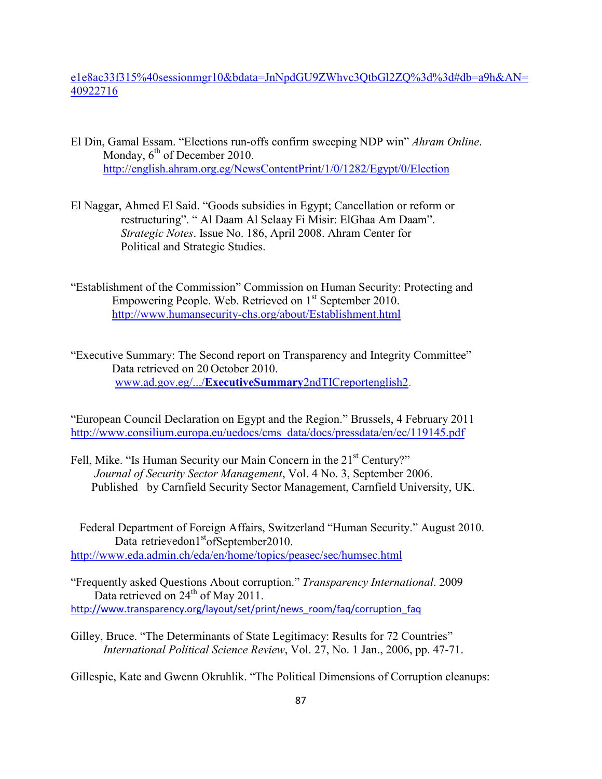e1e8ac33f315%40sessionmgr10&bdata=JnNpdGU9ZWhvc3QtbGl2ZQ%3d%3d#db=a9h&AN= 40922716

- El Din, Gamal Essam. "Elections run-offs confirm sweeping NDP win" *Ahram Online*. Monday,  $6<sup>th</sup>$  of December 2010. <http://english.ahram.org.eg/NewsContentPrint/1/0/1282/Egypt/0/Election>
- El Naggar, Ahmed El Said. "Goods subsidies in Egypt; Cancellation or reform or restructuring". " Al Daam Al Selaay Fi Misir: ElGhaa Am Daam". *Strategic Notes*. Issue No. 186, April 2008. Ahram Center for Political and Strategic Studies.
- "Establishment of the Commission" Commission on Human Security: Protecting and Empowering People. Web. Retrieved on 1<sup>st</sup> September 2010. <http://www.humansecurity-chs.org/about/Establishment.html>
- "Executive Summary: The Second report on Transparency and Integrity Committee" Data retrieved on 20 October 2010. www.ad.gov.eg/.../**ExecutiveSummary**[2ndTICreportenglish2.](http://www.ad.gov.eg/.../ExecutiveSummary2ndTICreportenglish2)

"European Council Declaration on Egypt and the Region." Brussels, 4 February 2011 [http://www.consilium.europa.eu/uedocs/cms\\_data/docs/pressdata/en/ec/119145.pdf](http://www.consilium.europa.eu/uedocs/cms_data/docs/pressdata/en/ec/119145.pdf)

Fell, Mike. "Is Human Security our Main Concern in the 21<sup>st</sup> Century?" *Journal of Security Sector Management*, Vol. 4 No. 3, September 2006. Published by Carnfield Security Sector Management, Carnfield University, UK.

 Federal Department of Foreign Affairs, Switzerland "Human Security." August 2010. Data retrievedon1<sup>st</sup>ofSeptember2010. <http://www.eda.admin.ch/eda/en/home/topics/peasec/sec/humsec.html>

"Frequently asked Questions About corruption." *Transparency International*. 2009 Data retrieved on  $24<sup>th</sup>$  of May 2011. [http://www.transparency.org/layout/set/print/news\\_room/faq/corruption\\_faq](http://www.transparency.org/layout/set/print/news_room/faq/corruption_faq)

Gilley, Bruce. "The Determinants of State Legitimacy: Results for 72 Countries"  *International Political Science Review*, Vol. 27, No. 1 Jan., 2006, pp. 47-71.

Gillespie, Kate and Gwenn Okruhlik. "The Political Dimensions of Corruption cleanups: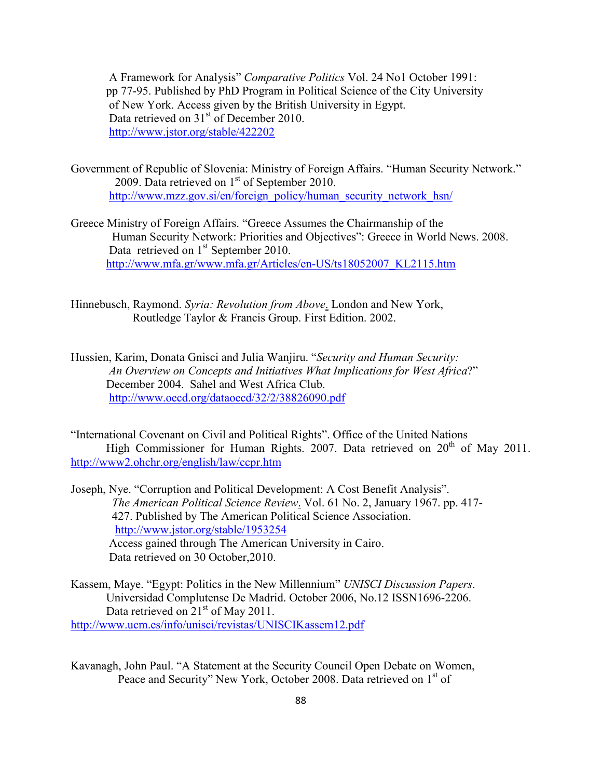A Framework for Analysis" *Comparative Politics* Vol. 24 No1 October 1991: pp 77-95. Published by PhD Program in Political Science of the City University of New York. Access given by the British University in Egypt. Data retrieved on 31<sup>st</sup> of December 2010. <http://www.jstor.org/stable/422202>

- Government of Republic of Slovenia: Ministry of Foreign Affairs. "Human Security Network." 2009. Data retrieved on 1<sup>st</sup> of September 2010. [http://www.mzz.gov.si/en/foreign\\_policy/human\\_security\\_network\\_hsn/](http://www.mzz.gov.si/en/foreign_policy/human_security_network_hsn/)
- Greece Ministry of Foreign Affairs. "Greece Assumes the Chairmanship of the Human Security Network: Priorities and Objectives": Greece in World News. 2008. Data retrieved on 1<sup>st</sup> September 2010. [http://www.mfa.gr/www.mfa.gr/Articles/en-US/ts18052007\\_KL2115.htm](http://www.mfa.gr/www.mfa.gr/Articles/en-US/ts18052007_KL2115.htm)

Hinnebusch, Raymond. *Syria: Revolution from Above*. London and New York, Routledge Taylor & Francis Group. First Edition. 2002.

Hussien, Karim, Donata Gnisci and Julia Wanjiru. "*Security and Human Security: An Overview on Concepts and Initiatives What Implications for West Africa*?" December 2004. Sahel and West Africa Club. <http://www.oecd.org/dataoecd/32/2/38826090.pdf>

"International Covenant on Civil and Political Rights". Office of the United Nations High Commissioner for Human Rights. 2007. Data retrieved on  $20^{th}$  of May 2011. <http://www2.ohchr.org/english/law/ccpr.htm>

Joseph, Nye. "Corruption and Political Development: A Cost Benefit Analysis". *The American Political Science Review*. Vol. 61 No. 2, January 1967. pp. 417- 427. Published by The American Political Science Association. <http://www.jstor.org/stable/1953254> Access gained through The American University in Cairo. Data retrieved on 30 October,2010.

- Kassem, Maye. "Egypt: Politics in the New Millennium" *UNISCI Discussion Papers*. Universidad Complutense De Madrid. October 2006, No.12 ISSN1696-2206. Data retrieved on 21<sup>st</sup> of May 2011. <http://www.ucm.es/info/unisci/revistas/UNISCIKassem12.pdf>
- Kavanagh, John Paul. "A Statement at the Security Council Open Debate on Women, Peace and Security" New York, October 2008. Data retrieved on 1<sup>st</sup> of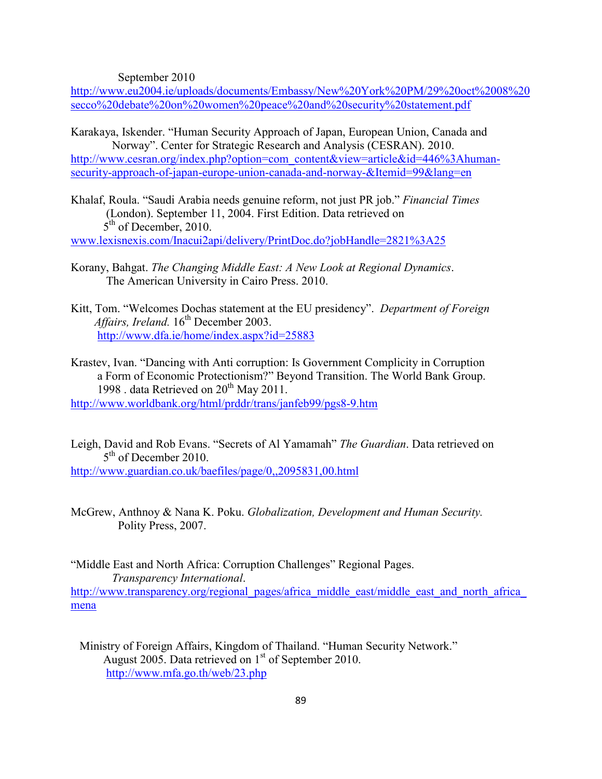September 2010

[http://www.eu2004.ie/uploads/documents/Embassy/New%20York%20PM/29%20oct%2008%20](http://www.eu2004.ie/uploads/documents/Embassy/New%20York%20PM/29%20oct%2008%20secco%20debate%20on%20women%20peace%20and%20security%20statement.pdf) [secco%20debate%20on%20women%20peace%20and%20security%20statement.pdf](http://www.eu2004.ie/uploads/documents/Embassy/New%20York%20PM/29%20oct%2008%20secco%20debate%20on%20women%20peace%20and%20security%20statement.pdf)

- Karakaya, Iskender. "Human Security Approach of Japan, European Union, Canada and Norway". Center for Strategic Research and Analysis (CESRAN). 2010. [http://www.cesran.org/index.php?option=com\\_content&view=article&id=446%3Ahuman](http://www.cesran.org/index.php?option=com_content&view=article&id=446%3Ahuman-security-approach-of-japan-europe-union-canada-and-norway-&Itemid=99&lang=en)[security-approach-of-japan-europe-union-canada-and-norway-&Itemid=99&lang=en](http://www.cesran.org/index.php?option=com_content&view=article&id=446%3Ahuman-security-approach-of-japan-europe-union-canada-and-norway-&Itemid=99&lang=en)
- Khalaf, Roula. "Saudi Arabia needs genuine reform, not just PR job." *Financial Times* (London). September 11, 2004. First Edition. Data retrieved on  $5<sup>th</sup>$  of December, 2010.

[www.lexisnexis.com/Inacui2api/delivery/PrintDoc.do?jobHandle=2821%3A25](http://www.lexisnexis.com/Inacui2api/delivery/PrintDoc.do?jobHandle=2821%3A25)

- Korany, Bahgat. *The Changing Middle East: A New Look at Regional Dynamics*. The American University in Cairo Press. 2010.
- Kitt, Tom. "Welcomes Dochas statement at the EU presidency". *Department of Foreign Affairs, Ireland.* 16<sup>th</sup> December 2003. <http://www.dfa.ie/home/index.aspx?id=25883>
- Krastev, Ivan. "Dancing with Anti corruption: Is Government Complicity in Corruption a Form of Economic Protectionism?" Beyond Transition. The World Bank Group. 1998 . data Retrieved on 20<sup>th</sup> May 2011.

<http://www.worldbank.org/html/prddr/trans/janfeb99/pgs8-9.htm>

- Leigh, David and Rob Evans. "Secrets of Al Yamamah" *The Guardian*. Data retrieved on 5<sup>th</sup> of December 2010. <http://www.guardian.co.uk/baefiles/page/0,,2095831,00.html>
- McGrew, Anthnoy & Nana K. Poku. *Globalization, Development and Human Security.* Polity Press, 2007.

"Middle East and North Africa: Corruption Challenges" Regional Pages. *Transparency International*. [http://www.transparency.org/regional\\_pages/africa\\_middle\\_east/middle\\_east\\_and\\_north\\_africa\\_](http://www.transparency.org/regional_pages/africa_middle_east/middle_east_and_north_africa_mena) [mena](http://www.transparency.org/regional_pages/africa_middle_east/middle_east_and_north_africa_mena)

 Ministry of Foreign Affairs, Kingdom of Thailand. "Human Security Network." August 2005. Data retrieved on  $1<sup>st</sup>$  of September 2010. <http://www.mfa.go.th/web/23.php>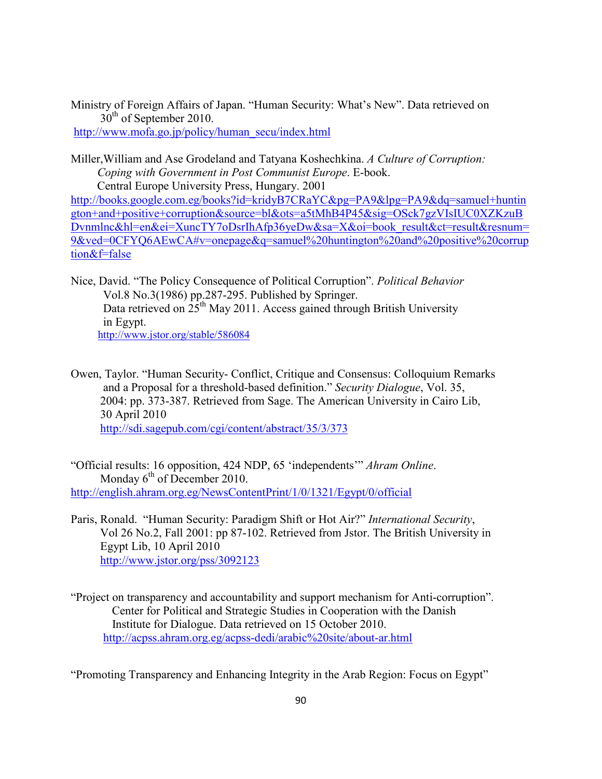Ministry of Foreign Affairs of Japan. "Human Security: What's New". Data retrieved on  $30<sup>th</sup>$  of September 2010. [http://www.mofa.go.jp/policy/human\\_secu/index.html](http://www.mofa.go.jp/policy/human_secu/index.html)

Miller,William and Ase Grodeland and Tatyana Koshechkina. *A Culture of Corruption: Coping with Government in Post Communist Europe*. E-book. Central Europe University Press, Hungary. 2001

[http://books.google.com.eg/books?id=kridyB7CRaYC&pg=PA9&lpg=PA9&dq=samuel+huntin](http://books.google.com.eg/books?id=kridyB7CRaYC&pg=PA9&lpg=PA9&dq=samuel+huntington+and+positive+corruption&source=bl&ots=a5tMhB4P45&sig=OSck7gzVIsIUC0XZKzuBDvnmlnc&hl=en&ei=XuncTY7oDsrIhAfp36yeDw&sa=X&oi=book_result&ct=result&resnum=9&ved=0CFYQ6AEwCA#v=onepage&q=samuel%20huntington%20and%20positive%20corruption&f=false) [gton+and+positive+corruption&source=bl&ots=a5tMhB4P45&sig=OSck7gzVIsIUC0XZKzuB](http://books.google.com.eg/books?id=kridyB7CRaYC&pg=PA9&lpg=PA9&dq=samuel+huntington+and+positive+corruption&source=bl&ots=a5tMhB4P45&sig=OSck7gzVIsIUC0XZKzuBDvnmlnc&hl=en&ei=XuncTY7oDsrIhAfp36yeDw&sa=X&oi=book_result&ct=result&resnum=9&ved=0CFYQ6AEwCA#v=onepage&q=samuel%20huntington%20and%20positive%20corruption&f=false) [Dvnmlnc&hl=en&ei=XuncTY7oDsrIhAfp36yeDw&sa=X&oi=book\\_result&ct=result&resnum=](http://books.google.com.eg/books?id=kridyB7CRaYC&pg=PA9&lpg=PA9&dq=samuel+huntington+and+positive+corruption&source=bl&ots=a5tMhB4P45&sig=OSck7gzVIsIUC0XZKzuBDvnmlnc&hl=en&ei=XuncTY7oDsrIhAfp36yeDw&sa=X&oi=book_result&ct=result&resnum=9&ved=0CFYQ6AEwCA#v=onepage&q=samuel%20huntington%20and%20positive%20corruption&f=false) [9&ved=0CFYQ6AEwCA#v=onepage&q=samuel%20huntington%20and%20positive%20corrup](http://books.google.com.eg/books?id=kridyB7CRaYC&pg=PA9&lpg=PA9&dq=samuel+huntington+and+positive+corruption&source=bl&ots=a5tMhB4P45&sig=OSck7gzVIsIUC0XZKzuBDvnmlnc&hl=en&ei=XuncTY7oDsrIhAfp36yeDw&sa=X&oi=book_result&ct=result&resnum=9&ved=0CFYQ6AEwCA#v=onepage&q=samuel%20huntington%20and%20positive%20corruption&f=false) [tion&f=false](http://books.google.com.eg/books?id=kridyB7CRaYC&pg=PA9&lpg=PA9&dq=samuel+huntington+and+positive+corruption&source=bl&ots=a5tMhB4P45&sig=OSck7gzVIsIUC0XZKzuBDvnmlnc&hl=en&ei=XuncTY7oDsrIhAfp36yeDw&sa=X&oi=book_result&ct=result&resnum=9&ved=0CFYQ6AEwCA#v=onepage&q=samuel%20huntington%20and%20positive%20corruption&f=false)

Nice, David. "The Policy Consequence of Political Corruption". *Political Behavior* Vol.8 No.3(1986) pp.287-295. Published by Springer. Data retrieved on  $25<sup>th</sup>$  May 2011. Access gained through British University in Egypt. <http://www.jstor.org/stable/586084>

Owen, Taylor. "Human Security- Conflict, Critique and Consensus: Colloquium Remarks and a Proposal for a threshold-based definition." *Security Dialogue*, Vol. 35, 2004: pp. 373-387. Retrieved from Sage. The American University in Cairo Lib, 30 April 2010 <http://sdi.sagepub.com/cgi/content/abstract/35/3/373>

"Official results: 16 opposition, 424 NDP, 65 'independents'" *Ahram Online*. Monday  $6<sup>th</sup>$  of December 2010. <http://english.ahram.org.eg/NewsContentPrint/1/0/1321/Egypt/0/official>

- Paris, Ronald. "Human Security: Paradigm Shift or Hot Air?" *International Security*, Vol 26 No.2, Fall 2001: pp 87-102. Retrieved from Jstor. The British University in Egypt Lib, 10 April 2010 <http://www.jstor.org/pss/3092123>
- "Project on transparency and accountability and support mechanism for Anti-corruption". Center for Political and Strategic Studies in Cooperation with the Danish Institute for Dialogue. Data retrieved on 15 October 2010. <http://acpss.ahram.org.eg/acpss-dedi/arabic%20site/about-ar.html>

"Promoting Transparency and Enhancing Integrity in the Arab Region: Focus on Egypt"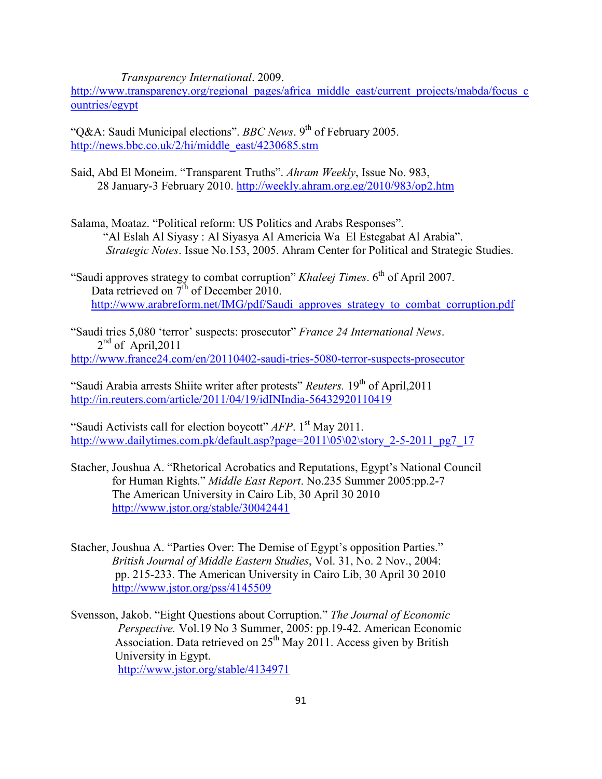*Transparency International*. 2009.

[http://www.transparency.org/regional\\_pages/africa\\_middle\\_east/current\\_projects/mabda/focus\\_c](http://www.transparency.org/regional_pages/africa_middle_east/current_projects/mabda/focus_countries/egypt) [ountries/egypt](http://www.transparency.org/regional_pages/africa_middle_east/current_projects/mabda/focus_countries/egypt)

"Q&A: Saudi Municipal elections". *BBC News*. 9<sup>th</sup> of February 2005. [http://news.bbc.co.uk/2/hi/middle\\_east/4230685.stm](http://news.bbc.co.uk/2/hi/middle_east/4230685.stm)

- Said, Abd El Moneim. "Transparent Truths". *Ahram Weekly*, Issue No. 983, 28 January-3 February 2010.<http://weekly.ahram.org.eg/2010/983/op2.htm>
- Salama, Moataz. "Political reform: US Politics and Arabs Responses". "Al Eslah Al Siyasy : Al Siyasya Al Americia Wa El Estegabat Al Arabia". *Strategic Notes*. Issue No.153, 2005. Ahram Center for Political and Strategic Studies.
- "Saudi approves strategy to combat corruption" *Khaleej Times*. 6<sup>th</sup> of April 2007. Data retrieved on  $\overline{7}^{\text{th}}$  of December 2010. [http://www.arabreform.net/IMG/pdf/Saudi\\_approves\\_strategy\\_to\\_combat\\_corruption.pdf](http://www.arabreform.net/IMG/pdf/Saudi_approves_strategy_to_combat_corruption.pdf)

"Saudi tries 5,080 'terror' suspects: prosecutor" *France 24 International News*.  $2<sup>nd</sup>$  of April, 2011 <http://www.france24.com/en/20110402-saudi-tries-5080-terror-suspects-prosecutor>

"Saudi Arabia arrests Shiite writer after protests" *Reuters*. 19<sup>th</sup> of April, 2011 <http://in.reuters.com/article/2011/04/19/idINIndia-56432920110419>

"Saudi Activists call for election boycott" *AFP*. 1<sup>st</sup> May 2011. [http://www.dailytimes.com.pk/default.asp?page=2011\05\02\story\\_2-5-2011\\_pg7\\_17](http://www.dailytimes.com.pk/default.asp?page=2011\05\02\story_2-5-2011_pg7_17)

- Stacher, Joushua A. "Rhetorical Acrobatics and Reputations, Egypt's National Council for Human Rights." *Middle East Report*. No.235 Summer 2005:pp.2-7 The American University in Cairo Lib, 30 April 30 2010 <http://www.jstor.org/stable/30042441>
- Stacher, Joushua A. "Parties Over: The Demise of Egypt's opposition Parties." *British Journal of Middle Eastern Studies*, Vol. 31, No. 2 Nov., 2004: pp. 215-233. The American University in Cairo Lib, 30 April 30 2010 <http://www.jstor.org/pss/4145509>
- Svensson, Jakob. "Eight Questions about Corruption." *The Journal of Economic Perspective.* Vol.19 No 3 Summer, 2005: pp.19-42. American Economic Association. Data retrieved on  $25<sup>th</sup>$  May 2011. Access given by British University in Egypt. <http://www.jstor.org/stable/4134971>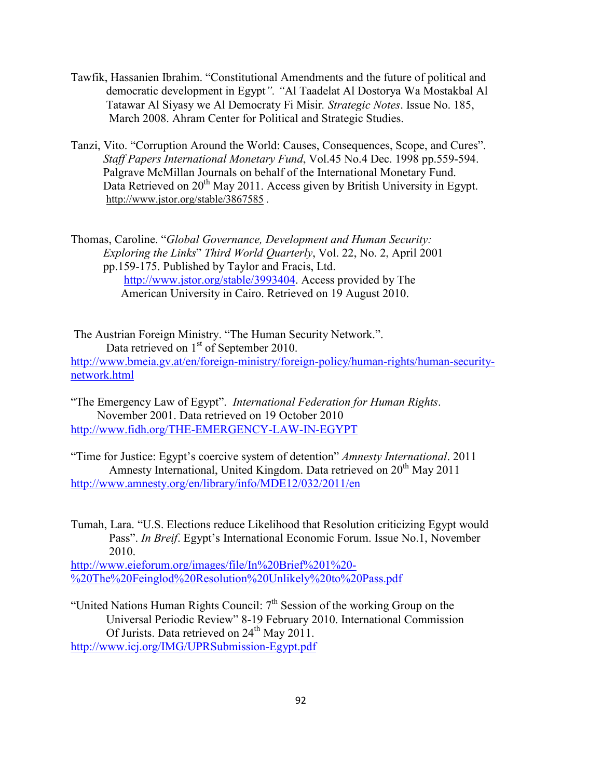- Tawfik, Hassanien Ibrahim. "Constitutional Amendments and the future of political and democratic development in Egypt*". "*Al Taadelat Al Dostorya Wa Mostakbal Al Tatawar Al Siyasy we Al Democraty Fi Misir*. Strategic Notes*. Issue No. 185, March 2008. Ahram Center for Political and Strategic Studies.
- Tanzi, Vito. "Corruption Around the World: Causes, Consequences, Scope, and Cures". *Staff Papers International Monetary Fund*, Vol.45 No.4 Dec. 1998 pp.559-594. Palgrave McMillan Journals on behalf of the International Monetary Fund. Data Retrieved on 20<sup>th</sup> May 2011. Access given by British University in Egypt. http://www.jstor.org/stable/3867585 .

Thomas, Caroline. "*Global Governance, Development and Human Security: Exploring the Links*" *Third World Quarterly*, Vol. 22, No. 2, April 2001 pp.159-175. Published by Taylor and Fracis, Ltd. [http://www.jstor.org/stable/3993404.](http://www.jstor.org/stable/3993404) Access provided by The American University in Cairo. Retrieved on 19 August 2010.

The Austrian Foreign Ministry. "The Human Security Network.". Data retrieved on 1<sup>st</sup> of September 2010. [http://www.bmeia.gv.at/en/foreign-ministry/foreign-policy/human-rights/human-security](http://www.bmeia.gv.at/en/foreign-ministry/foreign-policy/human-rights/human-security-network.html)[network.html](http://www.bmeia.gv.at/en/foreign-ministry/foreign-policy/human-rights/human-security-network.html)

"The Emergency Law of Egypt". *International Federation for Human Rights*. November 2001. Data retrieved on 19 October 2010 <http://www.fidh.org/THE-EMERGENCY-LAW-IN-EGYPT>

"Time for Justice: Egypt's coercive system of detention" *Amnesty International*. 2011 Amnesty International, United Kingdom. Data retrieved on  $20<sup>th</sup>$  May 2011 <http://www.amnesty.org/en/library/info/MDE12/032/2011/en>

Tumah, Lara. "U.S. Elections reduce Likelihood that Resolution criticizing Egypt would Pass". *In Breif*. Egypt's International Economic Forum. Issue No.1, November 2010.

[http://www.eieforum.org/images/file/In%20Brief%201%20-](http://www.eieforum.org/images/file/In%20Brief%201%20-%20The%20Feinglod%20Resolution%20Unlikely%20to%20Pass.pdf) [%20The%20Feinglod%20Resolution%20Unlikely%20to%20Pass.pdf](http://www.eieforum.org/images/file/In%20Brief%201%20-%20The%20Feinglod%20Resolution%20Unlikely%20to%20Pass.pdf)

"United Nations Human Rights Council:  $7<sup>th</sup>$  Session of the working Group on the Universal Periodic Review" 8-19 February 2010. International Commission Of Jurists. Data retrieved on  $24<sup>th</sup>$  May 2011. <http://www.icj.org/IMG/UPRSubmission-Egypt.pdf>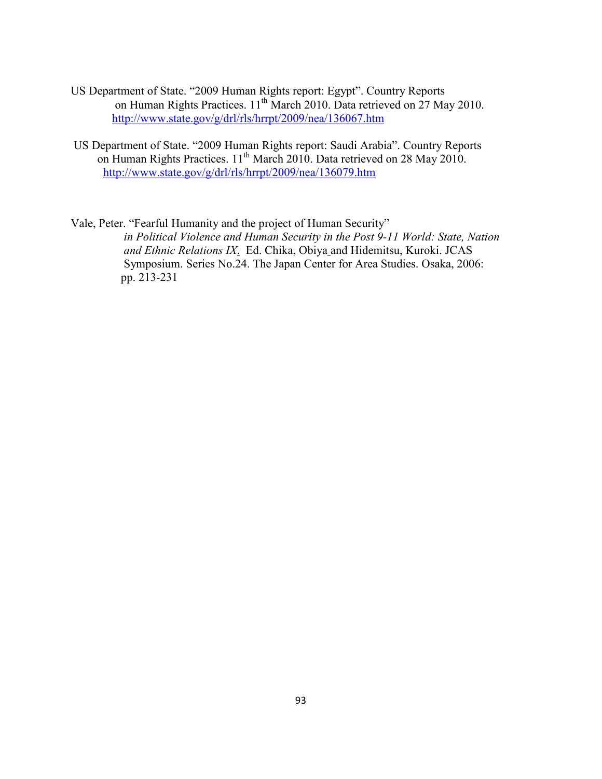- US Department of State. "2009 Human Rights report: Egypt". Country Reports on Human Rights Practices. 11<sup>th</sup> March 2010. Data retrieved on 27 May 2010. <http://www.state.gov/g/drl/rls/hrrpt/2009/nea/136067.htm>
- US Department of State. "2009 Human Rights report: Saudi Arabia". Country Reports on Human Rights Practices. 11<sup>th</sup> March 2010. Data retrieved on 28 May 2010. <http://www.state.gov/g/drl/rls/hrrpt/2009/nea/136079.htm>
- Vale, Peter. "Fearful Humanity and the project of Human Security" *in Political Violence and Human Security in the Post 9-11 World: State, Nation and Ethnic Relations IX*. Ed. Chika, Obiya and Hidemitsu, Kuroki. JCAS Symposium. Series No.24. The Japan Center for Area Studies. Osaka, 2006: pp. 213-231